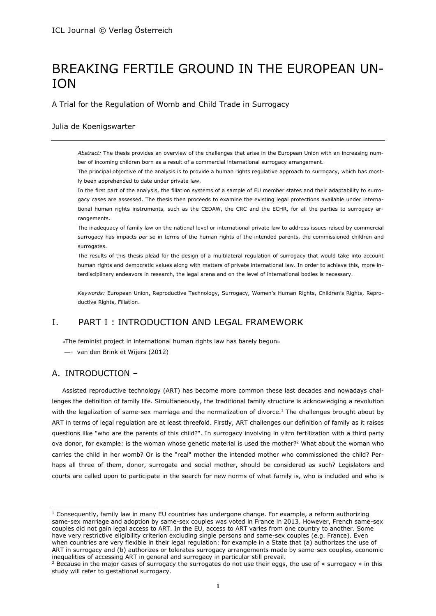# BREAKING FERTILE GROUND IN THE EUROPEAN UN-ION

A Trial for the Regulation of Womb and Child Trade in Surrogacy

## Julia de Koenigswarter

*Abstract:* The thesis provides an overview of the challenges that arise in the European Union with an increasing number of incoming children born as a result of a commercial international surrogacy arrangement.

The principal objective of the analysis is to provide a human rights regulative approach to surrogacy, which has mostly been apprehended to date under private law.

In the first part of the analysis, the filiation systems of a sample of EU member states and their adaptability to surrogacy cases are assessed. The thesis then proceeds to examine the existing legal protections available under international human rights instruments, such as the CEDAW, the CRC and the ECHR, for all the parties to surrogacy arrangements.

The inadequacy of family law on the national level or international private law to address issues raised by commercial surrogacy has impacts *per se* in terms of the human rights of the intended parents, the commissioned children and surrogates.

The results of this thesis plead for the design of a multilateral regulation of surrogacy that would take into account human rights and democratic values along with matters of private international law. In order to achieve this, more interdisciplinary endeavors in research, the legal arena and on the level of international bodies is necessary.

*Keywords:* European Union, Reproductive Technology, Surrogacy, Women's Human Rights, Children's Rights, Reproductive Rights, Filiation.

## I. PART I : INTRODUCTION AND LEGAL FRAMEWORK

«The feminist project in international human rights law has barely begun»

—- van den Brink et Wijers (2012)

## A. INTRODUCTION –

 $\overline{\phantom{a}}$ 

Assisted reproductive technology (ART) has become more common these last decades and nowadays challenges the definition of family life. Simultaneously, the traditional family structure is acknowledging a revolution with the legalization of same-sex marriage and the normalization of divorce.<sup>1</sup> The challenges brought about by ART in terms of legal regulation are at least threefold. Firstly, ART challenges our definition of family as it raises questions like "who are the parents of this child?". In surrogacy involving in vitro fertilization with a third party ova donor, for example: is the woman whose genetic material is used the mother?<sup>2</sup> What about the woman who carries the child in her womb? Or is the "real" mother the intended mother who commissioned the child? Perhaps all three of them, donor, surrogate and social mother, should be considered as such? Legislators and courts are called upon to participate in the search for new norms of what family is, who is included and who is

 $1$  Consequently, family law in many EU countries has undergone change. For example, a reform authorizing same-sex marriage and adoption by same-sex couples was voted in France in 2013. However, French same-sex couples did not gain legal access to ART. In the EU, access to ART varies from one country to another. Some have very restrictive eligibility criterion excluding single persons and same-sex couples (e.g. France). Even when countries are very flexible in their legal regulation: for example in a State that (a) authorizes the use of ART in surrogacy and (b) authorizes or tolerates surrogacy arrangements made by same-sex couples, economic inequalities of accessing ART in general and surrogacy in particular still prevail.

<sup>&</sup>lt;sup>2</sup> Because in the major cases of surrogacy the surrogates do not use their eggs, the use of « surrogacy » in this study will refer to gestational surrogacy.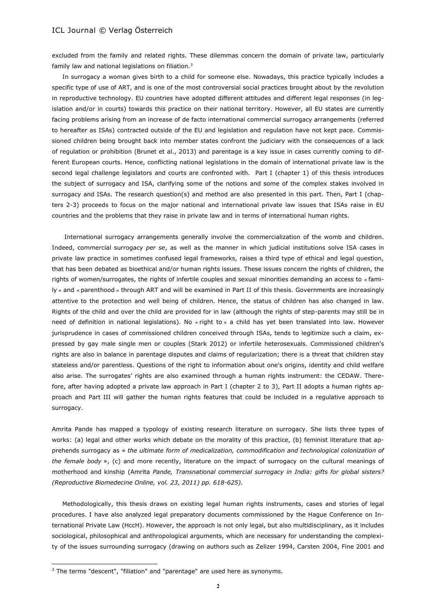excluded from the family and related rights. These dilemmas concern the domain of private law, particularly family law and national legislations on filiation.<sup>3</sup>

In surrogacy a woman gives birth to a child for someone else. Nowadays, this practice typically includes a specific type of use of ART, and is one of the most controversial social practices brought about by the revolution in reproductive technology. EU countries have adopted different attitudes and different legal responses (in legislation and/or in courts) towards this practice on their national territory. However, all EU states are currently facing problems arising from an increase of de facto international commercial surrogacy arrangements (referred to hereafter as ISAs) contracted outside of the EU and legislation and regulation have not kept pace. Commissioned children being brought back into member states confront the judiciary with the consequences of a lack of regulation or prohibition (Brunet et al., 2013) and parentage is a key issue in cases currently coming to different European courts. Hence, conflicting national legislations in the domain of international private law is the second legal challenge legislators and courts are confronted with. Part I (chapter 1) of this thesis introduces the subject of surrogacy and ISA, clarifying some of the notions and some of the complex stakes involved in surrogacy and ISAs. The research question(s) and method are also presented in this part. Then, Part I (chapters 2-3) proceeds to focus on the major national and international private law issues that ISAs raise in EU countries and the problems that they raise in private law and in terms of international human rights.

International surrogacy arrangements generally involve the commercialization of the womb and children. Indeed, commercial surrogacy *per se*, as well as the manner in which judicial institutions solve ISA cases in private law practice in sometimes confused legal frameworks, raises a third type of ethical and legal question, that has been debated as bioethical and/or human rights issues. These issues concern the rights of children, the rights of women/surrogates, the rights of infertile couples and sexual minorities demanding an access to « family » and « parenthood » through ART and will be examined in Part II of this thesis. Governments are increasingly attentive to the protection and well being of children. Hence, the status of children has also changed in law. Rights of the child and over the child are provided for in law (although the rights of step-parents may still be in need of definition in national legislations). No « right to » a child has yet been translated into law. However jurisprudence in cases of commissioned children conceived through ISAs, tends to legitimize such a claim, expressed by gay male single men or couples (Stark 2012) or infertile heterosexuals. Commissioned children's rights are also in balance in parentage disputes and claims of regularization; there is a threat that children stay stateless and/or parentless. Questions of the right to information about one's origins, identity and child welfare also arise. The surrogates' rights are also examined through a human rights instrument: the CEDAW. Therefore, after having adopted a private law approach in Part I (chapter 2 to 3), Part II adopts a human rights approach and Part III will gather the human rights features that could be included in a regulative approach to surrogacy.

Amrita Pande has mapped a typology of existing research literature on surrogacy. She lists three types of works: (a) legal and other works which debate on the morality of this practice, (b) feminist literature that apprehends surrogacy as « *the ultimate form of medicalization, commodification and technological colonization of the female body* », (c) and more recently, literature on the impact of surrogacy on the cultural meanings of motherhood and kinship (Amrita *Pande, Transnational commercial surrogacy in India: gifts for global sisters? (Reproductive Biomedecine Online, vol. 23, 2011) pp. 618-625).* 

Methodologically, this thesis draws on existing legal human rights instruments, cases and stories of legal procedures. I have also analyzed legal preparatory documents commissioned by the Hague Conference on International Private Law (HccH). However, the approach is not only legal, but also multidisciplinary, as it includes sociological, philosophical and anthropological arguments, which are necessary for understanding the complexity of the issues surrounding surrogacy (drawing on authors such as Zelizer 1994, Carsten 2004, Fine 2001 and

 $\overline{a}$ 

<sup>&</sup>lt;sup>3</sup> The terms "descent", "filiation" and "parentage" are used here as synonyms.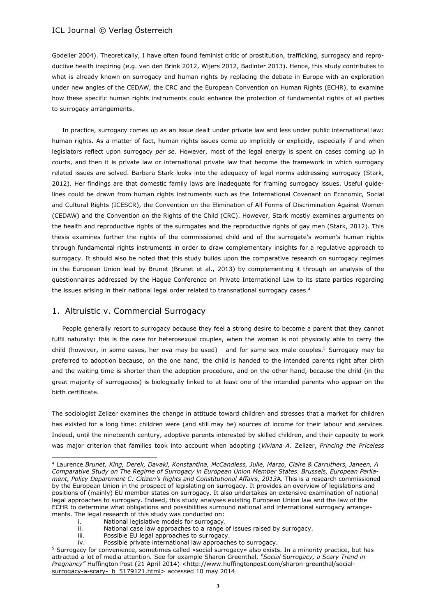Godelier 2004). Theoretically, I have often found feminist critic of prostitution, trafficking, surrogacy and reproductive health inspiring (e.g. van den Brink 2012, Wijers 2012, Badinter 2013). Hence, this study contributes to what is already known on surrogacy and human rights by replacing the debate in Europe with an exploration under new angles of the CEDAW, the CRC and the European Convention on Human Rights (ECHR), to examine how these specific human rights instruments could enhance the protection of fundamental rights of all parties to surrogacy arrangements.

In practice, surrogacy comes up as an issue dealt under private law and less under public international law: human rights. As a matter of fact, human rights issues come up implicitly or explicitly, especially if and when legislators reflect upon surrogacy *per se*. However, most of the legal energy is spent on cases coming up in courts, and then it is private law or international private law that become the framework in which surrogacy related issues are solved. Barbara Stark looks into the adequacy of legal norms addressing surrogacy (Stark, 2012). Her findings are that domestic family laws are inadequate for framing surrogacy issues. Useful guidelines could be drawn from human rights instruments such as the International Covenant on Economic, Social and Cultural Rights (ICESCR), the Convention on the Elimination of All Forms of Discrimination Against Women (CEDAW) and the Convention on the Rights of the Child (CRC). However, Stark mostly examines arguments on the health and reproductive rights of the surrogates and the reproductive rights of gay men (Stark, 2012). This thesis examines further the rights of the commissioned child and of the surrogate's women's human rights through fundamental rights instruments in order to draw complementary insights for a regulative approach to surrogacy. It should also be noted that this study builds upon the comparative research on surrogacy regimes in the European Union lead by Brunet (Brunet et al., 2013) by complementing it through an analysis of the questionnaires addressed by the Hague Conference on Private International Law to its state parties regarding the issues arising in their national legal order related to transnational surrogacy cases.<sup>4</sup>

## 1. Altruistic v. Commercial Surrogacy

 $\overline{a}$ 

People generally resort to surrogacy because they feel a strong desire to become a parent that they cannot fulfil naturally: this is the case for heterosexual couples, when the woman is not physically able to carry the child (however, in some cases, her ova may be used) - and for same-sex male couples.<sup>5</sup> Surrogacy may be preferred to adoption because, on the one hand, the child is handed to the intended parents right after birth and the waiting time is shorter than the adoption procedure, and on the other hand, because the child (in the great majority of surrogacies) is biologically linked to at least one of the intended parents who appear on the birth certificate.

The sociologist Zelizer examines the change in attitude toward children and stresses that a market for children has existed for a long time: children were (and still may be) sources of income for their labour and services. Indeed, until the nineteenth century, adoptive parents interested by skilled children, and their capacity to work was major criterion that families took into account when adopting (*Viviana A.* Zelizer, *Princing the Priceless* 

- i. National legislative models for surrogacy.
- ii. National case law approaches to a range of issues raised by surrogacy.
- iii. Possible EU legal approaches to surrogacy.
- iv. Possible private international law approaches to surrogacy.

<sup>4</sup> Laurence *Brunet, King, Derek, Davaki, Konstantina, McCandless, Julie, Marzo, Claire & Carruthers, Janeen, A Comparative Study on The Regime of Surrogacy in European Union Member States. Brussels, European Parliament, Policy Department C: Citizen's Rights and Constitutional Affairs, 2013*A. This is a research commissioned by the European Union in the prospect of legislating on surrogacy. It provides an overview of legislations and positions of (mainly) EU member states on surrogacy. It also undertakes an extensive examination of national legal approaches to surrogacy. Indeed, this study analyses existing European Union law and the law of the ECHR to determine what obligations and possibilities surround national and international surrogacy arrangements. The legal research of this study was conducted on:

<sup>5</sup> Surrogacy for convenience, sometimes called «social surrogacy» also exists. In a minority practice, but has attracted a lot of media attention*.* See for example Sharon Greenthal, *"Social Surrogacy, a Scary Trend in*  Pregnancy" Huffington Post (21 April 2014) [<http://www.huffingtonpost.com/sharon-greenthal/social](http://www.huffingtonpost.com/sharon-greenthal/social-surrogacy-a-scary-_b_5179121.html)[surrogacy-a-scary-\\_b\\_5179121.html>](http://www.huffingtonpost.com/sharon-greenthal/social-surrogacy-a-scary-_b_5179121.html) accessed 10 may 2014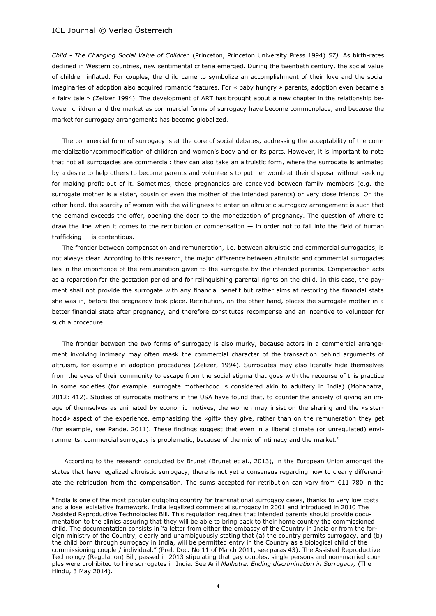$\overline{\phantom{a}}$ 

*Child - The Changing Social Value of Children* (Princeton, Princeton University Press 1994) *57).* As birth-rates declined in Western countries, new sentimental criteria emerged. During the twentieth century, the social value of children inflated. For couples, the child came to symbolize an accomplishment of their love and the social imaginaries of adoption also acquired romantic features. For « baby hungry » parents, adoption even became a « fairy tale » (Zelizer 1994). The development of ART has brought about a new chapter in the relationship between children and the market as commercial forms of surrogacy have become commonplace, and because the market for surrogacy arrangements has become globalized.

The commercial form of surrogacy is at the core of social debates, addressing the acceptability of the commercialization/commodification of children and women's body and or its parts. However, it is important to note that not all surrogacies are commercial: they can also take an altruistic form, where the surrogate is animated by a desire to help others to become parents and volunteers to put her womb at their disposal without seeking for making profit out of it. Sometimes, these pregnancies are conceived between family members (e.g. the surrogate mother is a sister, cousin or even the mother of the intended parents) or very close friends. On the other hand, the scarcity of women with the willingness to enter an altruistic surrogacy arrangement is such that the demand exceeds the offer, opening the door to the monetization of pregnancy. The question of where to draw the line when it comes to the retribution or compensation — in order not to fall into the field of human trafficking — is contentious.

The frontier between compensation and remuneration, i.e. between altruistic and commercial surrogacies, is not always clear. According to this research, the major difference between altruistic and commercial surrogacies lies in the importance of the remuneration given to the surrogate by the intended parents. Compensation acts as a reparation for the gestation period and for relinquishing parental rights on the child. In this case, the payment shall not provide the surrogate with any financial benefit but rather aims at restoring the financial state she was in, before the pregnancy took place. Retribution, on the other hand, places the surrogate mother in a better financial state after pregnancy, and therefore constitutes recompense and an incentive to volunteer for such a procedure.

The frontier between the two forms of surrogacy is also murky, because actors in a commercial arrangement involving intimacy may often mask the commercial character of the transaction behind arguments of altruism, for example in adoption procedures (Zelizer, 1994). Surrogates may also literally hide themselves from the eyes of their community to escape from the social stigma that goes with the recourse of this practice in some societies (for example, surrogate motherhood is considered akin to adultery in India) (Mohapatra, 2012: 412). Studies of surrogate mothers in the USA have found that, to counter the anxiety of giving an image of themselves as animated by economic motives, the women may insist on the sharing and the «sisterhood» aspect of the experience, emphasizing the «gift» they give, rather than on the remuneration they get (for example, see Pande, 2011). These findings suggest that even in a liberal climate (or unregulated) environments, commercial surrogacy is problematic, because of the mix of intimacy and the market.<sup>6</sup>

According to the research conducted by Brunet (Brunet et al., 2013), in the European Union amongst the states that have legalized altruistic surrogacy, there is not yet a consensus regarding how to clearly differentiate the retribution from the compensation. The sums accepted for retribution can vary from €11 780 in the

<sup>6</sup> India is one of the most popular outgoing country for transnational surrogacy cases, thanks to very low costs and a lose legislative framework. India legalized commercial surrogacy in 2001 and introduced in 2010 The Assisted Reproductive Technologies Bill. This regulation requires that intended parents should provide documentation to the clinics assuring that they will be able to bring back to their home country the commissioned child. The documentation consists in "a letter from either the embassy of the Country in India or from the foreign ministry of the Country, clearly and unambiguously stating that (a) the country permits surrogacy, and (b) the child born through surrogacy in India, will be permitted entry in the Country as a biological child of the commissioning couple / individual." (Prel. Doc. No 11 of March 2011, see paras 43). The Assisted Reproductive Technology (Regulation) Bill, passed in 2013 stipulating that gay couples, single persons and non-married couples were prohibited to hire surrogates in India. See Anil *Malhotra, Ending discrimination in Surrogacy,* (The Hindu, 3 May 2014).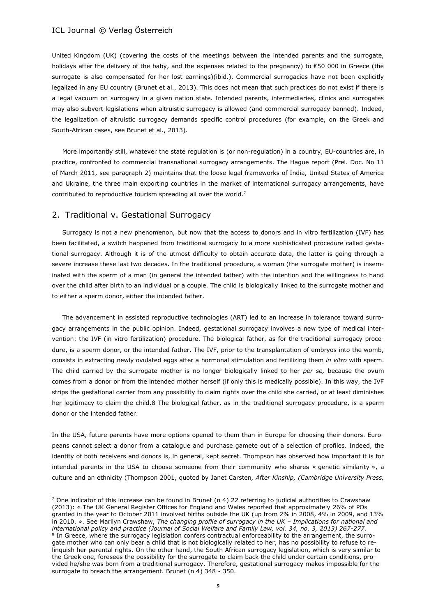United Kingdom (UK) (covering the costs of the meetings between the intended parents and the surrogate, holidays after the delivery of the baby, and the expenses related to the pregnancy) to €50 000 in Greece (the surrogate is also compensated for her lost earnings)(ibid.). Commercial surrogacies have not been explicitly legalized in any EU country (Brunet et al., 2013). This does not mean that such practices do not exist if there is a legal vacuum on surrogacy in a given nation state. Intended parents, intermediaries, clinics and surrogates may also subvert legislations when altruistic surrogacy is allowed (and commercial surrogacy banned). Indeed, the legalization of altruistic surrogacy demands specific control procedures (for example, on the Greek and South-African cases, see Brunet et al., 2013).

More importantly still, whatever the state regulation is (or non-regulation) in a country, EU-countries are, in practice, confronted to commercial transnational surrogacy arrangements. The Hague report (Prel. Doc. No 11 of March 2011, see paragraph 2) maintains that the loose legal frameworks of India, United States of America and Ukraine, the three main exporting countries in the market of international surrogacy arrangements, have contributed to reproductive tourism spreading all over the world.<sup>7</sup>

## 2. Traditional v. Gestational Surrogacy

 $\overline{\phantom{a}}$ 

Surrogacy is not a new phenomenon, but now that the access to donors and in vitro fertilization (IVF) has been facilitated, a switch happened from traditional surrogacy to a more sophisticated procedure called gestational surrogacy. Although it is of the utmost difficulty to obtain accurate data, the latter is going through a severe increase these last two decades. In the traditional procedure, a woman (the surrogate mother) is inseminated with the sperm of a man (in general the intended father) with the intention and the willingness to hand over the child after birth to an individual or a couple. The child is biologically linked to the surrogate mother and to either a sperm donor, either the intended father.

The advancement in assisted reproductive technologies (ART) led to an increase in tolerance toward surrogacy arrangements in the public opinion. Indeed, gestational surrogacy involves a new type of medical intervention: the IVF (in vitro fertilization) procedure. The biological father, as for the traditional surrogacy procedure, is a sperm donor, or the intended father. The IVF, prior to the transplantation of embryos into the womb, consists in extracting newly ovulated eggs after a hormonal stimulation and fertilizing them *in vitro* with sperm. The child carried by the surrogate mother is no longer biologically linked to her *per se,* because the ovum comes from a donor or from the intended mother herself (if only this is medically possible). In this way, the IVF strips the gestational carrier from any possibility to claim rights over the child she carried, or at least diminishes her legitimacy to claim the child.8 The biological father, as in the traditional surrogacy procedure, is a sperm donor or the intended father.

In the USA, future parents have more options opened to them than in Europe for choosing their donors. Europeans cannot select a donor from a catalogue and purchase gamete out of a selection of profiles. Indeed, the identity of both receivers and donors is, in general, kept secret. Thompson has observed how important it is for intended parents in the USA to choose someone from their community who shares « genetic similarity », a culture and an ethnicity (Thompson 2001, quoted by Janet Carsten*, After Kinship, (Cambridge University Press,* 

<sup>&</sup>lt;sup>7</sup> One indicator of this increase can be found in Brunet (n 4) 22 referring to judicial authorities to Crawshaw (2013): « The UK General Register Offices for England and Wales reported that approximately 26% of POs granted in the year to October 2011 involved births outside the UK (up from 2% in 2008, 4% in 2009, and 13% in 2010. ». See Marilyn Crawshaw, *The changing profile of surrogacy in the UK – Implications for national and international policy and practice (Journal of Social Welfare and Family Law, vol. 34, no. 3, 2013) 267-277.* <sup>8</sup> In Greece, where the surrogacy legislation confers contractual enforceability to the arrangement, the surrogate mother who can only bear a child that is not biologically related to her, has no possibility to refuse to relinquish her parental rights. On the other hand, the South African surrogacy legislation, which is very similar to the Greek one, foresees the possibility for the surrogate to claim back the child under certain conditions, provided he/she was born from a traditional surrogacy. Therefore, gestational surrogacy makes impossible for the surrogate to breach the arrangement. Brunet  $(n\ 4)$  348 - 350.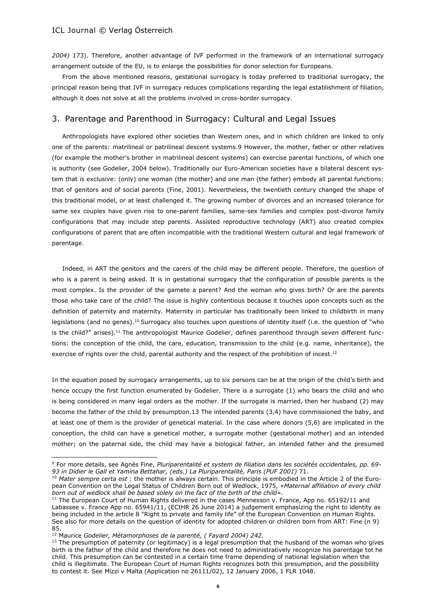*2004)* 173). Therefore, another advantage of IVF performed in the framework of an international surrogacy arrangement outside of the EU, is to enlarge the possibilities for donor selection for Europeans.

From the above mentioned reasons, gestational surrogacy is today preferred to traditional surrogacy, the principal reason being that IVF in surrogacy reduces complications regarding the legal establishment of filiation, although it does not solve at all the problems involved in cross-border surrogacy.

## 3. Parentage and Parenthood in Surrogacy: Cultural and Legal Issues

Anthropologists have explored other societies than Western ones, and in which children are linked to only one of the parents: matrilineal or patrilineal descent systems.9 However, the mother, father or other relatives (for example the mother's brother in matrilineal descent systems) can exercise parental functions, of which one is authority (see Godelier, 2004 below). Traditionally our Euro-American societies have a bilateral descent system that is exclusive: (only) one woman (the mother) and one man (the father) embody all parental functions: that of genitors and of social parents (Fine, 2001). Nevertheless, the twentieth century changed the shape of this traditional model, or at least challenged it. The growing number of divorces and an increased tolerance for same sex couples have given rise to one-parent families, same-sex families and complex post-divorce family configurations that may include step parents. Assisted reproductive technology (ART) also created complex configurations of parent that are often incompatible with the traditional Western cultural and legal framework of parentage.

Indeed, in ART the genitors and the carers of the child may be different people. Therefore, the question of who is a parent is being asked. It is in gestational surrogacy that the configuration of possible parents is the most complex. Is the provider of the gamete a parent? And the woman who gives birth? Or are the parents those who take care of the child? The issue is highly contentious because it touches upon concepts such as the definition of paternity and maternity. Maternity in particular has traditionally been linked to childbirth in many legislations (and no genes).<sup>10</sup> Surrogacy also touches upon questions of identity itself (i.e. the question of "who is the child?" arises).<sup>11</sup> The anthropologist Maurice Godelier, defines parenthood through seven different functions: the conception of the child, the care, education, transmission to the child (e.g. name, inheritance), the exercise of rights over the child, parental authority and the respect of the prohibition of incest.<sup>12</sup>

In the equation posed by surrogacy arrangements, up to six persons can be at the origin of the child's birth and hence occupy the first function enumerated by Godelier. There is a surrogate (1) who bears the child and who is being considered in many legal orders as the mother. If the surrogate is married, then her husband (2) may become the father of the child by presumption.13 The intended parents (3,4) have commissioned the baby, and at least one of them is the provider of genetical material. In the case where donors (5,6) are implicated in the conception, the child can have a genetical mother, a surrogate mother (gestational mother) and an intended mother; on the paternal side, the child may have a biological father, an intended father and the presumed

 $\overline{a}$ 

<sup>9</sup> For more details, see Agnès Fine, *Pluriparentalité et system de filiation dans les sociétés occidentales, pp. 69-* 93 in Didier le Gall et Yamina Bettahar, (eds.) La Pluriparentalité, Paris (PUF 2001) 71.

<sup>10</sup> *Mater sempre certa est* : the mother is always certain. This principle is embodied in the Article 2 of the European Convention on the Legal Status of Children Born out of Wedlock, 1975, «*Maternal affiliation of every child born out of wedlock shall be based solely on the fact of the birth of the child*».

<sup>&</sup>lt;sup>11</sup> The European Court of Human Rights delivered in the cases Mennesson v. France, App no. 65192/11 and Labassee v. France App no. 65941/11, (ECtHR 26 June 2014) a judgement emphasizing the right to identity as being included in the article 8 "Right to private and family life" of the European Convention on Human Rights. See also for more details on the question of identity for adopted children or children born from ART: Fine (n 9) 85.

<sup>12</sup> Maurice *Godelier, Métamorphoses de la parenté, ( Fayard 2004) 242.*

 $13$  The presumption of paternity (or legitimacy) is a legal presumption that the husband of the woman who gives birth is the father of the child and therefore he does not need to administratively recognize his parentage tot he child. This presumption can be contested in a certain time frame depending of national legislation when the child is illegitimate. The European Court of Human Rights recognizes both this presumption, and the possibility to contest it. See Mizzi v Malta (Application no 26111/02), 12 January 2006, 1 FLR 1048.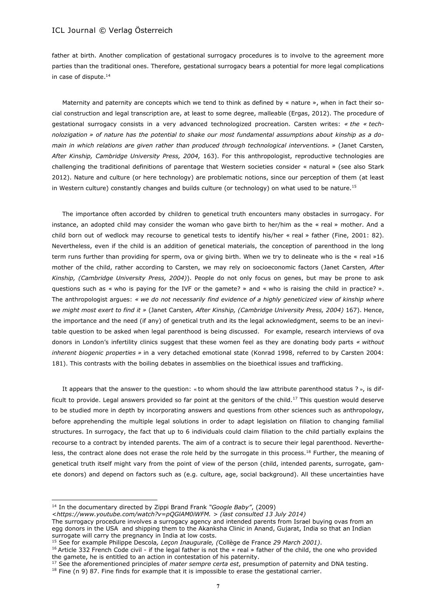father at birth. Another complication of gestational surrogacy procedures is to involve to the agreement more parties than the traditional ones. Therefore, gestational surrogacy bears a potential for more legal complications in case of dispute.<sup>14</sup>

Maternity and paternity are concepts which we tend to think as defined by « nature », when in fact their social construction and legal transcription are, at least to some degree, malleable (Ergas, 2012). The procedure of gestational surrogacy consists in a very advanced technologized procreation. Carsten writes: *« the « technolozigation » of nature has the potential to shake our most fundamental assumptions about kinship as a domain in which relations are given rather than produced through technological interventions. »* (Janet Carsten*, After Kinship, Cambridge University Press, 2004,* 163). For this anthropologist, reproductive technologies are challenging the traditional definitions of parentage that Western societies consider « natural » (see also Stark 2012). Nature and culture (or here technology) are problematic notions, since our perception of them (at least in Western culture) constantly changes and builds culture (or technology) on what used to be nature.<sup>15</sup>

The importance often accorded by children to genetical truth encounters many obstacles in surrogacy. For instance, an adopted child may consider the woman who gave birth to her/him as the « real » mother. And a child born out of wedlock may recourse to genetical tests to identify his/her « real » father (Fine, 2001: 82). Nevertheless, even if the child is an addition of genetical materials, the conception of parenthood in the long term runs further than providing for sperm, ova or giving birth. When we try to delineate who is the « real »16 mother of the child, rather according to Carsten, we may rely on socioeconomic factors (Janet Carsten*, After Kinship, (Cambridge University Press, 2004)*). People do not only focus on genes, but may be prone to ask questions such as « who is paying for the IVF or the gamete? » and « who is raising the child in practice? ». The anthropologist argues: *« we do not necessarily find evidence of a highly geneticized view of kinship where we might most exert to find it »* (Janet Carsten*, After Kinship, (Cambridge University Press, 2004)* 167). Hence, the importance and the need (if any) of genetical truth and its the legal acknowledgment, seems to be an inevitable question to be asked when legal parenthood is being discussed. For example, research interviews of ova donors in London's infertility clinics suggest that these women feel as they are donating body parts *« without inherent biogenic properties »* in a very detached emotional state (Konrad 1998, referred to by Carsten 2004: 181). This contrasts with the boiling debates in assemblies on the bioethical issues and trafficking.

It appears that the answer to the question: « to whom should the law attribute parenthood status ? », is difficult to provide. Legal answers provided so far point at the genitors of the child.<sup>17</sup> This question would deserve to be studied more in depth by incorporating answers and questions from other sciences such as anthropology, before apprehending the multiple legal solutions in order to adapt legislation on filiation to changing familial structures. In surrogacy, the fact that up to 6 individuals could claim filiation to the child partially explains the recourse to a contract by intended parents. The aim of a contract is to secure their legal parenthood. Nevertheless, the contract alone does not erase the role held by the surrogate in this process.<sup>18</sup> Further, the meaning of genetical truth itself might vary from the point of view of the person (child, intended parents, surrogate, gamete donors) and depend on factors such as (e.g. culture, age, social background). All these uncertainties have

 $\overline{\phantom{a}}$ 

<sup>14</sup> In the documentary directed by Zippi Brand Frank *"Google Baby"*, (2009)

<sup>&</sup>lt;*[https://www.youtube.com/watch?v=pQGlAM0iWFM.](https://www.youtube.com/watch?v=pQGlAM0iWFM) > (last consulted 13 July 2014)*

The surrogacy procedure involves a surrogacy agency and intended parents from Israel buying ovas from an egg donors in the USA and shipping them to the Akanksha Clinic in Anand, Gujarat, India so that an Indian surrogate will carry the pregnancy in India at low costs.

<sup>15</sup> See for example Philippe Descola*, Leçon Inaugurale, (*Collège de France *29 March 2001)*.

<sup>&</sup>lt;sup>16</sup> Article 332 French Code civil - if the legal father is not the « real » father of the child, the one who provided the gamete, he is entitled to an action in contestation of his paternity.

<sup>&</sup>lt;sup>17</sup> See the aforementioned principles of *mater sempre certa est*, presumption of paternity and DNA testing.

 $18$  Fine (n 9) 87. Fine finds for example that it is impossible to erase the gestational carrier.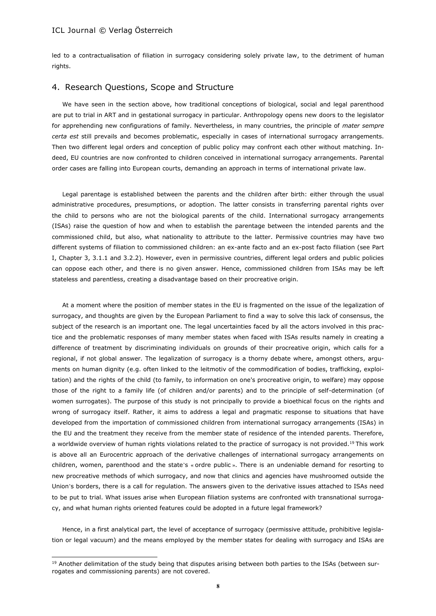$\overline{a}$ 

led to a contractualisation of filiation in surrogacy considering solely private law, to the detriment of human rights.

## 4. Research Questions, Scope and Structure

We have seen in the section above, how traditional conceptions of biological, social and legal parenthood are put to trial in ART and in gestational surrogacy in particular. Anthropology opens new doors to the legislator for apprehending new configurations of family. Nevertheless, in many countries, the principle of *mater sempre certa est* still prevails and becomes problematic, especially in cases of international surrogacy arrangements. Then two different legal orders and conception of public policy may confront each other without matching. Indeed, EU countries are now confronted to children conceived in international surrogacy arrangements. Parental order cases are falling into European courts, demanding an approach in terms of international private law.

Legal parentage is established between the parents and the children after birth: either through the usual administrative procedures, presumptions, or adoption. The latter consists in transferring parental rights over the child to persons who are not the biological parents of the child. International surrogacy arrangements (ISAs) raise the question of how and when to establish the parentage between the intended parents and the commissioned child, but also, what nationality to attribute to the latter. Permissive countries may have two different systems of filiation to commissioned children: an ex-ante facto and an ex-post facto filiation (see Part I, Chapter 3, 3.1.1 and 3.2.2). However, even in permissive countries, different legal orders and public policies can oppose each other, and there is no given answer. Hence, commissioned children from ISAs may be left stateless and parentless, creating a disadvantage based on their procreative origin.

At a moment where the position of member states in the EU is fragmented on the issue of the legalization of surrogacy, and thoughts are given by the European Parliament to find a way to solve this lack of consensus, the subject of the research is an important one. The legal uncertainties faced by all the actors involved in this practice and the problematic responses of many member states when faced with ISAs results namely in creating a difference of treatment by discriminating individuals on grounds of their procreative origin, which calls for a regional, if not global answer. The legalization of surrogacy is a thorny debate where, amongst others, arguments on human dignity (e.g. often linked to the leitmotiv of the commodification of bodies, trafficking, exploitation) and the rights of the child (to family, to information on one's procreative origin, to welfare) may oppose those of the right to a family life (of children and/or parents) and to the principle of self-determination (of women surrogates). The purpose of this study is not principally to provide a bioethical focus on the rights and wrong of surrogacy itself. Rather, it aims to address a legal and pragmatic response to situations that have developed from the importation of commissioned children from international surrogacy arrangements (ISAs) in the EU and the treatment they receive from the member state of residence of the intended parents. Therefore, a worldwide overview of human rights violations related to the practice of surrogacy is not provided.<sup>19</sup> This work is above all an Eurocentric approach of the derivative challenges of international surrogacy arrangements on children, women, parenthood and the state's « ordre public ». There is an undeniable demand for resorting to new procreative methods of which surrogacy, and now that clinics and agencies have mushroomed outside the Union's borders, there is a call for regulation. The answers given to the derivative issues attached to ISAs need to be put to trial. What issues arise when European filiation systems are confronted with transnational surrogacy, and what human rights oriented features could be adopted in a future legal framework?

Hence, in a first analytical part, the level of acceptance of surrogacy (permissive attitude, prohibitive legislation or legal vacuum) and the means employed by the member states for dealing with surrogacy and ISAs are

<sup>&</sup>lt;sup>19</sup> Another delimitation of the study being that disputes arising between both parties to the ISAs (between surrogates and commissioning parents) are not covered.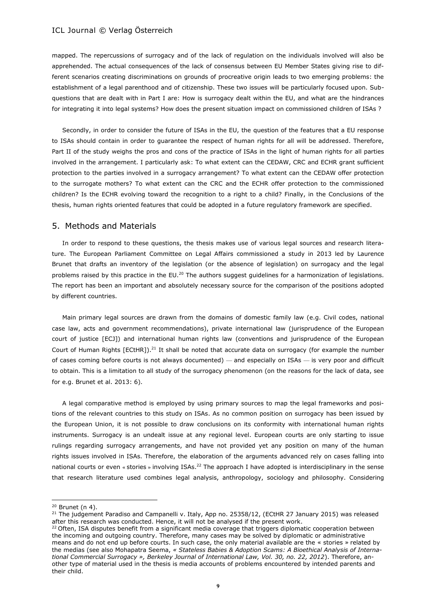mapped. The repercussions of surrogacy and of the lack of regulation on the individuals involved will also be apprehended. The actual consequences of the lack of consensus between EU Member States giving rise to different scenarios creating discriminations on grounds of procreative origin leads to two emerging problems: the establishment of a legal parenthood and of citizenship. These two issues will be particularly focused upon. Subquestions that are dealt with in Part I are: How is surrogacy dealt within the EU, and what are the hindrances for integrating it into legal systems? How does the present situation impact on commissioned children of ISAs ?

Secondly, in order to consider the future of ISAs in the EU, the question of the features that a EU response to ISAs should contain in order to guarantee the respect of human rights for all will be addressed. Therefore, Part II of the study weighs the pros and cons of the practice of ISAs in the light of human rights for all parties involved in the arrangement. I particularly ask: To what extent can the CEDAW, CRC and ECHR grant sufficient protection to the parties involved in a surrogacy arrangement? To what extent can the CEDAW offer protection to the surrogate mothers? To what extent can the CRC and the ECHR offer protection to the commissioned children? Is the ECHR evolving toward the recognition to a right to a child? Finally, in the Conclusions of the thesis, human rights oriented features that could be adopted in a future regulatory framework are specified.

### 5. Methods and Materials

In order to respond to these questions, the thesis makes use of various legal sources and research literature. The European Parliament Committee on Legal Affairs commissioned a study in 2013 led by Laurence Brunet that drafts an inventory of the legislation (or the absence of legislation) on surrogacy and the legal problems raised by this practice in the EU.<sup>20</sup> The authors suggest guidelines for a harmonization of legislations. The report has been an important and absolutely necessary source for the comparison of the positions adopted by different countries.

Main primary legal sources are drawn from the domains of domestic family law (e.g. Civil codes, national case law, acts and government recommendations), private international law (jurisprudence of the European court of justice [ECJ]) and international human rights law (conventions and jurisprudence of the European Court of Human Rights [ECtHR]).<sup>21</sup> It shall be noted that accurate data on surrogacy (for example the number of cases coming before courts is not always documented) — and especially on ISAs — is very poor and difficult to obtain. This is a limitation to all study of the surrogacy phenomenon (on the reasons for the lack of data, see for e.g. Brunet et al. 2013: 6).

A legal comparative method is employed by using primary sources to map the legal frameworks and positions of the relevant countries to this study on ISAs. As no common position on surrogacy has been issued by the European Union, it is not possible to draw conclusions on its conformity with international human rights instruments. Surrogacy is an undealt issue at any regional level. European courts are only starting to issue rulings regarding surrogacy arrangements, and have not provided yet any position on many of the human rights issues involved in ISAs. Therefore, the elaboration of the arguments advanced rely on cases falling into national courts or even « stories » involving ISAs.<sup>22</sup> The approach I have adopted is interdisciplinary in the sense that research literature used combines legal analysis, anthropology, sociology and philosophy. Considering

 $\overline{\phantom{a}}$ 

 $20$  Brunet (n 4).

<sup>&</sup>lt;sup>21</sup> The judgement Paradiso and Campanelli v. Italy, App no. 25358/12, (ECtHR 27 January 2015) was released after this research was conducted. Hence, it will not be analysed if the present work.

<sup>&</sup>lt;sup>22</sup> Often, ISA disputes benefit from a significant media coverage that triggers diplomatic cooperation between the incoming and outgoing country. Therefore, many cases may be solved by diplomatic or administrative means and do not end up before courts. In such case, the only material available are the « stories » related by the medias (see also Mohapatra Seema, *« Stateless Babies & Adoption Scams: A Bioethical Analysis of International Commercial Surrogacy », Berkeley Journal of International Law, Vol. 30, no. 22, 2012*). Therefore, another type of material used in the thesis is media accounts of problems encountered by intended parents and their child.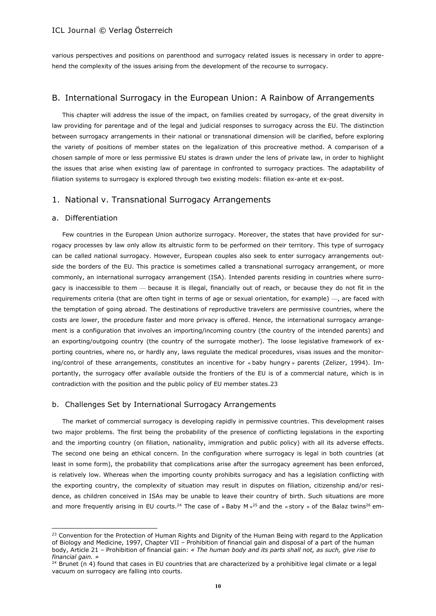various perspectives and positions on parenthood and surrogacy related issues is necessary in order to apprehend the complexity of the issues arising from the development of the recourse to surrogacy.

## B. International Surrogacy in the European Union: A Rainbow of Arrangements

This chapter will address the issue of the impact, on families created by surrogacy, of the great diversity in law providing for parentage and of the legal and judicial responses to surrogacy across the EU. The distinction between surrogacy arrangements in their national or transnational dimension will be clarified, before exploring the variety of positions of member states on the legalization of this procreative method. A comparison of a chosen sample of more or less permissive EU states is drawn under the lens of private law, in order to highlight the issues that arise when existing law of parentage in confronted to surrogacy practices. The adaptability of filiation systems to surrogacy is explored through two existing models: filiation ex-ante et ex-post.

## 1. National v. Transnational Surrogacy Arrangements

### a. Differentiation

 $\overline{\phantom{a}}$ 

Few countries in the European Union authorize surrogacy. Moreover, the states that have provided for surrogacy processes by law only allow its altruistic form to be performed on their territory. This type of surrogacy can be called national surrogacy. However, European couples also seek to enter surrogacy arrangements outside the borders of the EU. This practice is sometimes called a transnational surrogacy arrangement, or more commonly, an international surrogacy arrangement (ISA). Intended parents residing in countries where surrogacy is inaccessible to them — because it is illegal, financially out of reach, or because they do not fit in the requirements criteria (that are often tight in terms of age or sexual orientation, for example) —, are faced with the temptation of going abroad. The destinations of reproductive travelers are permissive countries, where the costs are lower, the procedure faster and more privacy is offered. Hence, the international surrogacy arrangement is a configuration that involves an importing/incoming country (the country of the intended parents) and an exporting/outgoing country (the country of the surrogate mother). The loose legislative framework of exporting countries, where no, or hardly any, laws regulate the medical procedures, visas issues and the monitoring/control of these arrangements, constitutes an incentive for « baby hungry » parents (Zelizer, 1994). Importantly, the surrogacy offer available outside the frontiers of the EU is of a commercial nature, which is in contradiction with the position and the public policy of EU member states.23

## b. Challenges Set by International Surrogacy Arrangements

The market of commercial surrogacy is developing rapidly in permissive countries. This development raises two major problems. The first being the probability of the presence of conflicting legislations in the exporting and the importing country (on filiation, nationality, immigration and public policy) with all its adverse effects. The second one being an ethical concern. In the configuration where surrogacy is legal in both countries (at least in some form), the probability that complications arise after the surrogacy agreement has been enforced, is relatively low. Whereas when the importing county prohibits surrogacy and has a legislation conflicting with the exporting country, the complexity of situation may result in disputes on filiation, citizenship and/or residence, as children conceived in ISAs may be unable to leave their country of birth. Such situations are more and more frequently arising in EU courts.<sup>24</sup> The case of « Baby M  $\rm s^{25}$  and the «story » of the Balaz twins<sup>26</sup> em-

<sup>&</sup>lt;sup>23</sup> Convention for the Protection of Human Rights and Dignity of the Human Being with regard to the Application of Biology and Medicine, 1997, Chapter VII – Prohibition of financial gain and disposal of a part of the human body, Article 21 – Prohibition of financial gain: *« The human body and its parts shall not, as such, give rise to financial gain. »*

 $24$  Brunet (n 4) found that cases in EU countries that are characterized by a prohibitive legal climate or a legal vacuum on surrogacy are falling into courts.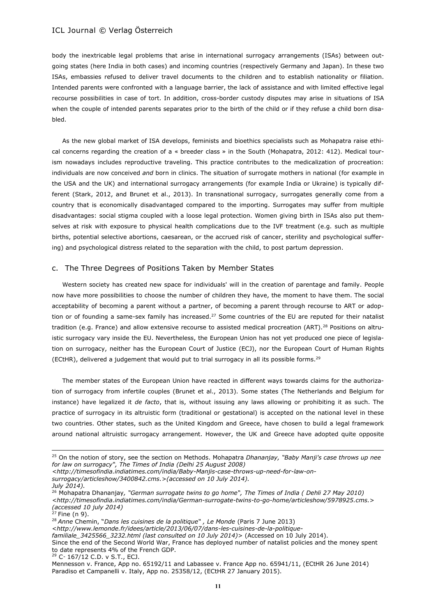body the inextricable legal problems that arise in international surrogacy arrangements (ISAs) between outgoing states (here India in both cases) and incoming countries (respectively Germany and Japan). In these two ISAs, embassies refused to deliver travel documents to the children and to establish nationality or filiation. Intended parents were confronted with a language barrier, the lack of assistance and with limited effective legal recourse possibilities in case of tort. In addition, cross-border custody disputes may arise in situations of ISA when the couple of intended parents separates prior to the birth of the child or if they refuse a child born disabled.

As the new global market of ISA develops, feminists and bioethics specialists such as Mohapatra raise ethical concerns regarding the creation of a « breeder class » in the South (Mohapatra, 2012: 412). Medical tourism nowadays includes reproductive traveling. This practice contributes to the medicalization of procreation: individuals are now conceived *and* born in clinics. The situation of surrogate mothers in national (for example in the USA and the UK) and international surrogacy arrangements (for example India or Ukraine) is typically different (Stark, 2012, and Brunet et al., 2013). In transnational surrogacy, surrogates generally come from a country that is economically disadvantaged compared to the importing. Surrogates may suffer from multiple disadvantages: social stigma coupled with a loose legal protection. Women giving birth in ISAs also put themselves at risk with exposure to physical health complications due to the IVF treatment (e.g. such as multiple births, potential selective abortions, caesarean, or the accrued risk of cancer, sterility and psychological suffering) and psychological distress related to the separation with the child, to post partum depression.

## c. The Three Degrees of Positions Taken by Member States

Western society has created new space for individuals' will in the creation of parentage and family. People now have more possibilities to choose the number of children they have, the moment to have them. The social acceptability of becoming a parent without a partner, of becoming a parent through recourse to ART or adoption or of founding a same-sex family has increased.<sup>27</sup> Some countries of the EU are reputed for their natalist tradition (e.g. France) and allow extensive recourse to assisted medical procreation (ART).<sup>28</sup> Positions on altruistic surrogacy vary inside the EU. Nevertheless, the European Union has not yet produced one piece of legislation on surrogacy, neither has the European Court of Justice (ECJ), nor the European Court of Human Rights (ECtHR), delivered a judgement that would put to trial surrogacy in all its possible forms.<sup>29</sup>

The member states of the European Union have reacted in different ways towards claims for the authorization of surrogacy from infertile couples (Brunet et al., 2013). Some states (The Netherlands and Belgium for instance) have legalized it *de facto*, that is, without issuing any laws allowing or prohibiting it as such. The practice of surrogacy in its altruistic form (traditional or gestational) is accepted on the national level in these two countries. Other states, such as the United Kingdom and Greece, have chosen to build a legal framework around national altruistic surrogacy arrangement. However, the UK and Greece have adopted quite opposite

*[surrogacy/articleshow/3400842.cms.](http://timesofindia.indiatimes.com/india/baby-manjis-case-throws-up-need-for-law-on-surrogacy/articleshow/3400842.cms)>(accessed on 10 July 2014).* 

 $\overline{a}$ 

<sup>28</sup> *Anne* Chemin, "*Dans les cuisines de la politique" , Le Monde* (Paris 7 June 2013)

<*[http://www.lemonde.fr/idees/article/2013/06/07/dans-les-cuisines-de-la-politique-](http://www.lemonde.fr/idees/article/2013/06/07/dans-les-cuisines-de-la-politique-familiale_3425566_3232.html)*

*[familiale\\_3425566\\_3232.html](http://www.lemonde.fr/idees/article/2013/06/07/dans-les-cuisines-de-la-politique-familiale_3425566_3232.html) (last consulted on 10 July 2014)*> (Accessed on 10 July 2014).

Since the end of the Second World War, France has deployed number of natalist policies and the money spent to date represents 4% of the French GDP.

<sup>29</sup> C‑ 167/12 C.D. v S.T., ECJ.

<sup>25</sup> On the notion of story, see the section on Methods. Mohapatra *Dhananjay, "Baby Manji's case throws up nee for law on surrogacy", The Times of India (Delhi 25 August 2008)* 

*[<sup>&</sup>lt;http://timesofindia.indiatimes.com/india/Baby-Manjis-case-throws-up-need-for-law-on-](http://timesofindia.indiatimes.com/india/baby-manjis-case-throws-up-need-for-law-on-surrogacy/articleshow/3400842.cms)*

*July 2014).*

<sup>26</sup> Mohapatra Dhananjay*, "German surrogate twins to go home", The Times of India ( Dehli 27 May 2010) [<http://timesofindia.indiatimes.com/india/German-surrogate-twins-to-go-home/articleshow/5978925.cms.](http://timesofindia.indiatimes.com/india/german-surrogate-twins-to-go-home/articleshow/5978925.cms)> (accessed 10 july 2014)*

 $27$  Fine (n 9).

Mennesson v. France, App no. 65192/11 and Labassee v. France App no. 65941/11, (ECtHR 26 June 2014) Paradiso et Campanelli v. Italy, App no. 25358/12, (ECtHR 27 January 2015).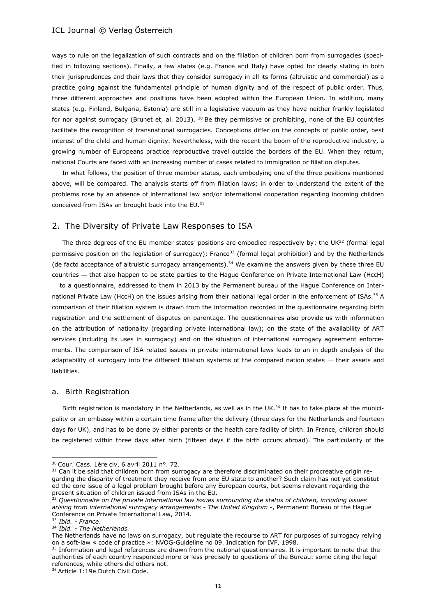ways to rule on the legalization of such contracts and on the filiation of children born from surrogacies (specified in following sections). Finally, a few states (e.g. France and Italy) have opted for clearly stating in both their jurisprudences and their laws that they consider surrogacy in all its forms (altruistic and commercial) as a practice going against the fundamental principle of human dignity and of the respect of public order. Thus, three different approaches and positions have been adopted within the European Union. In addition, many states (e.g. Finland, Bulgaria, Estonia) are still in a legislative vacuum as they have neither frankly legislated for nor against surrogacy (Brunet et, al. 2013). <sup>30</sup> Be they permissive or prohibiting, none of the EU countries facilitate the recognition of transnational surrogacies. Conceptions differ on the concepts of public order, best interest of the child and human dignity. Nevertheless, with the recent the boom of the reproductive industry, a growing number of Europeans practice reproductive travel outside the borders of the EU. When they return, national Courts are faced with an increasing number of cases related to immigration or filiation disputes.

In what follows, the position of three member states, each embodying one of the three positions mentioned above, will be compared. The analysis starts off from filiation laws; in order to understand the extent of the problems rose by an absence of international law and/or international cooperation regarding incoming children conceived from ISAs an brought back into the EU.<sup>31</sup>

## 2. The Diversity of Private Law Responses to ISA

The three degrees of the EU member states' positions are embodied respectively by: the UK $^{32}$  (formal legal permissive position on the legislation of surrogacy); France<sup>33</sup> (formal legal prohibition) and by the Netherlands (de facto acceptance of altruistic surrogacy arrangements).<sup>34</sup> We examine the answers given by these three EU countries — that also happen to be state parties to the Hague Conference on Private International Law (HccH) — to a questionnaire, addressed to them in 2013 by the Permanent bureau of the Hague Conference on International Private Law (HccH) on the issues arising from their national legal order in the enforcement of ISAs.<sup>35</sup> A comparison of their filiation system is drawn from the information recorded in the questionnaire regarding birth registration and the settlement of disputes on parentage. The questionnaires also provide us with information on the attribution of nationality (regarding private international law); on the state of the availability of ART services (including its uses in surrogacy) and on the situation of international surrogacy agreement enforcements. The comparison of ISA related issues in private international laws leads to an in depth analysis of the adaptability of surrogacy into the different filiation systems of the compared nation states — their assets and liabilities.

#### a. Birth Registration

Birth registration is mandatory in the Netherlands, as well as in the UK.<sup>36</sup> It has to take place at the municipality or an embassy within a certain time frame after the delivery (three days for the Netherlands and fourteen days for UK), and has to be done by either parents or the health care facility of birth. In France, children should be registered within three days after birth (fifteen days if the birth occurs abroad). The particularity of the

 $\overline{a}$ 

<sup>30</sup> Cour. Cass. 1ère civ, 6 avril 2011 n°. 72.

<sup>&</sup>lt;sup>31</sup> Can it be said that children born from surrogacy are therefore discriminated on their procreative origin regarding the disparity of treatment they receive from one EU state to another? Such claim has not yet constituted the core issue of a legal problem brought before any European courts, but seems relevant regarding the present situation of children issued from ISAs in the EU.

<sup>32</sup> *Questionnaire on the private international law issues surrounding the status of children, including issues arising from international surrogacy arrangements - The United Kingdom -*, Permanent Bureau of the Hague Conference on Private International Law, 2014.

<sup>33</sup> *Ibid. - France*.

<sup>34</sup> *Ibid. - The Netherlands.*

The Netherlands have no laws on surrogacy, but regulate the recourse to ART for purposes of surrogacy relying on a soft-law « code of practice »: NVOG-Guideline no 09. Indication for IVF, 1998.

<sup>&</sup>lt;sup>35</sup> Information and legal references are drawn from the national questionnaires. It is important to note that the authorities of each country responded more or less precisely to questions of the Bureau: some citing the legal references, while others did others not.

<sup>&</sup>lt;sup>36</sup> Article 1:19e Dutch Civil Code.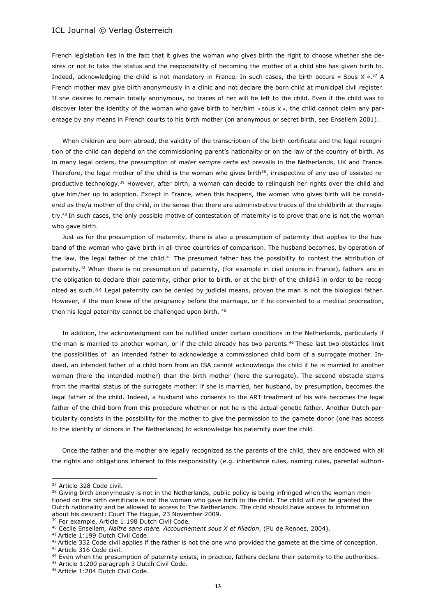French legislation lies in the fact that it gives the woman who gives birth the right to choose whether she desires or not to take the status and the responsibility of becoming the mother of a child she has given birth to. Indeed, acknowledging the child is not mandatory in France. In such cases, the birth occurs  $\alpha$  Sous X ».<sup>37</sup> A French mother may give birth anonymously in a clinic and not declare the born child at municipal civil register. If she desires to remain totally anonymous, no traces of her will be left to the child. Even if the child was to discover later the identity of the woman who gave birth to her/him « sous x », the child cannot claim any parentage by any means in French courts to his birth mother (on anonymous or secret birth, see Ensellem 2001).

When children are born abroad, the validity of the transcription of the birth certificate and the legal recognition of the child can depend on the commissioning parent's nationality or on the law of the country of birth. As in many legal orders, the presumption of *mater sempre certa est* prevails in the Netherlands, UK and France. Therefore, the legal mother of the child is the woman who gives birth $38$ , irrespective of any use of assisted reproductive technology.<sup>39</sup> However, after birth, a woman can decide to relinquish her rights over the child and give him/her up to adoption. Except in France, when this happens, the woman who gives birth will be considered as the/a mother of the child, in the sense that there are administrative traces of the childbirth at the registry.<sup>40</sup> In such cases, the only possible motive of contestation of maternity is to prove that one is not the woman who gave birth.

Just as for the presumption of maternity, there is also a presumption of paternity that applies to the husband of the woman who gave birth in all three countries of comparison. The husband becomes, by operation of the law, the legal father of the child.<sup>41</sup> The presumed father has the possibility to contest the attribution of paternity.<sup>42</sup> When there is no presumption of paternity, (for example in civil unions in France), fathers are in the obligation to declare their paternity, either prior to birth, or at the birth of the child43 in order to be recognized as such.44 Legal paternity can be denied by judicial means, proven the man is not the biological father. However, if the man knew of the pregnancy before the marriage, or if he consented to a medical procreation, then his legal paternity cannot be challenged upon birth. 45

In addition, the acknowledgment can be nullified under certain conditions in the Netherlands, particularly if the man is married to another woman, or if the child already has two parents.<sup>46</sup> These last two obstacles limit the possibilities of an intended father to acknowledge a commissioned child born of a surrogate mother. Indeed, an intended father of a child born from an ISA cannot acknowledge the child if he is married to another woman (here the intended mother) than the birth mother (here the surrogate). The second obstacle stems from the marital status of the surrogate mother: if she is married, her husband, by presumption, becomes the legal father of the child. Indeed, a husband who consents to the ART treatment of his wife becomes the legal father of the child born from this procedure whether or not he is the actual genetic father. Another Dutch particularity consists in the possibility for the mother to give the permission to the gamete donor (one has access to the identity of donors in The Netherlands) to acknowledge his paternity over the child.

Once the father and the mother are legally recognized as the parents of the child, they are endowed with all the rights and obligations inherent to this responsibility (e.g. inheritance rules, naming rules, parental authori-

 $\overline{\phantom{a}}$ 

<sup>39</sup> For example, Article 1:198 Dutch Civil Code.

<sup>41</sup> Article 1:199 Dutch Civil Code.

<sup>&</sup>lt;sup>37</sup> Article 328 Code civil.

<sup>&</sup>lt;sup>38</sup> Giving birth anonymously is not in the Netherlands, public policy is being infringed when the woman mentioned on the birth certificate is not the woman who gave birth to the child. The child will not be granted the Dutch nationality and be allowed to access to The Netherlands. The child should have access to information about his descent: Court The Hague, 23 November 2009.

<sup>40</sup> Cecile Ensellem*, Naître sans mère. Accouchement sous X et filiation*, (PU de Rennes, 2004).

 $42$  Article 332 Code civil applies if the father is not the one who provided the gamete at the time of conception. <sup>43</sup> Article 316 Code civil.

<sup>&</sup>lt;sup>44</sup> Even when the presumption of paternity exists, in practice, fathers declare their paternity to the authorities.

<sup>45</sup> Article 1:200 paragraph 3 Dutch Civil Code.

<sup>46</sup> Article 1:204 Dutch Civil Code.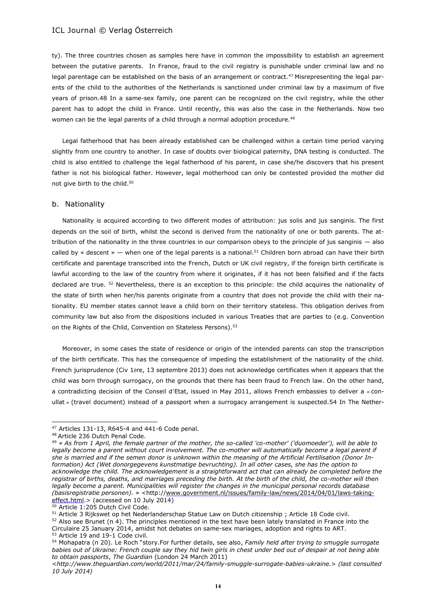ty). The three countries chosen as samples here have in common the impossibility to establish an agreement between the putative parents. In France, fraud to the civil registry is punishable under criminal law and no legal parentage can be established on the basis of an arrangement or contract.<sup>47</sup> Misrepresenting the legal parents of the child to the authorities of the Netherlands is sanctioned under criminal law by a maximum of five years of prison.48 In a same-sex family, one parent can be recognized on the civil registry, while the other parent has to adopt the child in France. Until recently, this was also the case in the Netherlands. Now two women can be the legal parents of a child through a normal adoption procedure.<sup>49</sup>

Legal fatherhood that has been already established can be challenged within a certain time period varying slightly from one country to another. In case of doubts over biological paternity, DNA testing is conducted. The child is also entitled to challenge the legal fatherhood of his parent, in case she/he discovers that his present father is not his biological father. However, legal motherhood can only be contested provided the mother did not give birth to the child.<sup>50</sup>

## b. Nationality

Nationality is acquired according to two different modes of attribution: jus solis and jus sanginis. The first depends on the soil of birth, whilst the second is derived from the nationality of one or both parents. The attribution of the nationality in the three countries in our comparison obeys to the principle of jus sanginis — also called by « descent » — when one of the legal parents is a national.<sup>51</sup> Children born abroad can have their birth certificate and parentage transcribed into the French, Dutch or UK civil registry, if the foreign birth certificate is lawful according to the law of the country from where it originates, if it has not been falsified and if the facts declared are true. <sup>52</sup> Nevertheless, there is an exception to this principle: the child acquires the nationality of the state of birth when her/his parents originate from a country that does not provide the child with their nationality. EU member states cannot leave a child born on their territory stateless. This obligation derives from community law but also from the dispositions included in various Treaties that are parties to (e.g. Convention on the Rights of the Child, Convention on Stateless Persons).<sup>53</sup>

Moreover, in some cases the state of residence or origin of the intended parents can stop the transcription of the birth certificate. This has the consequence of impeding the establishment of the nationality of the child. French jurisprudence (Civ 1ère, 13 septembre 2013) does not acknowledge certificates when it appears that the child was born through surrogacy, on the grounds that there has been fraud to French law. On the other hand, a contradicting decision of the Conseil d'Etat, issued in May 2011, allows French embassies to deliver a « conullat » (travel document) instead of a passport when a surrogacy arrangement is suspected.54 In The Nether-

 $\overline{\phantom{a}}$ 

<sup>47</sup> Articles 131-13, R645-4 and 441-6 Code penal.

<sup>48</sup> Article 236 Dutch Penal Code.

<sup>49</sup> *« As from 1 April, the female partner of the mother, the so-called 'co-mother' ('duomoeder'), will be able to legally become a parent without court involvement. The co-mother will automatically become a legal parent if she is married and if the semen donor is unknown within the meaning of the Artificial Fertilisation (Donor Information) Act (Wet donorgegevens kunstmatige bevruchting). In all other cases, she has the option to acknowledge the child. The acknowledgement is a straightforward act that can already be completed before the registrar of births, deaths, and marriages preceding the birth. At the birth of the child, the co-mother will then legally become a parent. Municipalities will register the changes in the municipal personal records database (basisregistratie personen).* » <http://www.government.nl/issues/family-law/news/2014/04/01/laws-takingeffect.html. > (accessed on 10 July 2014)

<sup>50</sup> Article 1:205 Dutch Civil Code.

<sup>&</sup>lt;sup>51</sup> Article 3 Rijkswet op het Nederlanderschap Statue Law on Dutch citizenship ; Article 18 Code civil.

 $52$  Also see Brunet (n 4). The principles mentioned in the text have been lately translated in France into the Circulaire 25 January 2014, amidst hot debates on same-sex mariages, adoption and rights to ART.

<sup>53</sup> Article 19 and 19-1 Code civil.

<sup>54</sup> Mohapatra (n 20). Le Roch "story.For further details, see also, *Family held after trying to smuggle surrogate babies out of Ukraine: French couple say they hid twin girls in chest under bed out of despair at not being able to obtain passports*, *The Guardian* (London 24 March 2011)

<sup>&</sup>lt;*[http://www.theguardian.com/world/2011/mar/24/family-smuggle-surrogate-babies-ukraine.](http://www.theguardian.com/world/2011/mar/24/family-smuggle-surrogate-babies-ukraine)*> *(last consulted 10 July 2014)*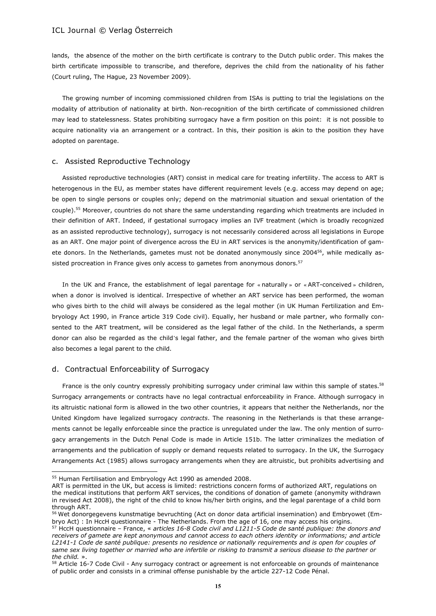lands, the absence of the mother on the birth certificate is contrary to the Dutch public order. This makes the birth certificate impossible to transcribe, and therefore, deprives the child from the nationality of his father (Court ruling, The Hague, 23 November 2009).

The growing number of incoming commissioned children from ISAs is putting to trial the legislations on the modality of attribution of nationality at birth. Non-recognition of the birth certificate of commissioned children may lead to statelessness. States prohibiting surrogacy have a firm position on this point: it is not possible to acquire nationality via an arrangement or a contract. In this, their position is akin to the position they have adopted on parentage.

### c. Assisted Reproductive Technology

Assisted reproductive technologies (ART) consist in medical care for treating infertility. The access to ART is heterogenous in the EU, as member states have different requirement levels (e.g. access may depend on age; be open to single persons or couples only; depend on the matrimonial situation and sexual orientation of the couple).<sup>55</sup> Moreover, countries do not share the same understanding regarding which treatments are included in their definition of ART. Indeed, if gestational surrogacy implies an IVF treatment (which is broadly recognized as an assisted reproductive technology), surrogacy is not necessarily considered across all legislations in Europe as an ART. One major point of divergence across the EU in ART services is the anonymity/identification of gamete donors. In the Netherlands, gametes must not be donated anonymously since 2004<sup>56</sup>, while medically assisted procreation in France gives only access to gametes from anonymous donors.<sup>57</sup>

In the UK and France, the establishment of legal parentage for « naturally » or « ART-conceived » children, when a donor is involved is identical. Irrespective of whether an ART service has been performed, the woman who gives birth to the child will always be considered as the legal mother (in UK Human Fertilization and Embryology Act 1990, in France article 319 Code civil). Equally, her husband or male partner, who formally consented to the ART treatment, will be considered as the legal father of the child. In the Netherlands, a sperm donor can also be regarded as the child's legal father, and the female partner of the woman who gives birth also becomes a legal parent to the child.

### d. Contractual Enforceability of Surrogacy

 $\overline{a}$ 

France is the only country expressly prohibiting surrogacy under criminal law within this sample of states.<sup>58</sup> Surrogacy arrangements or contracts have no legal contractual enforceability in France. Although surrogacy in its altruistic national form is allowed in the two other countries, it appears that neither the Netherlands, nor the United Kingdom have legalized surrogacy *contracts*. The reasoning in the Netherlands is that these arrangements cannot be legally enforceable since the practice is unregulated under the law. The only mention of surrogacy arrangements in the Dutch Penal Code is made in Article 151b. The latter criminalizes the mediation of arrangements and the publication of supply or demand requests related to surrogacy. In the UK, the Surrogacy Arrangements Act (1985) allows surrogacy arrangements when they are altruistic, but prohibits advertising and

<sup>55</sup> Human Fertilisation and Embryology Act 1990 as amended 2008.

ART is permitted in the UK, but access is limited: restrictions concern forms of authorized ART, regulations on the medical institutions that perform ART services, the conditions of donation of gamete (anonymity withdrawn in revised Act 2008), the right of the child to know his/her birth origins, and the legal parentage of a child born through ART.

<sup>56</sup> Wet donorgegevens kunstmatige bevruchting (Act on donor data artificial insemination) and Embryowet (Embryo Act) : In HccH questionnaire - The Netherlands. From the age of 16, one may access his origins.

<sup>57</sup> HccH questionnaire – France, « *articles 16-8 Code civil and L1211-5 Code de santé publique: the donors and receivers of gamete are kept anonymous and cannot access to each others identity or informations; and article L2141-1 Code de santé publique: presents no residence or nationally requirements and is open for couples of same sex living together or married who are infertile or risking to transmit a serious disease to the partner or the child.* ».

<sup>&</sup>lt;sup>58</sup> Article 16-7 Code Civil - Any surrogacy contract or agreement is not enforceable on grounds of maintenance of public order and consists in a criminal offense punishable by the article 227-12 Code Pénal.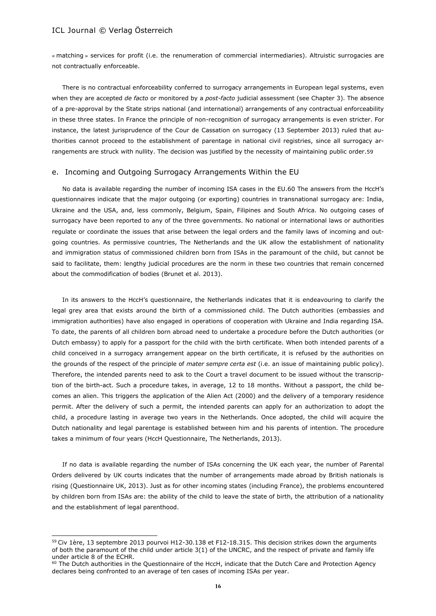$\overline{\phantom{a}}$ 

« matching » services for profit (i.e. the renumeration of commercial intermediaries). Altruistic surrogacies are not contractually enforceable.

There is no contractual enforceability conferred to surrogacy arrangements in European legal systems, even when they are accepted *de facto* or monitored by a *post-facto* judicial assessment (see Chapter 3). The absence of a pre-approval by the State strips national (and international) arrangements of any contractual enforceability in these three states. In France the principle of non-recognition of surrogacy arrangements is even stricter. For instance, the latest jurisprudence of the Cour de Cassation on surrogacy (13 September 2013) ruled that authorities cannot proceed to the establishment of parentage in national civil registries, since all surrogacy arrangements are struck with nullity. The decision was justified by the necessity of maintaining public order.59

## e. Incoming and Outgoing Surrogacy Arrangements Within the EU

No data is available regarding the number of incoming ISA cases in the EU.60 The answers from the HccH's questionnaires indicate that the major outgoing (or exporting) countries in transnational surrogacy are: India, Ukraine and the USA, and, less commonly, Belgium, Spain, Filipines and South Africa. No outgoing cases of surrogacy have been reported to any of the three governments. No national or international laws or authorities regulate or coordinate the issues that arise between the legal orders and the family laws of incoming and outgoing countries. As permissive countries, The Netherlands and the UK allow the establishment of nationality and immigration status of commissioned children born from ISAs in the paramount of the child, but cannot be said to facilitate, them: lengthy judicial procedures are the norm in these two countries that remain concerned about the commodification of bodies (Brunet et al. 2013).

In its answers to the HccH's questionnaire, the Netherlands indicates that it is endeavouring to clarify the legal grey area that exists around the birth of a commissioned child. The Dutch authorities (embassies and immigration authorities) have also engaged in operations of cooperation with Ukraine and India regarding ISA. To date, the parents of all children born abroad need to undertake a procedure before the Dutch authorities (or Dutch embassy) to apply for a passport for the child with the birth certificate. When both intended parents of a child conceived in a surrogacy arrangement appear on the birth certificate, it is refused by the authorities on the grounds of the respect of the principle of *mater sempre certa est* (i.e. an issue of maintaining public policy). Therefore, the intended parents need to ask to the Court a travel document to be issued without the transcription of the birth-act. Such a procedure takes, in average, 12 to 18 months. Without a passport, the child becomes an alien. This triggers the application of the Alien Act (2000) and the delivery of a temporary residence permit. After the delivery of such a permit, the intended parents can apply for an authorization to adopt the child, a procedure lasting in average two years in the Netherlands. Once adopted, the child will acquire the Dutch nationality and legal parentage is established between him and his parents of intention. The procedure takes a minimum of four years (HccH Questionnaire, The Netherlands, 2013).

If no data is available regarding the number of ISAs concerning the UK each year, the number of Parental Orders delivered by UK courts indicates that the number of arrangements made abroad by British nationals is rising (Questionnaire UK, 2013). Just as for other incoming states (including France), the problems encountered by children born from ISAs are: the ability of the child to leave the state of birth, the attribution of a nationality and the establishment of legal parenthood.

<sup>&</sup>lt;sup>59</sup> Civ 1ère, 13 septembre 2013 pourvoi H12-30.138 et F12-18.315. This decision strikes down the arguments of both the paramount of the child under article 3(1) of the UNCRC, and the respect of private and family life under article 8 of the ECHR.

<sup>&</sup>lt;sup>60</sup> The Dutch authorities in the Questionnaire of the HccH, indicate that the Dutch Care and Protection Agency declares being confronted to an average of ten cases of incoming ISAs per year.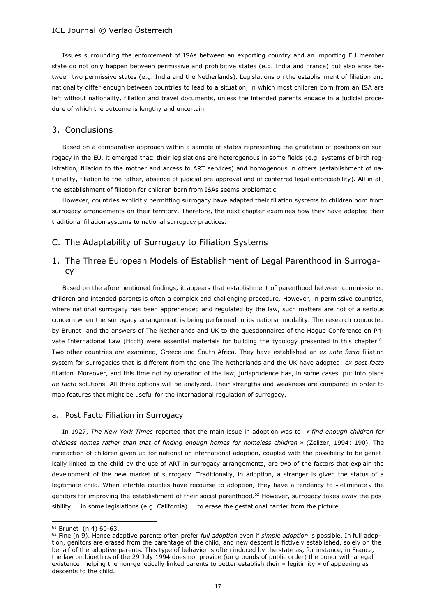Issues surrounding the enforcement of ISAs between an exporting country and an importing EU member state do not only happen between permissive and prohibitive states (e.g. India and France) but also arise between two permissive states (e.g. India and the Netherlands). Legislations on the establishment of filiation and nationality differ enough between countries to lead to a situation, in which most children born from an ISA are left without nationality, filiation and travel documents, unless the intended parents engage in a judicial procedure of which the outcome is lengthy and uncertain.

## 3. Conclusions

Based on a comparative approach within a sample of states representing the gradation of positions on surrogacy in the EU, it emerged that: their legislations are heterogenous in some fields (e.g. systems of birth registration, filiation to the mother and access to ART services) and homogenous in others (establishment of nationality, filiation to the father, absence of judicial pre-approval and of conferred legal enforceability). All in all, the establishment of filiation for children born from ISAs seems problematic.

However, countries explicitly permitting surrogacy have adapted their filiation systems to children born from surrogacy arrangements on their territory. Therefore, the next chapter examines how they have adapted their traditional filiation systems to national surrogacy practices.

## C. The Adaptability of Surrogacy to Filiation Systems

## 1. The Three European Models of Establishment of Legal Parenthood in Surrogacy

Based on the aforementioned findings, it appears that establishment of parenthood between commissioned children and intended parents is often a complex and challenging procedure. However, in permissive countries, where national surrogacy has been apprehended and regulated by the law, such matters are not of a serious concern when the surrogacy arrangement is being performed in its national modality. The research conducted by Brunet and the answers of The Netherlands and UK to the questionnaires of the Hague Conference on Private International Law (HccH) were essential materials for building the typology presented in this chapter.<sup>61</sup> Two other countries are examined, Greece and South Africa. They have established an *ex ante facto* filiation system for surrogacies that is different from the one The Netherlands and the UK have adopted: *ex post facto* filiation. Moreover, and this time not by operation of the law, jurisprudence has, in some cases, put into place *de facto* solutions. All three options will be analyzed. Their strengths and weakness are compared in order to map features that might be useful for the international regulation of surrogacy.

### a. Post Facto Filiation in Surrogacy

In 1927, *The New York Times* reported that the main issue in adoption was to: *« find enough children for childless homes rather than that of finding enough homes for homeless children »* (Zelizer, 1994: 190). The rarefaction of children given up for national or international adoption, coupled with the possibility to be genetically linked to the child by the use of ART in surrogacy arrangements, are two of the factors that explain the development of the new market of surrogacy. Traditionally, in adoption, a stranger is given the status of a legitimate child. When infertile couples have recourse to adoption, they have a tendency to « eliminate » the genitors for improving the establishment of their social parenthood.<sup>62</sup> However, surrogacy takes away the pos $sibility - in$  some legislations (e.g. California)  $-$  to erase the gestational carrier from the picture.

 $\overline{\phantom{a}}$ 

<sup>61</sup> Brunet (n 4) 60-63.

<sup>62</sup> Fine (n 9). Hence adoptive parents often prefer *full adoption* even if *simple adoption* is possible. In full adoption, genitors are erased from the parentage of the child, and new descent is fictively established, solely on the behalf of the adoptive parents. This type of behavior is often induced by the state as, for instance, in France, the law on bioethics of the 29 July 1994 does not provide (on grounds of public order) the donor with a legal existence: helping the non-genetically linked parents to better establish their « legitimity » of appearing as descents to the child.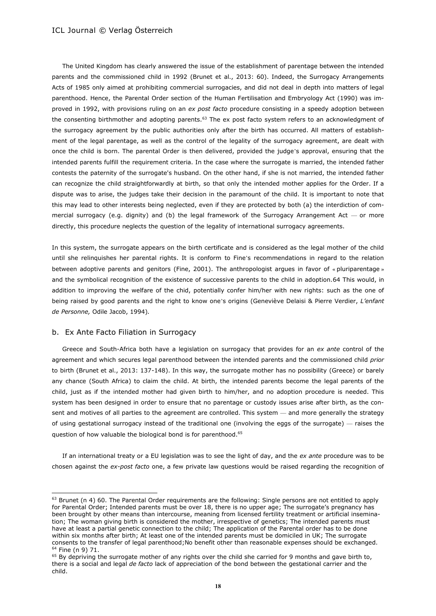The United Kingdom has clearly answered the issue of the establishment of parentage between the intended parents and the commissioned child in 1992 (Brunet et al., 2013: 60). Indeed, the Surrogacy Arrangements Acts of 1985 only aimed at prohibiting commercial surrogacies, and did not deal in depth into matters of legal parenthood. Hence, the Parental Order section of the Human Fertilisation and Embryology Act (1990) was improved in 1992, with provisions ruling on an *ex post facto* procedure consisting in a speedy adoption between the consenting birthmother and adopting parents.<sup>63</sup> The ex post facto system refers to an acknowledgment of the surrogacy agreement by the public authorities only after the birth has occurred. All matters of establishment of the legal parentage, as well as the control of the legality of the surrogacy agreement, are dealt with once the child is born. The parental Order is then delivered, provided the judge's approval, ensuring that the intended parents fulfill the requirement criteria. In the case where the surrogate is married, the intended father contests the paternity of the surrogate's husband. On the other hand, if she is not married, the intended father can recognize the child straightforwardly at birth, so that only the intended mother applies for the Order. If a dispute was to arise, the judges take their decision in the paramount of the child. It is important to note that this may lead to other interests being neglected, even if they are protected by both (a) the interdiction of commercial surrogacy (e.g. dignity) and (b) the legal framework of the Surrogacy Arrangement Act  $-$  or more directly, this procedure neglects the question of the legality of international surrogacy agreements.

In this system, the surrogate appears on the birth certificate and is considered as the legal mother of the child until she relinquishes her parental rights. It is conform to Fine's recommendations in regard to the relation between adoptive parents and genitors (Fine, 2001). The anthropologist argues in favor of « pluriparentage » and the symbolical recognition of the existence of successive parents to the child in adoption.64 This would, in addition to improving the welfare of the chid, potentially confer him/her with new rights: such as the one of being raised by good parents and the right to know one's origins (Geneviève Delaisi & Pierre Verdier, *L'enfant de Personne,* Odile Jacob, 1994)*.*

## b. Ex Ante Facto Filiation in Surrogacy

 $\overline{\phantom{a}}$ 

Greece and South-Africa both have a legislation on surrogacy that provides for an *ex ante* control of the agreement and which secures legal parenthood between the intended parents and the commissioned child *prior* to birth (Brunet et al., 2013: 137-148). In this way, the surrogate mother has no possibility (Greece) or barely any chance (South Africa) to claim the child. At birth, the intended parents become the legal parents of the child, just as if the intended mother had given birth to him/her, and no adoption procedure is needed. This system has been designed in order to ensure that no parentage or custody issues arise after birth, as the consent and motives of all parties to the agreement are controlled. This system — and more generally the strategy of using gestational surrogacy instead of the traditional one (involving the eggs of the surrogate) — raises the question of how valuable the biological bond is for parenthood.<sup>65</sup>

If an international treaty or a EU legislation was to see the light of day, and the *ex ante* procedure was to be chosen against the *ex-post facto* one, a few private law questions would be raised regarding the recognition of

 $63$  Brunet (n 4) 60. The Parental Order requirements are the following: Single persons are not entitled to apply for Parental Order; Intended parents must be over 18, there is no upper age; The surrogate's pregnancy has been brought by other means than intercourse, meaning from licensed fertility treatment or artificial insemination; The woman giving birth is considered the mother, irrespective of genetics; The intended parents must have at least a partial genetic connection to the child; The application of the Parental order has to be done within six months after birth; At least one of the intended parents must be domiciled in UK; The surrogate consents to the transfer of legal parenthood;No benefit other than reasonable expenses should be exchanged. <sup>64</sup> Fine (n 9) 71.

 $65$  By depriving the surrogate mother of any rights over the child she carried for 9 months and gave birth to, there is a social and legal *de facto* lack of appreciation of the bond between the gestational carrier and the child.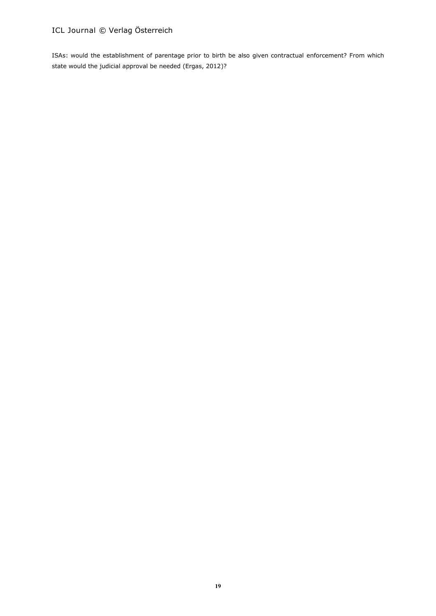ISAs: would the establishment of parentage prior to birth be also given contractual enforcement? From which state would the judicial approval be needed (Ergas, 2012)?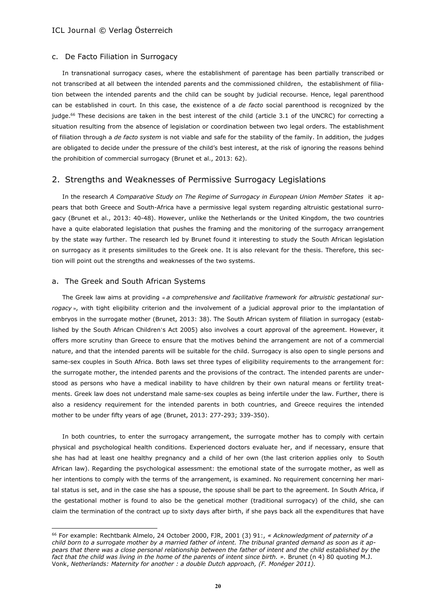#### c. De Facto Filiation in Surrogacy

In transnational surrogacy cases, where the establishment of parentage has been partially transcribed or not transcribed at all between the intended parents and the commissioned children, the establishment of filiation between the intended parents and the child can be sought by judicial recourse. Hence, legal parenthood can be established in court. In this case, the existence of a *de facto* social parenthood is recognized by the judge.<sup>66</sup> These decisions are taken in the best interest of the child (article 3.1 of the UNCRC) for correcting a situation resulting from the absence of legislation or coordination between two legal orders. The establishment of filiation through a *de facto system* is not viable and safe for the stability of the family. In addition, the judges are obligated to decide under the pressure of the child's best interest, at the risk of ignoring the reasons behind the prohibition of commercial surrogacy (Brunet et al., 2013: 62).

## 2. Strengths and Weaknesses of Permissive Surrogacy Legislations

In the research *A Comparative Study on The Regime of Surrogacy in European Union Member States* it appears that both Greece and South-Africa have a permissive legal system regarding altruistic gestational surrogacy (Brunet et al., 2013: 40-48). However, unlike the Netherlands or the United Kingdom, the two countries have a quite elaborated legislation that pushes the framing and the monitoring of the surrogacy arrangement by the state way further. The research led by Brunet found it interesting to study the South African legislation on surrogacy as it presents similitudes to the Greek one. It is also relevant for the thesis. Therefore, this section will point out the strengths and weaknesses of the two systems.

#### a. The Greek and South African Systems

 $\overline{\phantom{a}}$ 

The Greek law aims at providing « *a comprehensive and facilitative framework for altruistic gestational surrogacy* », with tight eligibility criterion and the involvement of a judicial approval prior to the implantation of embryos in the surrogate mother (Brunet, 2013: 38). The South African system of filiation in surrogacy (established by the South African Children's Act 2005) also involves a court approval of the agreement. However, it offers more scrutiny than Greece to ensure that the motives behind the arrangement are not of a commercial nature, and that the intended parents will be suitable for the child. Surrogacy is also open to single persons and same-sex couples in South Africa. Both laws set three types of eligibility requirements to the arrangement for: the surrogate mother, the intended parents and the provisions of the contract. The intended parents are understood as persons who have a medical inability to have children by their own natural means or fertility treatments. Greek law does not understand male same-sex couples as being infertile under the law. Further, there is also a residency requirement for the intended parents in both countries, and Greece requires the intended mother to be under fifty years of age (Brunet, 2013: 277-293; 339-350).

In both countries, to enter the surrogacy arrangement, the surrogate mother has to comply with certain physical and psychological health conditions. Experienced doctors evaluate her, and if necessary, ensure that she has had at least one healthy pregnancy and a child of her own (the last criterion applies only to South African law). Regarding the psychological assessment: the emotional state of the surrogate mother, as well as her intentions to comply with the terms of the arrangement, is examined. No requirement concerning her marital status is set, and in the case she has a spouse, the spouse shall be part to the agreement. In South Africa, if the gestational mother is found to also be the genetical mother (traditional surrogacy) of the child, she can claim the termination of the contract up to sixty days after birth, if she pays back all the expenditures that have

<sup>66</sup> For example: Rechtbank Almelo, 24 October 2000, FJR, 2001 (3) 91:, *« Acknowledgment of paternity of a child born to a surrogate mother by a married father of intent. The tribunal granted demand as soon as it appears that there was a close personal relationship between the father of intent and the child established by the fact that the child was living in the home of the parents of intent since birth. ».* Brunet (n 4) 80 quoting M.J. Vonk, *Netherlands: Maternity for another : a double Dutch approach, (F. Monéger 2011).*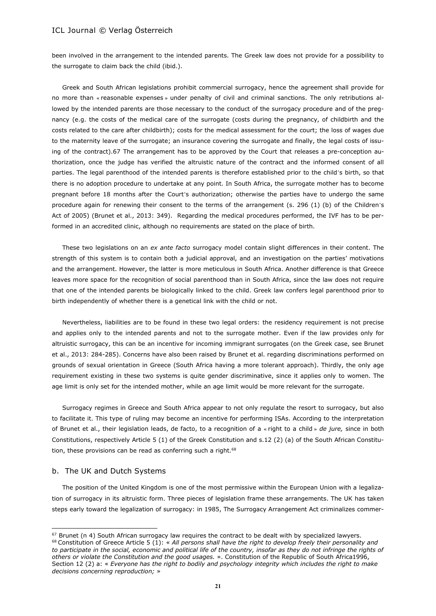been involved in the arrangement to the intended parents. The Greek law does not provide for a possibility to the surrogate to claim back the child (ibid.).

Greek and South African legislations prohibit commercial surrogacy, hence the agreement shall provide for no more than « reasonable expenses » under penalty of civil and criminal sanctions. The only retributions allowed by the intended parents are those necessary to the conduct of the surrogacy procedure and of the pregnancy (e.g. the costs of the medical care of the surrogate (costs during the pregnancy, of childbirth and the costs related to the care after childbirth); costs for the medical assessment for the court; the loss of wages due to the maternity leave of the surrogate; an insurance covering the surrogate and finally, the legal costs of issuing of the contract).67 The arrangement has to be approved by the Court that releases a pre-conception authorization, once the judge has verified the altruistic nature of the contract and the informed consent of all parties. The legal parenthood of the intended parents is therefore established prior to the child's birth, so that there is no adoption procedure to undertake at any point. In South Africa, the surrogate mother has to become pregnant before 18 months after the Court's authorization; otherwise the parties have to undergo the same procedure again for renewing their consent to the terms of the arrangement (s. 296 (1) (b) of the Children's Act of 2005) (Brunet et al., 2013: 349). Regarding the medical procedures performed, the IVF has to be performed in an accredited clinic, although no requirements are stated on the place of birth.

These two legislations on an *ex ante facto* surrogacy model contain slight differences in their content. The strength of this system is to contain both a judicial approval, and an investigation on the parties' motivations and the arrangement. However, the latter is more meticulous in South Africa. Another difference is that Greece leaves more space for the recognition of social parenthood than in South Africa, since the law does not require that one of the intended parents be biologically linked to the child. Greek law confers legal parenthood prior to birth independently of whether there is a genetical link with the child or not.

Nevertheless, liabilities are to be found in these two legal orders: the residency requirement is not precise and applies only to the intended parents and not to the surrogate mother. Even if the law provides only for altruistic surrogacy, this can be an incentive for incoming immigrant surrogates (on the Greek case, see Brunet et al., 2013: 284-285). Concerns have also been raised by Brunet et al. regarding discriminations performed on grounds of sexual orientation in Greece (South Africa having a more tolerant approach). Thirdly, the only age requirement existing in these two systems is quite gender discriminative, since it applies only to women. The age limit is only set for the intended mother, while an age limit would be more relevant for the surrogate.

Surrogacy regimes in Greece and South Africa appear to not only regulate the resort to surrogacy, but also to facilitate it. This type of ruling may become an incentive for performing ISAs. According to the interpretation of Brunet et al., their legislation leads, de facto, to a recognition of a « right to a child » *de jure,* since in both Constitutions, respectively Article 5 (1) of the Greek Constitution and s.12 (2) (a) of the South African Constitution, these provisions can be read as conferring such a right. $68$ 

#### b. The UK and Dutch Systems

 $\overline{\phantom{a}}$ 

The position of the United Kingdom is one of the most permissive within the European Union with a legalization of surrogacy in its altruistic form. Three pieces of legislation frame these arrangements. The UK has taken steps early toward the legalization of surrogacy: in 1985, The Surrogacy Arrangement Act criminalizes commer-

 $67$  Brunet (n 4) South African surrogacy law requires the contract to be dealt with by specialized lawyers. <sup>68</sup> Constitution of Greece Article 5 (1): « *All persons shall have the right to develop freely their personality and to participate in the social, economic and political life of the country, insofar as they do not infringe the rights of others or violate the Constitution and the good usages.* ». Constitution of the Republic of South Africa1996, Section 12 (2) a: « *Everyone has the right to bodily and psychology integrity which includes the right to make decisions concerning reproduction;* »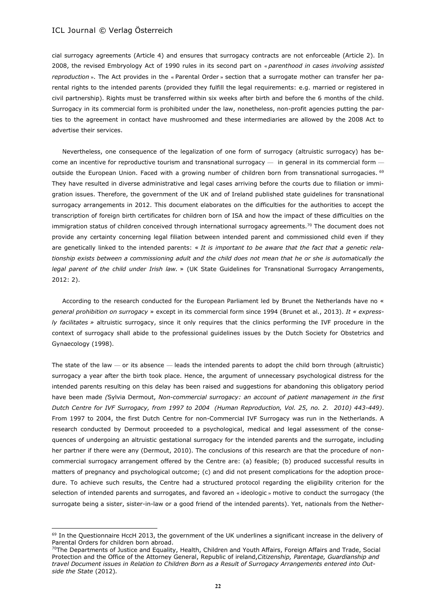$\overline{\phantom{a}}$ 

cial surrogacy agreements (Article 4) and ensures that surrogacy contracts are not enforceable (Article 2). In 2008, the revised Embryology Act of 1990 rules in its second part on « *parenthood in cases involving assisted reproduction* ». The Act provides in the « Parental Order » section that a surrogate mother can transfer her parental rights to the intended parents (provided they fulfill the legal requirements: e.g. married or registered in civil partnership). Rights must be transferred within six weeks after birth and before the 6 months of the child. Surrogacy in its commercial form is prohibited under the law, nonetheless, non-profit agencies putting the parties to the agreement in contact have mushroomed and these intermediaries are allowed by the 2008 Act to advertise their services.

Nevertheless, one consequence of the legalization of one form of surrogacy (altruistic surrogacy) has become an incentive for reproductive tourism and transnational surrogacy — in general in its commercial form outside the European Union. Faced with a growing number of children born from transnational surrogacies. <sup>69</sup> They have resulted in diverse administrative and legal cases arriving before the courts due to filiation or immigration issues. Therefore, the government of the UK and of Ireland published state guidelines for transnational surrogacy arrangements in 2012. This document elaborates on the difficulties for the authorities to accept the transcription of foreign birth certificates for children born of ISA and how the impact of these difficulties on the immigration status of children conceived through international surrogacy agreements.<sup>70</sup> The document does not provide any certainty concerning legal filiation between intended parent and commissioned child even if they are genetically linked to the intended parents: « *It is important to be aware that the fact that a genetic relationship exists between a commissioning adult and the child does not mean that he or she is automatically the legal parent of the child under Irish law.* » (UK State Guidelines for Transnational Surrogacy Arrangements, 2012: 2).

According to the research conducted for the European Parliament led by Brunet the Netherlands have no « *general prohibition on surrogacy* » except in its commercial form since 1994 (Brunet et al., 2013). *It « expressly facilitates »* altruistic surrogacy, since it only requires that the clinics performing the IVF procedure in the context of surrogacy shall abide to the professional guidelines issues by the Dutch Society for Obstetrics and Gynaecology (1998).

The state of the law  $-$  or its absence  $-$  leads the intended parents to adopt the child born through (altruistic) surrogacy a year after the birth took place. Hence, the argument of unnecessary psychological distress for the intended parents resulting on this delay has been raised and suggestions for abandoning this obligatory period have been made *(*Sylvia Dermout, *Non-commercial surrogacy: an account of patient management in the first Dutch Centre for IVF Surrogacy, from 1997 to 2004 (Human Reproduction, Vol. 25, no. 2. 2010) 443-449)*. From 1997 to 2004, the first Dutch Centre for non-Commercial IVF Surrogacy was run in the Netherlands. A research conducted by Dermout proceeded to a psychological, medical and legal assessment of the consequences of undergoing an altruistic gestational surrogacy for the intended parents and the surrogate, including her partner if there were any (Dermout, 2010). The conclusions of this research are that the procedure of noncommercial surrogacy arrangement offered by the Centre are: (a) feasible; (b) produced successful results in matters of pregnancy and psychological outcome; (c) and did not present complications for the adoption procedure. To achieve such results, the Centre had a structured protocol regarding the eligibility criterion for the selection of intended parents and surrogates, and favored an « ideologic » motive to conduct the surrogacy (the surrogate being a sister, sister-in-law or a good friend of the intended parents). Yet, nationals from the Nether-

<sup>&</sup>lt;sup>69</sup> In the Questionnaire HccH 2013, the government of the UK underlines a significant increase in the delivery of Parental Orders for children born abroad.

<sup>&</sup>lt;sup>70</sup>The Departments of Justice and Equality, Health, Children and Youth Affairs, Foreign Affairs and Trade, Social Protection and the Office of the Attorney General, Republic of ireland,*Citizenship, Parentage, Guardianship and travel Document issues in Relation to Children Born as a Result of Surrogacy Arrangements entered into Outside the State* (2012)*.*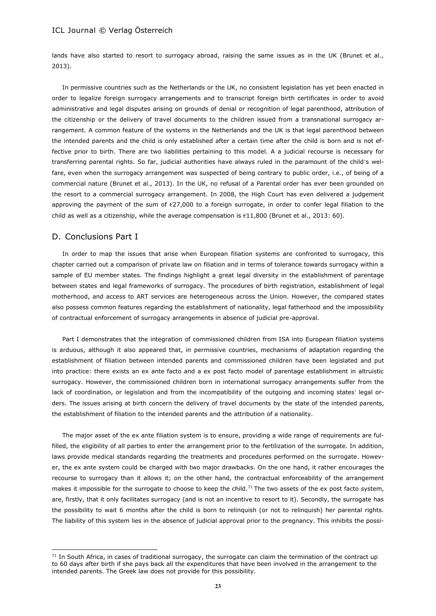lands have also started to resort to surrogacy abroad, raising the same issues as in the UK (Brunet et al., 2013).

In permissive countries such as the Netherlands or the UK, no consistent legislation has yet been enacted in order to legalize foreign surrogacy arrangements and to transcript foreign birth certificates in order to avoid administrative and legal disputes arising on grounds of denial or recognition of legal parenthood, attribution of the citizenship or the delivery of travel documents to the children issued from a transnational surrogacy arrangement. A common feature of the systems in the Netherlands and the UK is that legal parenthood between the intended parents and the child is only established after a certain time after the child is born and is not effective prior to birth. There are two liabilities pertaining to this model. A a judicial recourse is necessary for transferring parental rights. So far, judicial authorities have always ruled in the paramount of the child's welfare, even when the surrogacy arrangement was suspected of being contrary to public order, i.e., of being of a commercial nature (Brunet et al., 2013). In the UK, no refusal of a Parental order has ever been grounded on the resort to a commercial surrogacy arrangement. In 2008, the High Court has even delivered a judgement approving the payment of the sum of  $\epsilon$ 27,000 to a foreign surrogate, in order to confer legal filiation to the child as well as a citizenship, while the average compensation is  $€11,800$  (Brunet et al., 2013: 60).

## D. Conclusions Part I

l

In order to map the issues that arise when European filiation systems are confronted to surrogacy, this chapter carried out a comparison of private law on filiation and in terms of tolerance towards surrogacy within a sample of EU member states. The findings highlight a great legal diversity in the establishment of parentage between states and legal frameworks of surrogacy. The procedures of birth registration, establishment of legal motherhood, and access to ART services are heterogeneous across the Union. However, the compared states also possess common features regarding the establishment of nationality, legal fatherhood and the impossibility of contractual enforcement of surrogacy arrangements in absence of judicial pre-approval.

Part I demonstrates that the integration of commissioned children from ISA into European filiation systems is arduous, although it also appeared that, in permissive countries, mechanisms of adaptation regarding the establishment of filiation between intended parents and commissioned children have been legislated and put into practice: there exists an ex ante facto and a ex post facto model of parentage establishment in altruistic surrogacy. However, the commissioned children born in international surrogacy arrangements suffer from the lack of coordination, or legislation and from the incompatibility of the outgoing and incoming states' legal orders. The issues arising at birth concern the delivery of travel documents by the state of the intended parents, the establishment of filiation to the intended parents and the attribution of a nationality.

The major asset of the ex ante filiation system is to ensure, providing a wide range of requirements are fulfilled, the eligibility of all parties to enter the arrangement prior to the fertilization of the surrogate. In addition, laws provide medical standards regarding the treatments and procedures performed on the surrogate. However, the ex ante system could be charged with two major drawbacks. On the one hand, it rather encourages the recourse to surrogacy than it allows it; on the other hand, the contractual enforceability of the arrangement makes it impossible for the surrogate to choose to keep the child.<sup>71</sup> The two assets of the ex post facto system, are, firstly, that it only facilitates surrogacy (and is not an incentive to resort to it). Secondly, the surrogate has the possibility to wait 6 months after the child is born to relinquish (or not to relinquish) her parental rights. The liability of this system lies in the absence of judicial approval prior to the pregnancy. This inhibits the possi-

 $71$  In South Africa, in cases of traditional surrogacy, the surrogate can claim the termination of the contract up to 60 days after birth if she pays back all the expenditures that have been involved in the arrangement to the intended parents. The Greek law does not provide for this possibility.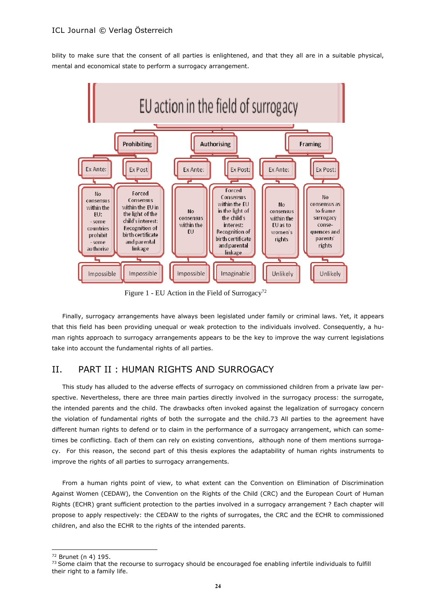bility to make sure that the consent of all parties is enlightened, and that they all are in a suitable physical, mental and economical state to perform a surrogacy arrangement.



Figure 1 - EU Action in the Field of Surrogacy<sup>72</sup>

Finally, surrogacy arrangements have always been legislated under family or criminal laws. Yet, it appears that this field has been providing unequal or weak protection to the individuals involved. Consequently, a human rights approach to surrogacy arrangements appears to be the key to improve the way current legislations take into account the fundamental rights of all parties.

## II. PART II : HUMAN RIGHTS AND SURROGACY

This study has alluded to the adverse effects of surrogacy on commissioned children from a private law perspective. Nevertheless, there are three main parties directly involved in the surrogacy process: the surrogate, the intended parents and the child. The drawbacks often invoked against the legalization of surrogacy concern the violation of fundamental rights of both the surrogate and the child.73 All parties to the agreement have different human rights to defend or to claim in the performance of a surrogacy arrangement, which can sometimes be conflicting. Each of them can rely on existing conventions, although none of them mentions surrogacy. For this reason, the second part of this thesis explores the adaptability of human rights instruments to improve the rights of all parties to surrogacy arrangements.

From a human rights point of view, to what extent can the Convention on Elimination of Discrimination Against Women (CEDAW), the Convention on the Rights of the Child (CRC) and the European Court of Human Rights (ECHR) grant sufficient protection to the parties involved in a surrogacy arrangement ? Each chapter will propose to apply respectively: the CEDAW to the rights of surrogates, the CRC and the ECHR to commissioned children, and also the ECHR to the rights of the intended parents.

l

<sup>72</sup> Brunet (n 4) 195.

<sup>&</sup>lt;sup>73</sup> Some claim that the recourse to surrogacy should be encouraged foe enabling infertile individuals to fulfill their right to a family life.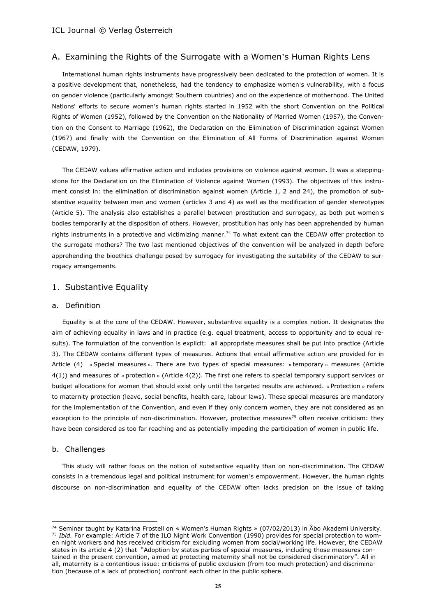## A. Examining the Rights of the Surrogate with a Women's Human Rights Lens

International human rights instruments have progressively been dedicated to the protection of women. It is a positive development that, nonetheless, had the tendency to emphasize women's vulnerability, with a focus on gender violence (particularly amongst Southern countries) and on the experience of motherhood. The United Nations' efforts to secure women's human rights started in 1952 with the short Convention on the Political Rights of Women (1952), followed by the Convention on the Nationality of Married Women (1957), the Convention on the Consent to Marriage (1962), the Declaration on the Elimination of Discrimination against Women (1967) and finally with the Convention on the Elimination of All Forms of Discrimination against Women (CEDAW, 1979).

The CEDAW values affirmative action and includes provisions on violence against women. It was a steppingstone for the Declaration on the Elimination of Violence against Women (1993). The objectives of this instrument consist in: the elimination of discrimination against women (Article 1, 2 and 24), the promotion of substantive equality between men and women (articles 3 and 4) as well as the modification of gender stereotypes (Article 5). The analysis also establishes a parallel between prostitution and surrogacy, as both put women's bodies temporarily at the disposition of others. However, prostitution has only has been apprehended by human rights instruments in a protective and victimizing manner.<sup>74</sup> To what extent can the CEDAW offer protection to the surrogate mothers? The two last mentioned objectives of the convention will be analyzed in depth before apprehending the bioethics challenge posed by surrogacy for investigating the suitability of the CEDAW to surrogacy arrangements.

## 1. Substantive Equality

#### a. Definition

Equality is at the core of the CEDAW. However, substantive equality is a complex notion. It designates the aim of achieving equality in laws and in practice (e.g. equal treatment, access to opportunity and to equal results). The formulation of the convention is explicit: all appropriate measures shall be put into practice (Article 3). The CEDAW contains different types of measures. Actions that entail affirmative action are provided for in Article (4) « Special measures ». There are two types of special measures: « temporary » measures (Article 4(1)) and measures of « protection » (Article 4(2)). The first one refers to special temporary support services or budget allocations for women that should exist only until the targeted results are achieved. « Protection » refers to maternity protection (leave, social benefits, health care, labour laws). These special measures are mandatory for the implementation of the Convention, and even if they only concern women, they are not considered as an exception to the principle of non-discrimination. However, protective measures<sup>75</sup> often receive criticism: they have been considered as too far reaching and as potentially impeding the participation of women in public life.

#### b. Challenges

 $\overline{\phantom{a}}$ 

This study will rather focus on the notion of substantive equality than on non-discrimination. The CEDAW consists in a tremendous legal and political instrument for women's empowerment. However, the human rights discourse on non-discrimination and equality of the CEDAW often lacks precision on the issue of taking

<sup>74</sup> Seminar taught by Katarina Frostell on « Women's Human Rights » (07/02/2013) in Åbo Akademi University. <sup>75</sup> *Ibid.* For example: Article 7 of the ILO Night Work Convention (1990) provides for special protection to women night workers and has received criticism for excluding women from social/working life. However, the CEDAW states in its article 4 (2) that "Adoption by states parties of special measures, including those measures contained in the present convention, aimed at protecting maternity shall not be considered discriminatory". All in all, maternity is a contentious issue: criticisms of public exclusion (from too much protection) and discrimination (because of a lack of protection) confront each other in the public sphere.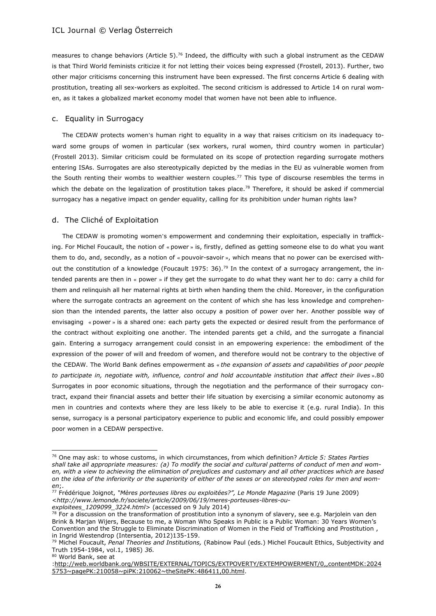measures to change behaviors (Article 5).<sup>76</sup> Indeed, the difficulty with such a global instrument as the CEDAW is that Third World feminists criticize it for not letting their voices being expressed (Frostell, 2013). Further, two other major criticisms concerning this instrument have been expressed. The first concerns Article 6 dealing with prostitution, treating all sex-workers as exploited. The second criticism is addressed to Article 14 on rural women, as it takes a globalized market economy model that women have not been able to influence.

## c. Equality in Surrogacy

The CEDAW protects women's human right to equality in a way that raises criticism on its inadequacy toward some groups of women in particular (sex workers, rural women, third country women in particular) (Frostell 2013). Similar criticism could be formulated on its scope of protection regarding surrogate mothers entering ISAs. Surrogates are also stereotypically depicted by the medias in the EU as vulnerable women from the South renting their wombs to wealthier western couples.<sup>77</sup> This type of discourse resembles the terms in which the debate on the legalization of prostitution takes place.<sup>78</sup> Therefore, it should be asked if commercial surrogacy has a negative impact on gender equality, calling for its prohibition under human rights law?

## d. The Cliché of Exploitation

The CEDAW is promoting women's empowerment and condemning their exploitation, especially in trafficking. For Michel Foucault, the notion of « power » is, firstly, defined as getting someone else to do what you want them to do, and, secondly, as a notion of « pouvoir-savoir », which means that no power can be exercised without the constitution of a knowledge (Foucault 1975: 36).<sup>79</sup> In the context of a surrogacy arrangement, the intended parents are then in « power » if they get the surrogate to do what they want her to do: carry a child for them and relinquish all her maternal rights at birth when handing them the child. Moreover, in the configuration where the surrogate contracts an agreement on the content of which she has less knowledge and comprehension than the intended parents, the latter also occupy a position of power over her. Another possible way of envisaging « power » is a shared one: each party gets the expected or desired result from the performance of the contract without exploiting one another. The intended parents get a child, and the surrogate a financial gain. Entering a surrogacy arrangement could consist in an empowering experience: the embodiment of the expression of the power of will and freedom of women, and therefore would not be contrary to the objective of the CEDAW. The World Bank defines empowerment as « *the expansion of assets and capabilities of poor people to participate in, negotiate with, influence, control and hold accountable institution that affect their lives* ».80 Surrogates in poor economic situations, through the negotiation and the performance of their surrogacy contract, expand their financial assets and better their life situation by exercising a similar economic autonomy as men in countries and contexts where they are less likely to be able to exercise it (e.g. rural India). In this sense, surrogacy is a personal participatory experience to public and economic life, and could possibly empower poor women in a CEDAW perspective.

*[exploitees\\_1209099\\_3224.html>](http://www.lemonde.fr/societe/article/2009/06/19/meres-porteuses-libres-ou-exploitees_1209099_3224.html)* (accessed on 9 July 2014)

<sup>80</sup> World Bank, see at

 $\overline{a}$ 

<sup>76</sup> One may ask: to whose customs, in which circumstances, from which definition? *Article 5: States Parties shall take all appropriate measures: (a) To modify the social and cultural patterns of conduct of men and women, with a view to achieving the elimination of prejudices and customary and all other practices which are based on the idea of the inferiority or the superiority of either of the sexes or on stereotyped roles for men and women*;.

<sup>77</sup> Frédérique Joignot, *"Mères porteuses libres ou exploitées?", Le Monde Magazine* (Paris 19 June 2009) <*[http://www.lemonde.fr/societe/article/2009/06/19/meres-porteuses-libres-ou-](http://www.lemonde.fr/societe/article/2009/06/19/meres-porteuses-libres-ou-exploitees_1209099_3224.html)*

 $78$  For a discussion on the transformation of prostitution into a synonym of slavery, see e.g. Marjolein van den Brink & Marjan Wijers, Because to me, a Woman Who Speaks in Public is a Public Woman: 30 Years Women's Convention and the Struggle to Eliminate Discrimination of Women in the Field of Trafficking and Prostitution , in Ingrid Westendrop (Intersentia, 2012)135-159.

<sup>79</sup> Michel Foucault, *Penal Theories and Institutions,* (Rabinow Paul (eds.) Michel Foucault Ethics, Subjectivity and Truth 1954-1984, vol.1, 1985) *36.*

[<sup>:</sup>http://web.worldbank.org/WBSITE/EXTERNAL/TOPICS/EXTPOVERTY/EXTEMPOWERMENT/0,,contentMDK:2024](http://web.worldbank.org/wbsite/external/topics/extpoverty/extempowerment/0,,contentmdk:20245753~pagepk:210058~pipk:210062~thesitepk:486411,00.html) [5753~pagePK:210058~piPK:210062~theSitePK:486411,00.html.](http://web.worldbank.org/wbsite/external/topics/extpoverty/extempowerment/0,,contentmdk:20245753~pagepk:210058~pipk:210062~thesitepk:486411,00.html)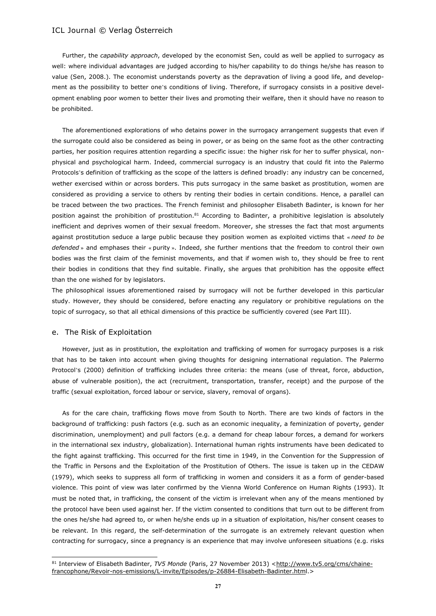Further, the *capability approach*, developed by the economist Sen, could as well be applied to surrogacy as well: where individual advantages are judged according to his/her capability to do things he/she has reason to value (Sen, 2008.). The economist understands poverty as the depravation of living a good life, and development as the possibility to better one's conditions of living. Therefore, if surrogacy consists in a positive development enabling poor women to better their lives and promoting their welfare, then it should have no reason to be prohibited.

The aforementioned explorations of who detains power in the surrogacy arrangement suggests that even if the surrogate could also be considered as being in power, or as being on the same foot as the other contracting parties, her position requires attention regarding a specific issue: the higher risk for her to suffer physical, nonphysical and psychological harm. Indeed, commercial surrogacy is an industry that could fit into the Palermo Protocols's definition of trafficking as the scope of the latters is defined broadly: any industry can be concerned, wether exercised within or across borders. This puts surrogacy in the same basket as prostitution, women are considered as providing a service to others by renting their bodies in certain conditions. Hence, a parallel can be traced between the two practices. The French feminist and philosopher Elisabeth Badinter, is known for her position against the prohibition of prostitution.<sup>81</sup> According to Badinter, a prohibitive legislation is absolutely inefficient and deprives women of their sexual freedom. Moreover, she stresses the fact that most arguments against prostitution seduce a large public because they position women as exploited victims that « *need to be defended* » and emphases their « purity ». Indeed, she further mentions that the freedom to control their own bodies was the first claim of the feminist movements, and that if women wish to, they should be free to rent their bodies in conditions that they find suitable. Finally, she argues that prohibition has the opposite effect than the one wished for by legislators.

The philosophical issues aforementioned raised by surrogacy will not be further developed in this particular study. However, they should be considered, before enacting any regulatory or prohibitive regulations on the topic of surrogacy, so that all ethical dimensions of this practice be sufficiently covered (see Part III).

## e. The Risk of Exploitation

 $\overline{a}$ 

However, just as in prostitution, the exploitation and trafficking of women for surrogacy purposes is a risk that has to be taken into account when giving thoughts for designing international regulation. The Palermo Protocol's (2000) definition of trafficking includes three criteria: the means (use of threat, force, abduction, abuse of vulnerable position), the act (recruitment, transportation, transfer, receipt) and the purpose of the traffic (sexual exploitation, forced labour or service, slavery, removal of organs).

As for the care chain, trafficking flows move from South to North. There are two kinds of factors in the background of trafficking: push factors (e.g. such as an economic inequality, a feminization of poverty, gender discrimination, unemployment) and pull factors (e.g. a demand for cheap labour forces, a demand for workers in the international sex industry, globalization). International human rights instruments have been dedicated to the fight against trafficking. This occurred for the first time in 1949, in the Convention for the Suppression of the Traffic in Persons and the Exploitation of the Prostitution of Others. The issue is taken up in the CEDAW (1979), which seeks to suppress all form of trafficking in women and considers it as a form of gender-based violence. This point of view was later confirmed by the Vienna World Conference on Human Rights (1993). It must be noted that, in trafficking, the consent of the victim is irrelevant when any of the means mentioned by the protocol have been used against her. If the victim consented to conditions that turn out to be different from the ones he/she had agreed to, or when he/she ends up in a situation of exploitation, his/her consent ceases to be relevant. In this regard, the self-determination of the surrogate is an extremely relevant question when contracting for surrogacy, since a pregnancy is an experience that may involve unforeseen situations (e.g. risks

<sup>81</sup> Interview of Elisabeth Badinter, *TV5 Monde* (Paris, 27 November 2013) [<http://www.tv5.org/cms/chaine](http://www.tv5.org/cms/chaine-francophone/revoir-nos-emissions/l-invite/episodes/p-26884-elisabeth-badinter.htm)[francophone/Revoir-nos-emissions/L-invite/Episodes/p-26884-Elisabeth-Badinter.html.](http://www.tv5.org/cms/chaine-francophone/revoir-nos-emissions/l-invite/episodes/p-26884-elisabeth-badinter.htm)>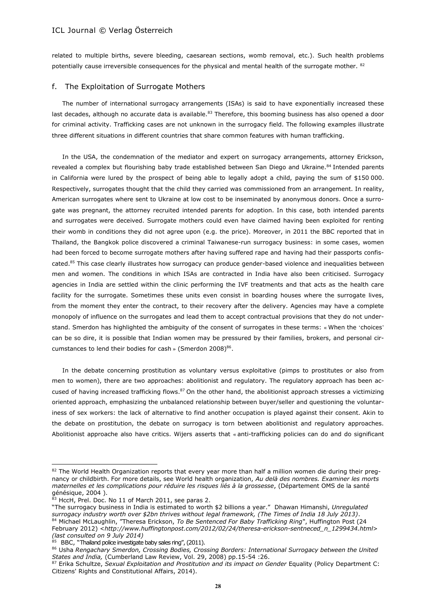related to multiple births, severe bleeding, caesarean sections, womb removal, etc.). Such health problems potentially cause irreversible consequences for the physical and mental health of the surrogate mother. <sup>82</sup>

## f. The Exploitation of Surrogate Mothers

The number of international surrogacy arrangements (ISAs) is said to have exponentially increased these last decades, although no accurate data is available.<sup>83</sup> Therefore, this booming business has also opened a door for criminal activity. Trafficking cases are not unknown in the surrogacy field. The following examples illustrate three different situations in different countries that share common features with human trafficking.

In the USA, the condemnation of the mediator and expert on surrogacy arrangements, attorney Erickson, revealed a complex but flourishing baby trade established between San Diego and Ukraine.<sup>84</sup> Intended parents in California were lured by the prospect of being able to legally adopt a child, paying the sum of \$150 000. Respectively, surrogates thought that the child they carried was commissioned from an arrangement. In reality, American surrogates where sent to Ukraine at low cost to be inseminated by anonymous donors. Once a surrogate was pregnant, the attorney recruited intended parents for adoption. In this case, both intended parents and surrogates were deceived. Surrogate mothers could even have claimed having been exploited for renting their womb in conditions they did not agree upon (e.g. the price). Moreover, in 2011 the BBC reported that in Thailand, the Bangkok police discovered a criminal Taiwanese-run surrogacy business: in some cases, women had been forced to become surrogate mothers after having suffered rape and having had their passports confiscated.<sup>85</sup> This case clearly illustrates how surrogacy can produce gender-based violence and inequalities between men and women. The conditions in which ISAs are contracted in India have also been criticised. Surrogacy agencies in India are settled within the clinic performing the IVF treatments and that acts as the health care facility for the surrogate. Sometimes these units even consist in boarding houses where the surrogate lives, from the moment they enter the contract, to their recovery after the delivery. Agencies may have a complete monopoly of influence on the surrogates and lead them to accept contractual provisions that they do not understand. Smerdon has highlighted the ambiguity of the consent of surrogates in these terms: « When the 'choices' can be so dire, it is possible that Indian women may be pressured by their families, brokers, and personal circumstances to lend their bodies for cash » (Smerdon 2008) $^{86}$ .

In the debate concerning prostitution as voluntary versus exploitative (pimps to prostitutes or also from men to women), there are two approaches: abolitionist and regulatory. The regulatory approach has been accused of having increased trafficking flows.<sup>87</sup> On the other hand, the abolitionist approach stresses a victimizing oriented approach, emphasizing the unbalanced relationship between buyer/seller and questioning the voluntariness of sex workers: the lack of alternative to find another occupation is played against their consent. Akin to the debate on prostitution, the debate on surrogacy is torn between abolitionist and regulatory approaches. Abolitionist approache also have critics. Wijers asserts that « anti-trafficking policies can do and do significant

 $\overline{a}$ 

<sup>82</sup> The World Health Organization reports that every year more than half a million women die during their pregnancy or childbirth. For more details, see World health organization, *Au delà des nombres. Examiner les morts maternelles et les complications pour réduire les risques liés à la grossesse*, (Département OMS de la santé génésique, 2004 ).

<sup>83</sup> HccH, Prel. Doc. No 11 of March 2011, see paras 2.

<sup>&</sup>quot;The surrogacy business in India is estimated to worth \$2 billions a year." Dhawan Himanshi, *Unregulated surrogacy industry worth over \$2bn thrives without legal framework, (The Times of India 18 July 2013)*. <sup>84</sup> Michael McLaughlin, "Theresa Erickson, *To Be Sentenced For Baby Trafficking Ring"*, Huffington Post (24 February 2012) <*[http://www.huffingtonpost.com/2012/02/24/theresa-erickson-sentneced\\_n\\_1299434.html](http://www.huffingtonpost.com/2012/02/24/theresa-erickson-sentneced_n_1299434.html)*> *(last consulted on 9 July 2014)*

BBC, "Thailand police investigate baby sales ring", (2011).

<sup>86</sup> Usha *Rengachary Smerdon, Crossing Bodies, Crossing Borders: International Surrogacy between the United States and India,* (Cumberland Law Review, Vol. 29, 2008) pp.15-54 :26.

<sup>87</sup> Erika Schultze, *Sexual Exploitation and Prostitution and its impact on Gender* Equality (Policy Department C: Citizens' Rights and Constitutional Affairs, 2014).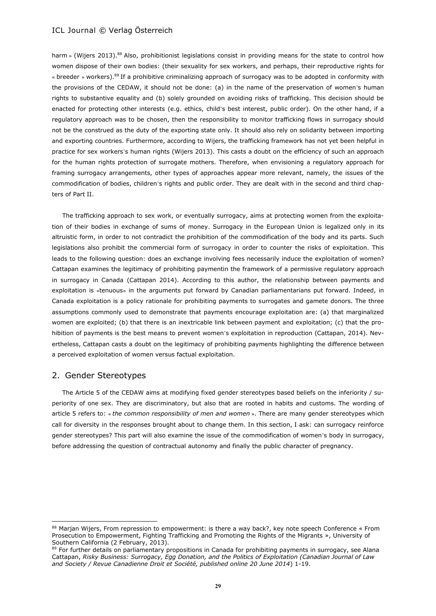harm » (Wijers 2013).<sup>88</sup> Also, prohibitionist legislations consist in providing means for the state to control how women dispose of their own bodies: (their sexuality for sex workers, and perhaps, their reproductive rights for « breeder » workers).<sup>89</sup> If a prohibitive criminalizing approach of surrogacy was to be adopted in conformity with the provisions of the CEDAW, it should not be done: (a) in the name of the preservation of women's human rights to substantive equality and (b) solely grounded on avoiding risks of trafficking. This decision should be enacted for protecting other interests (e.g. ethics, child's best interest, public order). On the other hand, if a regulatory approach was to be chosen, then the responsibility to monitor trafficking flows in surrogacy should not be the construed as the duty of the exporting state only. It should also rely on solidarity between importing and exporting countries. Furthermore, according to Wijers, the trafficking framework has not yet been helpful in practice for sex workers's human rights (Wijers 2013). This casts a doubt on the efficiency of such an approach for the human rights protection of surrogate mothers. Therefore, when envisioning a regulatory approach for framing surrogacy arrangements, other types of approaches appear more relevant, namely, the issues of the commodification of bodies, children's rights and public order. They are dealt with in the second and third chapters of Part II.

The trafficking approach to sex work, or eventually surrogacy, aims at protecting women from the exploitation of their bodies in exchange of sums of money. Surrogacy in the European Union is legalized only in its altruistic form, in order to not contradict the prohibition of the commodification of the body and its parts. Such legislations also prohibit the commercial form of surrogacy in order to counter the risks of exploitation. This leads to the following question: does an exchange involving fees necessarily induce the exploitation of women? Cattapan examines the legitimacy of prohibiting paymentin the framework of a permissive regulatory approach in surrogacy in Canada (Cattapan 2014). According to this author, the relationship between payments and exploitation is «tenuous» in the arguments put forward by Canadian parliamentarians put forward. Indeed, in Canada exploitation is a policy rationale for prohibiting payments to surrogates and gamete donors. The three assumptions commonly used to demonstrate that payments encourage exploitation are: (a) that marginalized women are exploited; (b) that there is an inextricable link between payment and exploitation; (c) that the prohibition of payments is the best means to prevent women's exploitation in reproduction (Cattapan, 2014). Nevertheless, Cattapan casts a doubt on the legitimacy of prohibiting payments highlighting the difference between a perceived exploitation of women versus factual exploitation.

## 2. Gender Stereotypes

 $\overline{\phantom{a}}$ 

The Article 5 of the CEDAW aims at modifying fixed gender stereotypes based beliefs on the inferiority / superiority of one sex. They are discriminatory, but also that are rooted in habits and customs. The wording of article 5 refers to: « *the common responsibility of men and women* ». There are many gender stereotypes which call for diversity in the responses brought about to change them. In this section, I ask: can surrogacy reinforce gender stereotypes? This part will also examine the issue of the commodification of women's body in surrogacy, before addressing the question of contractual autonomy and finally the public character of pregnancy.

<sup>88</sup> Marjan Wijers, From repression to empowerment: is there a way back?, key note speech Conference « From Prosecution to Empowerment, Fighting Trafficking and Promoting the Rights of the Migrants », University of Southern California (2 February, 2013).

<sup>89</sup> For further details on parliamentary propositions in Canada for prohibiting payments in surrogacy, see Alana Cattapan, *Risky Business: Surrogacy, Egg Donation, and the Politics of Exploitation (Canadian Journal of Law and Society / Revue Canadienne Droit et Société, published online 20 June 2014*) 1-19.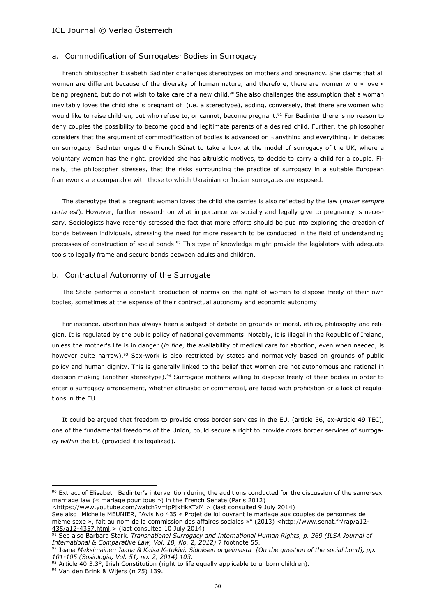#### a. Commodification of Surrogates' Bodies in Surrogacy

French philosopher Elisabeth Badinter challenges stereotypes on mothers and pregnancy. She claims that all women are different because of the diversity of human nature, and therefore, there are women who « love » being pregnant, but do not wish to take care of a new child.<sup>90</sup> She also challenges the assumption that a woman inevitably loves the child she is pregnant of (i.e. a stereotype), adding, conversely, that there are women who would like to raise children, but who refuse to, or cannot, become pregnant.<sup>91</sup> For Badinter there is no reason to deny couples the possibility to become good and legitimate parents of a desired child. Further, the philosopher considers that the argument of commodification of bodies is advanced on « anything and everything » in debates on surrogacy. Badinter urges the French Sénat to take a look at the model of surrogacy of the UK, where a voluntary woman has the right, provided she has altruistic motives, to decide to carry a child for a couple. Finally, the philosopher stresses, that the risks surrounding the practice of surrogacy in a suitable European framework are comparable with those to which Ukrainian or Indian surrogates are exposed.

The stereotype that a pregnant woman loves the child she carries is also reflected by the law (*mater sempre certa est*). However, further research on what importance we socially and legally give to pregnancy is necessary. Sociologists have recently stressed the fact that more efforts should be put into exploring the creation of bonds between individuals, stressing the need for more research to be conducted in the field of understanding processes of construction of social bonds.<sup>92</sup> This type of knowledge might provide the legislators with adequate tools to legally frame and secure bonds between adults and children.

## b. Contractual Autonomy of the Surrogate

The State performs a constant production of norms on the right of women to dispose freely of their own bodies, sometimes at the expense of their contractual autonomy and economic autonomy.

For instance, abortion has always been a subject of debate on grounds of moral, ethics, philosophy and religion. It is regulated by the public policy of national governments. Notably, it is illegal in the Republic of Ireland, unless the mother's life is in danger (*in fine*, the availability of medical care for abortion, even when needed, is however quite narrow).<sup>93</sup> Sex-work is also restricted by states and normatively based on grounds of public policy and human dignity. This is generally linked to the belief that women are not autonomous and rational in decision making (another stereotype).<sup>94</sup> Surrogate mothers willing to dispose freely of their bodies in order to enter a surrogacy arrangement, whether altruistic or commercial, are faced with prohibition or a lack of regulations in the EU.

It could be argued that freedom to provide cross border services in the EU, (article 56, ex-Article 49 TEC), one of the fundamental freedoms of the Union, could secure a right to provide cross border services of surrogacy *within* the EU (provided it is legalized).

[<https://www.youtube.com/watch?v=lpPjxHkXTzM.](https://www.youtube.com/watch?v=lppjxhkxtzm)> (last consulted 9 July 2014)

See also: Michelle MEUNIER, "Avis No 435 « Projet de loi ouvrant le mariage aux couples de personnes de même sexe », fait au nom de la commission des affaires sociales »" (2013) [<http://www.senat.fr/rap/a12-](http://www.senat.fr/rap/a12-435/a12-4357.html) [435/a12-4357.html.](http://www.senat.fr/rap/a12-435/a12-4357.html)> (last consulted 10 July 2014)

93 Article 40.3.3°, Irish Constitution (right to life equally applicable to unborn children).

 $\overline{\phantom{a}}$ 

<sup>90</sup> Extract of Elisabeth Badinter's intervention during the auditions conducted for the discussion of the same-sex marriage law (« mariage pour tous ») in the French Senate (Paris 2012)

<sup>91</sup> See also Barbara Stark*, Transnational Surrogacy and International Human Rights, p. 369 (ILSA Journal of International & Comparative Law, Vol. 18, No. 2, 2012)* 7 footnote 55.

<sup>92</sup> Jaana *Maksimainen Jaana & Kaisa Ketokivi, Sidoksen ongelmasta [On the question of the social bond], pp. 101-105 (Sosiologia, Vol. 51, no. 2, 2014) 103.*

<sup>94</sup> Van den Brink & Wijers (n 75) 139.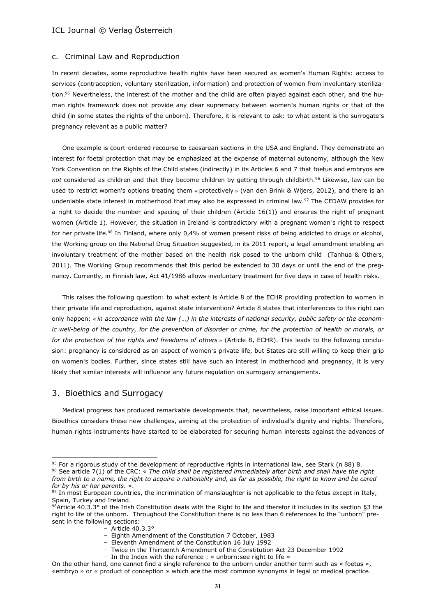#### c. Criminal Law and Reproduction

In recent decades, some reproductive health rights have been secured as women's Human Rights: access to services (contraception, voluntary sterilization, information) and protection of women from involuntary sterilization.<sup>95</sup> Nevertheless, the interest of the mother and the child are often played against each other, and the human rights framework does not provide any clear supremacy between women's human rights or that of the child (in some states the rights of the unborn). Therefore, it is relevant to ask: to what extent is the surrogate's pregnancy relevant as a public matter?

One example is court-ordered recourse to caesarean sections in the USA and England. They demonstrate an interest for foetal protection that may be emphasized at the expense of maternal autonomy, although the New York Convention on the Rights of the Child states (indirectly) in its Articles 6 and 7 that foetus and embryos are *not* considered as children and that they become children by getting through childbirth.<sup>96</sup> Likewise, law can be used to restrict women's options treating them « protectively » (van den Brink & Wijers, 2012), and there is an undeniable state interest in motherhood that may also be expressed in criminal law.<sup>97</sup> The CEDAW provides for a right to decide the number and spacing of their children (Article 16(1)) and ensures the right of pregnant women (Article 1). However, the situation in Ireland is contradictory with a pregnant woman's right to respect for her private life.<sup>98</sup> In Finland, where only 0,4% of women present risks of being addicted to drugs or alcohol, the Working group on the National Drug Situation suggested, in its 2011 report, a legal amendment enabling an involuntary treatment of the mother based on the health risk posed to the unborn child (Tanhua & Others, 2011). The Working Group recommends that this period be extended to 30 days or until the end of the pregnancy. Currently, in Finnish law, Act 41/1986 allows involuntary treatment for five days in case of health risks.

This raises the following question: to what extent is Article 8 of the ECHR providing protection to women in their private life and reproduction, against state intervention? Article 8 states that interferences to this right can only happen: *« in accordance with the law (…) in the interests of national security, public safety or the economic well-being of the country, for the prevention of disorder or crime, for the protection of health or morals, or for the protection of the rights and freedoms of others* » (Article 8, ECHR). This leads to the following conclusion: pregnancy is considered as an aspect of women's private life, but States are still willing to keep their grip on women's bodies. Further, since states still have such an interest in motherhood and pregnancy, it is very likely that similar interests will influence any future regulation on surrogacy arrangements.

## 3. Bioethics and Surrogacy

 $\overline{a}$ 

Medical progress has produced remarkable developments that, nevertheless, raise important ethical issues. Bioethics considers these new challenges, aiming at the protection of individual's dignity and rights. Therefore, human rights instruments have started to be elaborated for securing human interests against the advances of

 $95$  For a rigorous study of the development of reproductive rights in international law, see Stark (n 88) 8.

<sup>96</sup> See article 7(1) of the CRC: « *The child shall be registered immediately after birth and shall have the right from birth to a name, the right to acquire a nationality and, as far as possible, the right to know and be cared for by his or her parents*. ».

<sup>97</sup> In most European countries, the incrimination of manslaughter is not applicable to the fetus except in Italy, Spain, Turkey and Ireland.

<sup>98</sup>Article 40.3.3° of the Irish Constitution deals with the Right to life and therefor it includes in its section §3 the right to life of the unborn. Throughout the Constitution there is no less than 6 references to the "unborn" present in the following sections:

<sup>–</sup> Article 40.3.3°

<sup>–</sup> Eighth Amendment of the Constitution 7 October, 1983

<sup>–</sup> Eleventh Amendment of the Constitution 16 July 1992

<sup>–</sup> Twice in the Thirteenth Amendment of the Constitution Act 23 December 1992

<sup>–</sup> In the Index with the reference : « unborn:see right to life »

On the other hand, one cannot find a single reference to the unborn under another term such as « foetus », «embryo » or « product of conception » which are the most common synonyms in legal or medical practice.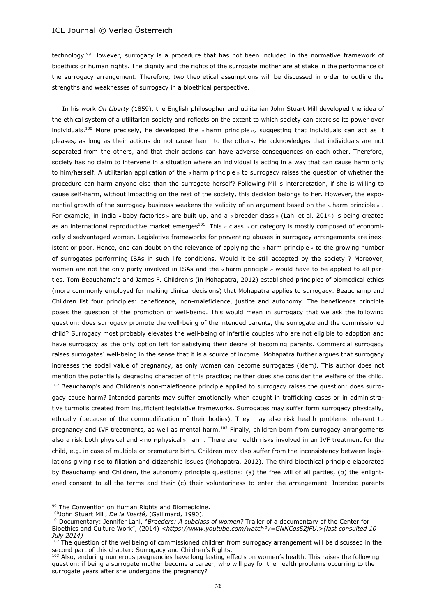technology.<sup>99</sup> However, surrogacy is a procedure that has not been included in the normative framework of bioethics or human rights. The dignity and the rights of the surrogate mother are at stake in the performance of the surrogacy arrangement. Therefore, two theoretical assumptions will be discussed in order to outline the strengths and weaknesses of surrogacy in a bioethical perspective.

In his work *On Liberty* (1859), the English philosopher and utilitarian John Stuart Mill developed the idea of the ethical system of a utilitarian society and reflects on the extent to which society can exercise its power over individuals.<sup>100</sup> More precisely, he developed the « harm principle », suggesting that individuals can act as it pleases, as long as their actions do not cause harm to the others. He acknowledges that individuals are not separated from the others, and that their actions can have adverse consequences on each other. Therefore, society has no claim to intervene in a situation where an individual is acting in a way that can cause harm only to him/herself. A utilitarian application of the « harm principle » to surrogacy raises the question of whether the procedure can harm anyone else than the surrogate herself? Following Mill's interpretation, if she is willing to cause self-harm, without impacting on the rest of the society, this decision belongs to her. However, the exponential growth of the surrogacy business weakens the validity of an argument based on the « harm principle » . For example, in India « baby factories » are built up, and a « breeder class » (Lahl et al. 2014) is being created as an international reproductive market emerges<sup>101</sup>. This « class » or category is mostly composed of economically disadvantaged women. Legislative frameworks for preventing abuses in surrogacy arrangements are inexistent or poor. Hence, one can doubt on the relevance of applying the « harm principle » to the growing number of surrogates performing ISAs in such life conditions. Would it be still accepted by the society ? Moreover, women are not the only party involved in ISAs and the « harm principle » would have to be applied to all parties. Tom Beauchamp's and James F. Children's (in Mohapatra, 2012) established principles of biomedical ethics (more commonly employed for making clinical decisions) that Mohapatra applies to surrogacy. Beauchamp and Children list four principles: beneficence, non-maleficience, justice and autonomy. The beneficence principle poses the question of the promotion of well-being. This would mean in surrogacy that we ask the following question: does surrogacy promote the well-being of the intended parents, the surrogate and the commissioned child? Surrogacy most probably elevates the well-being of infertile couples who are not eligible to adoption and have surrogacy as the only option left for satisfying their desire of becoming parents. Commercial surrogacy raises surrogates' well-being in the sense that it is a source of income. Mohapatra further argues that surrogacy increases the social value of pregnancy, as only women can become surrogates (idem). This author does not mention the potentially degrading character of this practice; neither does she consider the welfare of the child. <sup>102</sup> Beauchamp's and Children's non-maleficence principle applied to surrogacy raises the question: does surrogacy cause harm? Intended parents may suffer emotionally when caught in trafficking cases or in administrative turmoils created from insufficient legislative frameworks. Surrogates may suffer form surrogacy physically, ethically (because of the commodification of their bodies). They may also risk health problems inherent to pregnancy and IVF treatments, as well as mental harm.<sup>103</sup> Finally, children born from surrogacy arrangements also a risk both physical and « non-physical » harm. There are health risks involved in an IVF treatment for the child, e.g. in case of multiple or premature birth. Children may also suffer from the inconsistency between legislations giving rise to filiation and citizenship issues (Mohapatra, 2012). The third bioethical principle elaborated by Beauchamp and Children, the autonomy principle questions: (a) the free will of all parties, (b) the enlightened consent to all the terms and their (c) their voluntariness to enter the arrangement. Intended parents

 $\overline{\phantom{a}}$ 

<sup>99</sup> The Convention on Human Rights and Biomedicine.

<sup>100</sup>John Stuart Mill, *De la liberté*, (Gallimard, 1990).

<sup>101</sup>Documentary: Jennifer Lahl, "*Breeders: A subclass of women?* Trailer of a documentary of the Center for Bioethics and Culture Work", (2014) *[<https://www.youtube.com/watch?v=GNNCqs52jFU.](https://www.youtube.com/watch?v=gnncqs52jfu)*>*(last consulted 10 July 2014)*

The question of the wellbeing of commissioned children from surrogacy arrangement will be discussed in the second part of this chapter: Surrogacy and Children's Rights.

<sup>&</sup>lt;sup>103</sup> Also, enduring numerous pregnancies have long lasting effects on women's health. This raises the following question: if being a surrogate mother become a career, who will pay for the health problems occurring to the surrogate years after she undergone the pregnancy?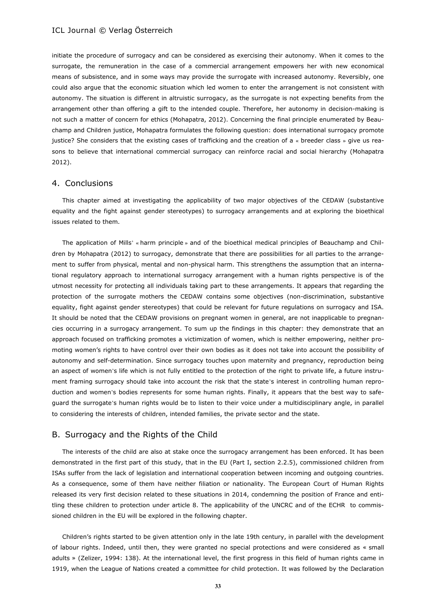initiate the procedure of surrogacy and can be considered as exercising their autonomy. When it comes to the surrogate, the remuneration in the case of a commercial arrangement empowers her with new economical means of subsistence, and in some ways may provide the surrogate with increased autonomy. Reversibly, one could also argue that the economic situation which led women to enter the arrangement is not consistent with autonomy. The situation is different in altruistic surrogacy, as the surrogate is not expecting benefits from the arrangement other than offering a gift to the intended couple. Therefore, her autonomy in decision-making is not such a matter of concern for ethics (Mohapatra, 2012). Concerning the final principle enumerated by Beauchamp and Children justice, Mohapatra formulates the following question: does international surrogacy promote justice? She considers that the existing cases of trafficking and the creation of a « breeder class » give us reasons to believe that international commercial surrogacy can reinforce racial and social hierarchy (Mohapatra 2012).

## 4. Conclusions

This chapter aimed at investigating the applicability of two major objectives of the CEDAW (substantive equality and the fight against gender stereotypes) to surrogacy arrangements and at exploring the bioethical issues related to them.

The application of Mills' « harm principle » and of the bioethical medical principles of Beauchamp and Children by Mohapatra (2012) to surrogacy, demonstrate that there are possibilities for all parties to the arrangement to suffer from physical, mental and non-physical harm. This strengthens the assumption that an international regulatory approach to international surrogacy arrangement with a human rights perspective is of the utmost necessity for protecting all individuals taking part to these arrangements. It appears that regarding the protection of the surrogate mothers the CEDAW contains some objectives (non-discrimination, substantive equality, fight against gender stereotypes) that could be relevant for future regulations on surrogacy and ISA. It should be noted that the CEDAW provisions on pregnant women in general, are not inapplicable to pregnancies occurring in a surrogacy arrangement. To sum up the findings in this chapter: they demonstrate that an approach focused on trafficking promotes a victimization of women, which is neither empowering, neither promoting women's rights to have control over their own bodies as it does not take into account the possibility of autonomy and self-determination. Since surrogacy touches upon maternity and pregnancy, reproduction being an aspect of women's life which is not fully entitled to the protection of the right to private life, a future instrument framing surrogacy should take into account the risk that the state's interest in controlling human reproduction and women's bodies represents for some human rights. Finally, it appears that the best way to safeguard the surrogate's human rights would be to listen to their voice under a multidisciplinary angle, in parallel to considering the interests of children, intended families, the private sector and the state.

## B. Surrogacy and the Rights of the Child

The interests of the child are also at stake once the surrogacy arrangement has been enforced. It has been demonstrated in the first part of this study, that in the EU (Part I, section 2.2.5), commissioned children from ISAs suffer from the lack of legislation and international cooperation between incoming and outgoing countries. As a consequence, some of them have neither filiation or nationality. The European Court of Human Rights released its very first decision related to these situations in 2014, condemning the position of France and entitling these children to protection under article 8. The applicability of the UNCRC and of the ECHR to commissioned children in the EU will be explored in the following chapter.

Children's rights started to be given attention only in the late 19th century, in parallel with the development of labour rights. Indeed, until then, they were granted no special protections and were considered as « small adults » (Zelizer, 1994: 138). At the international level, the first progress in this field of human rights came in 1919, when the League of Nations created a committee for child protection. It was followed by the Declaration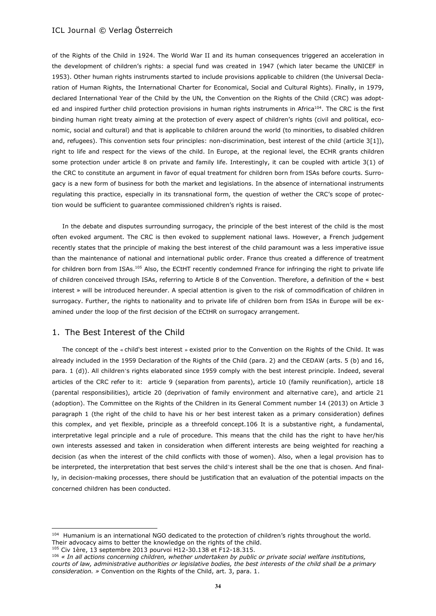of the Rights of the Child in 1924. The World War II and its human consequences triggered an acceleration in the development of children's rights: a special fund was created in 1947 (which later became the UNICEF in 1953). Other human rights instruments started to include provisions applicable to children (the Universal Declaration of Human Rights, the International Charter for Economical, Social and Cultural Rights). Finally, in 1979, declared International Year of the Child by the UN, the Convention on the Rights of the Child (CRC) was adopted and inspired further child protection provisions in human rights instruments in Africa<sup>104</sup>. The CRC is the first binding human right treaty aiming at the protection of every aspect of children's rights (civil and political, economic, social and cultural) and that is applicable to children around the world (to minorities, to disabled children and, refugees). This convention sets four principles: non-discrimination, best interest of the child (article 3[1]), right to life and respect for the views of the child. In Europe, at the regional level, the ECHR grants children some protection under article 8 on private and family life. Interestingly, it can be coupled with article 3(1) of the CRC to constitute an argument in favor of equal treatment for children born from ISAs before courts. Surrogacy is a new form of business for both the market and legislations. In the absence of international instruments regulating this practice, especially in its transnational form, the question of wether the CRC's scope of protection would be sufficient to guarantee commissioned children's rights is raised.

In the debate and disputes surrounding surrogacy, the principle of the best interest of the child is the most often evoked argument. The CRC is then evoked to supplement national laws. However, a French judgement recently states that the principle of making the best interest of the child paramount was a less imperative issue than the maintenance of national and international public order. France thus created a difference of treatment for children born from ISAs.<sup>105</sup> Also, the ECtHT recently condemned France for infringing the right to private life of children conceived through ISAs, referring to Article 8 of the Convention. Therefore, a definition of the « best interest » will be introduced hereunder. A special attention is given to the risk of commodification of children in surrogacy. Further, the rights to nationality and to private life of children born from ISAs in Europe will be examined under the loop of the first decision of the ECtHR on surrogacy arrangement.

## 1. The Best Interest of the Child

 $\overline{\phantom{a}}$ 

The concept of the « child's best interest » existed prior to the Convention on the Rights of the Child. It was already included in the 1959 Declaration of the Rights of the Child (para. 2) and the CEDAW (arts. 5 (b) and 16, para. 1 (d)). All children's rights elaborated since 1959 comply with the best interest principle. Indeed, several articles of the CRC refer to it: article 9 (separation from parents), article 10 (family reunification), article 18 (parental responsibilities), article 20 (deprivation of family environment and alternative care), and article 21 (adoption). The Committee on the Rights of the Children in its General Comment number 14 (2013) on Article 3 paragraph 1 (the right of the child to have his or her best interest taken as a primary consideration) defines this complex, and yet flexible, principle as a threefold concept.106 It is a substantive right, a fundamental, interpretative legal principle and a rule of procedure. This means that the child has the right to have her/his own interests assessed and taken in consideration when different interests are being weighted for reaching a decision (as when the interest of the child conflicts with those of women). Also, when a legal provision has to be interpreted, the interpretation that best serves the child's interest shall be the one that is chosen. And finally, in decision-making processes, there should be justification that an evaluation of the potential impacts on the concerned children has been conducted.

<sup>&</sup>lt;sup>104</sup> Humanium is an international NGO dedicated to the protection of children's rights throughout the world. Their advocacy aims to better the knowledge on the rights of the child. <sup>105</sup> Civ 1ère, 13 septembre 2013 pourvoi H12-30.138 et F12-18.315.

<sup>106</sup> *« In all actions concerning children, whether undertaken by public or private social welfare institutions, courts of law, administrative authorities or legislative bodies, the best interests of the child shall be a primary consideration. »* Convention on the Rights of the Child, art. 3, para. 1.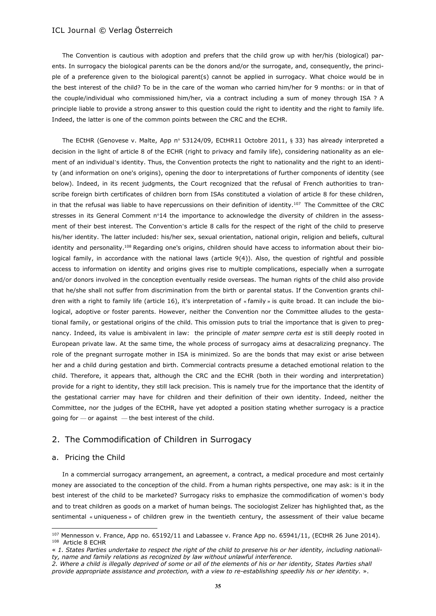The Convention is cautious with adoption and prefers that the child grow up with her/his (biological) parents. In surrogacy the biological parents can be the donors and/or the surrogate, and, consequently, the principle of a preference given to the biological parent(s) cannot be applied in surrogacy. What choice would be in the best interest of the child? To be in the care of the woman who carried him/her for 9 months: or in that of the couple/individual who commissioned him/her, via a contract including a sum of money through ISA ? A principle liable to provide a strong answer to this question could the right to identity and the right to family life. Indeed, the latter is one of the common points between the CRC and the ECHR.

The ECtHR (Genovese v. Malte, App n° 53124/09, ECtHR11 Octobre 2011, § 33) has already interpreted a decision in the light of article 8 of the ECHR (right to privacy and family life), considering nationality as an element of an individual's identity. Thus, the Convention protects the right to nationality and the right to an identity (and information on one's origins), opening the door to interpretations of further components of identity (see below). Indeed, in its recent judgments, the Court recognized that the refusal of French authorities to transcribe foreign birth certificates of children born from ISAs constituted a violation of article 8 for these children, in that the refusal was liable to have repercussions on their definition of identity.<sup>107</sup> The Committee of the CRC stresses in its General Comment n°14 the importance to acknowledge the diversity of children in the assessment of their best interest. The Convention's article 8 calls for the respect of the right of the child to preserve his/her identity. The latter included: his/her sex, sexual orientation, national origin, religion and beliefs, cultural identity and personality.<sup>108</sup> Regarding one's origins, children should have access to information about their biological family, in accordance with the national laws (article 9(4)). Also, the question of rightful and possible access to information on identity and origins gives rise to multiple complications, especially when a surrogate and/or donors involved in the conception eventually reside overseas. The human rights of the child also provide that he/she shall not suffer from discrimination from the birth or parental status. If the Convention grants children with a right to family life (article 16), it's interpretation of « family » is quite broad. It can include the biological, adoptive or foster parents. However, neither the Convention nor the Committee alludes to the gestational family, or gestational origins of the child. This omission puts to trial the importance that is given to pregnancy. Indeed, its value is ambivalent in law: the principle of *mater sempre certa est* is still deeply rooted in European private law. At the same time, the whole process of surrogacy aims at desacralizing pregnancy. The role of the pregnant surrogate mother in ISA is minimized. So are the bonds that may exist or arise between her and a child during gestation and birth. Commercial contracts presume a detached emotional relation to the child. Therefore, it appears that, although the CRC and the ECHR (both in their wording and interpretation) provide for a right to identity, they still lack precision. This is namely true for the importance that the identity of the gestational carrier may have for children and their definition of their own identity. Indeed, neither the Committee, nor the judges of the ECtHR, have yet adopted a position stating whether surrogacy is a practice going for — or against — the best interest of the child.

## 2. The Commodification of Children in Surrogacy

#### a. Pricing the Child

 $\overline{\phantom{a}}$ 

In a commercial surrogacy arrangement, an agreement, a contract, a medical procedure and most certainly money are associated to the conception of the child. From a human rights perspective, one may ask: is it in the best interest of the child to be marketed? Surrogacy risks to emphasize the commodification of women's body and to treat children as goods on a market of human beings. The sociologist Zelizer has highlighted that, as the sentimental « uniqueness » of children grew in the twentieth century, the assessment of their value became

 $107$  Mennesson v. France, App no. 65192/11 and Labassee v. France App no. 65941/11, (ECtHR 26 June 2014). 108 Article 8 ECHR

<sup>«</sup> *1. States Parties undertake to respect the right of the child to preserve his or her identity, including nationality, name and family relations as recognized by law without unlawful interference.*

*<sup>2.</sup> Where a child is illegally deprived of some or all of the elements of his or her identity, States Parties shall provide appropriate assistance and protection, with a view to re-establishing speedily his or her identity.* ».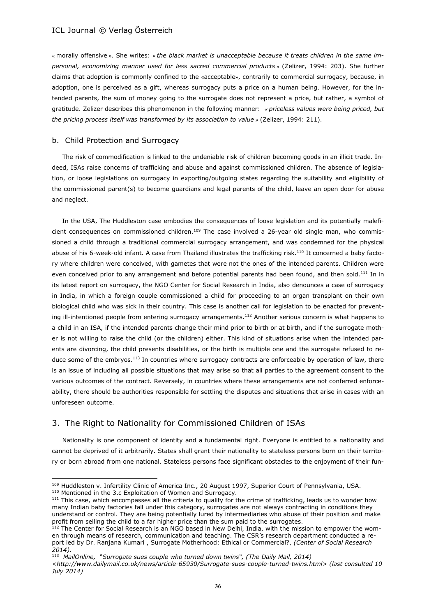« morally offensive ». She writes: « *the black market is unacceptable because it treats children in the same impersonal, economizing manner used for less sacred commercial products* » (Zelizer, 1994: 203). She further claims that adoption is commonly confined to the «acceptable», contrarily to commercial surrogacy, because, in adoption, one is perceived as a gift, whereas surrogacy puts a price on a human being. However, for the intended parents, the sum of money going to the surrogate does not represent a price, but rather, a symbol of gratitude. Zelizer describes this phenomenon in the following manner: *« priceless values were being priced, but the pricing process itself was transformed by its association to value »* (Zelizer, 1994: 211).

## b. Child Protection and Surrogacy

The risk of commodification is linked to the undeniable risk of children becoming goods in an illicit trade. Indeed, ISAs raise concerns of trafficking and abuse and against commissioned children. The absence of legislation, or loose legislations on surrogacy in exporting/outgoing states regarding the suitability and eligibility of the commissioned parent(s) to become guardians and legal parents of the child, leave an open door for abuse and neglect.

In the USA, The Huddleston case embodies the consequences of loose legislation and its potentially maleficient consequences on commissioned children.<sup>109</sup> The case involved a 26-year old single man, who commissioned a child through a traditional commercial surrogacy arrangement, and was condemned for the physical abuse of his 6-week-old infant. A case from Thailand illustrates the trafficking risk.<sup>110</sup> It concerned a baby factory where children were conceived, with gametes that were not the ones of the intended parents. Children were even conceived prior to any arrangement and before potential parents had been found, and then sold.<sup>111</sup> In in its latest report on surrogacy, the NGO Center for Social Research in India, also denounces a case of surrogacy in India, in which a foreign couple commissioned a child for proceeding to an organ transplant on their own biological child who was sick in their country. This case is another call for legislation to be enacted for preventing ill-intentioned people from entering surrogacy arrangements.<sup>112</sup> Another serious concern is what happens to a child in an ISA, if the intended parents change their mind prior to birth or at birth, and if the surrogate mother is not willing to raise the child (or the children) either. This kind of situations arise when the intended parents are divorcing, the child presents disabilities, or the birth is multiple one and the surrogate refused to reduce some of the embryos.<sup>113</sup> In countries where surrogacy contracts are enforceable by operation of law, there is an issue of including all possible situations that may arise so that all parties to the agreement consent to the various outcomes of the contract. Reversely, in countries where these arrangements are not conferred enforceability, there should be authorities responsible for settling the disputes and situations that arise in cases with an unforeseen outcome.

## 3. The Right to Nationality for Commissioned Children of ISAs

Nationality is one component of identity and a fundamental right. Everyone is entitled to a nationality and cannot be deprived of it arbitrarily. States shall grant their nationality to stateless persons born on their territory or born abroad from one national. Stateless persons face significant obstacles to the enjoyment of their fun-

<sup>110</sup> Mentioned in the 3.c Exploitation of Women and Surrogacy.

 $\overline{\phantom{a}}$ 

<sup>113</sup> MailOnline, "Surrogate sues couple who turned down twins", (The Daily Mail, 2014)

<sup>109</sup> Huddleston v. Infertility Clinic of America Inc., 20 August 1997, Superior Court of Pennsylvania, USA.

<sup>&</sup>lt;sup>111</sup> This case, which encompasses all the criteria to qualify for the crime of trafficking, leads us to wonder how many Indian baby factories fall under this category, surrogates are not always contracting in conditions they understand or control. They are being potentially lured by intermediaries who abuse of their position and make profit from selling the child to a far higher price than the sum paid to the surrogates.

<sup>&</sup>lt;sup>112</sup> The Center for Social Research is an NGO based in New Delhi, India, with the mission to empower the women through means of research, communication and teaching. The CSR's research department conducted a report led by Dr. Ranjana Kumari , Surrogate Motherhood: Ethical or Commercial?, *(Center of Social Research 2014).*

*[<sup>&</sup>lt;http://www.dailymail.co.uk/news/article-65930/Surrogate-sues-couple-turned-twins.html>](http://www.dailymail.co.uk/news/article-65930/surrogate-sues-couple-turned-twins.html) (last consulted 10 July 2014)*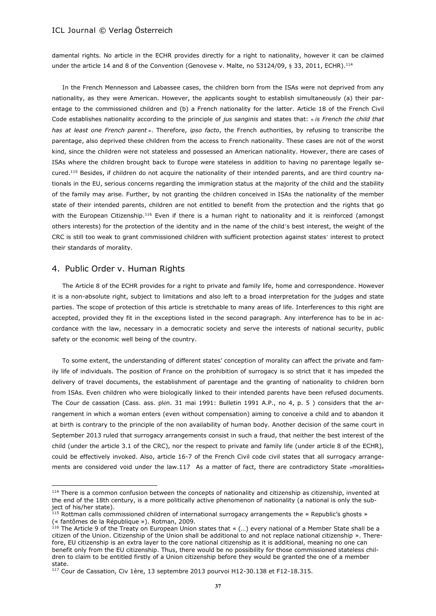damental rights. No article in the ECHR provides directly for a right to nationality, however it can be claimed under the article 14 and 8 of the Convention (Genovese v. Malte, no 53124/09, § 33, 2011, ECHR).<sup>114</sup>

In the French Mennesson and Labassee cases, the children born from the ISAs were not deprived from any nationality, as they were American. However, the applicants sought to establish simultaneously (a) their parentage to the commissioned children and (b) a French nationality for the latter. Article 18 of the French Civil Code establishes nationality according to the principle of *jus sanginis* and states that: « *is French the child that has at least one French parent* ». Therefore, *ipso facto*, the French authorities, by refusing to transcribe the parentage, also deprived these children from the access to French nationality. These cases are not of the worst kind, since the children were not stateless and possessed an American nationality. However, there are cases of ISAs where the children brought back to Europe were stateless in addition to having no parentage legally secured.<sup>115</sup> Besides, if children do not acquire the nationality of their intended parents, and are third country nationals in the EU, serious concerns regarding the immigration status at the majority of the child and the stability of the family may arise. Further, by not granting the children conceived in ISAs the nationality of the member state of their intended parents, children are not entitled to benefit from the protection and the rights that go with the European Citizenship.<sup>116</sup> Even if there is a human right to nationality and it is reinforced (amongst others interests) for the protection of the identity and in the name of the child's best interest, the weight of the CRC is still too weak to grant commissioned children with sufficient protection against states' interest to protect their standards of morality.

## 4. Public Order v. Human Rights

 $\overline{\phantom{a}}$ 

The Article 8 of the ECHR provides for a right to private and family life, home and correspondence. However it is a non-absolute right, subject to limitations and also left to a broad interpretation for the judges and state parties. The scope of protection of this article is stretchable to many areas of life. Interferences to this right are accepted, provided they fit in the exceptions listed in the second paragraph. Any interference has to be in accordance with the law, necessary in a democratic society and serve the interests of national security, public safety or the economic well being of the country.

To some extent, the understanding of different states' conception of morality can affect the private and family life of individuals. The position of France on the prohibition of surrogacy is so strict that it has impeded the delivery of travel documents, the establishment of parentage and the granting of nationality to children born from ISAs. Even children who were biologically linked to their intended parents have been refused documents. The Cour de cassation (Cass. ass. plén. 31 mai 1991: Bulletin 1991 A.P., no 4, p. 5 ) considers that the arrangement in which a woman enters (even without compensation) aiming to conceive a child and to abandon it at birth is contrary to the principle of the non availability of human body. Another decision of the same court in September 2013 ruled that surrogacy arrangements consist in such a fraud, that neither the best interest of the child (under the article 3.1 of the CRC), nor the respect to private and family life (under article 8 of the ECHR), could be effectively invoked. Also, article 16-7 of the French Civil code civil states that all surrogacy arrangements are considered void under the law.117 As a matter of fact, there are contradictory State «moralities»

<sup>&</sup>lt;sup>114</sup> There is a common confusion between the concepts of nationality and citizenship as citizenship, invented at the end of the 18th century, is a more politically active phenomenon of nationality (a national is only the subject of his/her state).

<sup>&</sup>lt;sup>115</sup> Rottman calls commissioned children of international surrogacy arrangements the « Republic's ghosts » (« fantômes de la République »). Rotman, 2009.

 $^{116}$  The Article 9 of the Treaty on European Union states that « (...) every national of a Member State shall be a citizen of the Union. Citizenship of the Union shall be additional to and not replace national citizenship ». Therefore, EU citizenship is an extra layer to the core national citizenship as it is additional, meaning no one can benefit only from the EU citizenship. Thus, there would be no possibility for those commissioned stateless children to claim to be entitled firstly of a Union citizenship before they would be granted the one of a member state.

<sup>117</sup> Cour de Cassation, Civ 1ère, 13 septembre 2013 pourvoi H12-30.138 et F12-18.315.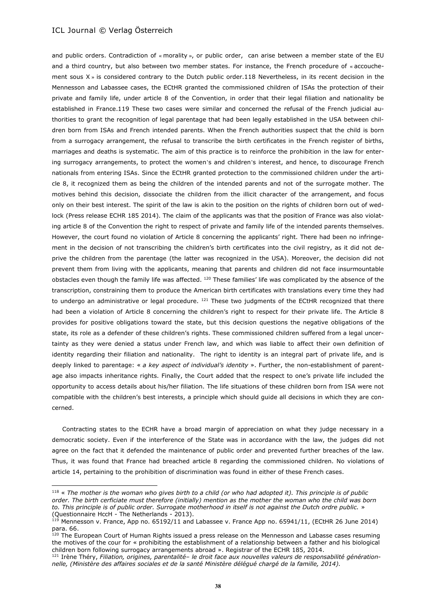$\overline{\phantom{a}}$ 

and public orders. Contradiction of « morality », or public order, can arise between a member state of the EU and a third country, but also between two member states. For instance, the French procedure of « accouchement sous X » is considered contrary to the Dutch public order.118 Nevertheless, in its recent decision in the Mennesson and Labassee cases, the ECtHR granted the commissioned children of ISAs the protection of their private and family life, under article 8 of the Convention, in order that their legal filiation and nationality be established in France.119 These two cases were similar and concerned the refusal of the French judicial authorities to grant the recognition of legal parentage that had been legally established in the USA between children born from ISAs and French intended parents. When the French authorities suspect that the child is born from a surrogacy arrangement, the refusal to transcribe the birth certificates in the French register of births, marriages and deaths is systematic. The aim of this practice is to reinforce the prohibition in the law for entering surrogacy arrangements, to protect the women's and children's interest, and hence, to discourage French nationals from entering ISAs. Since the ECtHR granted protection to the commissioned children under the article 8, it recognized them as being the children of the intended parents and not of the surrogate mother. The motives behind this decision, dissociate the children from the illicit character of the arrangement, and focus only on their best interest. The spirit of the law is akin to the position on the rights of children born out of wedlock (Press release ECHR 185 2014). The claim of the applicants was that the position of France was also violating article 8 of the Convention the right to respect of private and family life of the intended parents themselves. However, the court found no violation of Article 8 concerning the applicants' right. There had been no infringement in the decision of not transcribing the children's birth certificates into the civil registry, as it did not deprive the children from the parentage (the latter was recognized in the USA). Moreover, the decision did not prevent them from living with the applicants, meaning that parents and children did not face insurmountable obstacles even though the family life was affected. <sup>120</sup> These families' life was complicated by the absence of the transcription, constraining them to produce the American birth certificates with translations every time they had to undergo an administrative or legal procedure.  $121$  These two judgments of the ECtHR recognized that there had been a violation of Article 8 concerning the children's right to respect for their private life. The Article 8 provides for positive obligations toward the state, but this decision questions the negative obligations of the state, its role as a defender of these children's rights. These commissioned children suffered from a legal uncertainty as they were denied a status under French law, and which was liable to affect their own definition of identity regarding their filiation and nationality. The right to identity is an integral part of private life, and is deeply linked to parentage: « *a key aspect of individual's identity* ». Further, the non-establishment of parentage also impacts inheritance rights. Finally, the Court added that the respect to one's private life included the opportunity to access details about his/her filiation. The life situations of these children born from ISA were not compatible with the children's best interests, a principle which should guide all decisions in which they are concerned.

Contracting states to the ECHR have a broad margin of appreciation on what they judge necessary in a democratic society. Even if the interference of the State was in accordance with the law, the judges did not agree on the fact that it defended the maintenance of public order and prevented further breaches of the law. Thus, it was found that France had breached article 8 regarding the commissioned children. No violations of article 14, pertaining to the prohibition of discrimination was found in either of these French cases.

<sup>118</sup> « *The mother is the woman who gives birth to a child (or who had adopted it). This principle is of public order. The birth cerficiate must therefore (initially) mention as the mother the woman who the child was born to. This principle is of public order. Surrogate motherhood in itself is not against the Dutch ordre public.* » (Questionnaire HccH - The Netherlands - 2013).

 $^{119}$  Mennesson v. France, App no. 65192/11 and Labassee v. France App no. 65941/11, (ECtHR 26 June 2014) para. 66.

<sup>&</sup>lt;sup>120</sup> The European Court of Human Rights issued a press release on the Mennesson and Labasse cases resuming the motives of the cour for « prohibiting the establishment of a relationship between a father and his biological children born following surrogacy arrangements abroad ». Registrar of the ECHR 185, 2014.

<sup>121</sup> Irène Théry, *Filiation, origines, parentalité– le droit face aux nouvelles valeurs de responsabilité générationnelle, (Ministère des affaires sociales et de la santé Ministère délégué chargé de la famille, 2014).*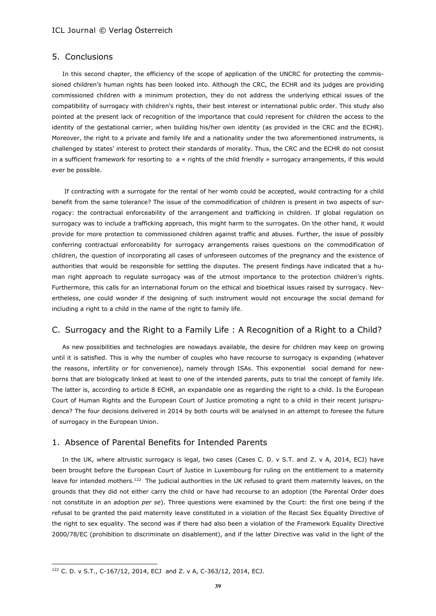## 5. Conclusions

In this second chapter, the efficiency of the scope of application of the UNCRC for protecting the commissioned children's human rights has been looked into. Although the CRC, the ECHR and its judges are providing commissioned children with a minimum protection, they do not address the underlying ethical issues of the compatibility of surrogacy with children's rights, their best interest or international public order. This study also pointed at the present lack of recognition of the importance that could represent for children the access to the identity of the gestational carrier, when building his/her own identity (as provided in the CRC and the ECHR). Moreover, the right to a private and family life and a nationality under the two aforementioned instruments, is challenged by states' interest to protect their standards of morality. Thus, the CRC and the ECHR do not consist in a sufficient framework for resorting to a « rights of the child friendly » surrogacy arrangements, if this would ever be possible.

If contracting with a surrogate for the rental of her womb could be accepted, would contracting for a child benefit from the same tolerance? The issue of the commodification of children is present in two aspects of surrogacy: the contractual enforceability of the arrangement and trafficking in children. If global regulation on surrogacy was to include a trafficking approach, this might harm to the surrogates. On the other hand, it would provide for more protection to commissioned children against traffic and abuses. Further, the issue of possibly conferring contractual enforceability for surrogacy arrangements raises questions on the commodification of children, the question of incorporating all cases of unforeseen outcomes of the pregnancy and the existence of authorities that would be responsible for settling the disputes. The present findings have indicated that a human right approach to regulate surrogacy was of the utmost importance to the protection children's rights. Furthermore, this calls for an international forum on the ethical and bioethical issues raised by surrogacy. Nevertheless, one could wonder if the designing of such instrument would not encourage the social demand for including a right to a child in the name of the right to family life.

## C. Surrogacy and the Right to a Family Life : A Recognition of a Right to a Child?

As new possibilities and technologies are nowadays available, the desire for children may keep on growing until it is satisfied. This is why the number of couples who have recourse to surrogacy is expanding (whatever the reasons, infertility or for convenience), namely through ISAs. This exponential social demand for newborns that are biologically linked at least to one of the intended parents, puts to trial the concept of family life. The latter is, according to article 8 ECHR, an expandable one as regarding the right to a child. Is the European Court of Human Rights and the European Court of Justice promoting a right to a child in their recent jurisprudence? The four decisions delivered in 2014 by both courts will be analysed in an attempt to foresee the future of surrogacy in the European Union.

## 1. Absence of Parental Benefits for Intended Parents

In the UK, where altruistic surrogacy is legal, two cases (Cases C. D. v S.T. and Z. v A, 2014, ECJ) have been brought before the European Court of Justice in Luxembourg for ruling on the entitlement to a maternity leave for intended mothers.<sup>122</sup> The judicial authorities in the UK refused to grant them maternity leaves, on the grounds that they did not either carry the child or have had recourse to an adoption (the Parental Order does not constitute in an adoption *per se*). Three questions were examined by the Court: the first one being if the refusal to be granted the paid maternity leave constituted in a violation of the Recast Sex Equality Directive of the right to sex equality. The second was if there had also been a violation of the Framework Equality Directive 2000/78/EC (prohibition to discriminate on disablement), and if the latter Directive was valid in the light of the

 $\overline{a}$ 

<sup>122</sup> C. D. v S.T., C-167/12, 2014, ECJ and Z. v A, C-363/12, 2014, ECJ.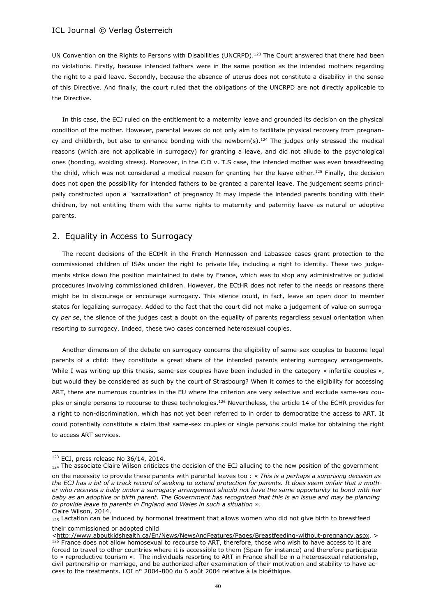UN Convention on the Rights to Persons with Disabilities (UNCRPD).<sup>123</sup> The Court answered that there had been no violations. Firstly, because intended fathers were in the same position as the intended mothers regarding the right to a paid leave. Secondly, because the absence of uterus does not constitute a disability in the sense of this Directive. And finally, the court ruled that the obligations of the UNCRPD are not directly applicable to the Directive.

In this case, the ECJ ruled on the entitlement to a maternity leave and grounded its decision on the physical condition of the mother. However, parental leaves do not only aim to facilitate physical recovery from pregnancy and childbirth, but also to enhance bonding with the newborn(s).<sup>124</sup> The judges only stressed the medical reasons (which are not applicable in surrogacy) for granting a leave, and did not allude to the psychological ones (bonding, avoiding stress). Moreover, in the C.D v. T.S case, the intended mother was even breastfeeding the child, which was not considered a medical reason for granting her the leave either.<sup>125</sup> Finally, the decision does not open the possibility for intended fathers to be granted a parental leave. The judgement seems principally constructed upon a "sacralization" of pregnancy It may impede the intended parents bonding with their children, by not entitling them with the same rights to maternity and paternity leave as natural or adoptive parents.

## 2. Equality in Access to Surrogacy

The recent decisions of the ECtHR in the French Mennesson and Labassee cases grant protection to the commissioned children of ISAs under the right to private life, including a right to identity. These two judgements strike down the position maintained to date by France, which was to stop any administrative or judicial procedures involving commissioned children. However, the ECtHR does not refer to the needs or reasons there might be to discourage or encourage surrogacy. This silence could, in fact, leave an open door to member states for legalizing surrogacy. Added to the fact that the court did not make a judgement of value on surrogacy *per se*, the silence of the judges cast a doubt on the equality of parents regardless sexual orientation when resorting to surrogacy. Indeed, these two cases concerned heterosexual couples.

Another dimension of the debate on surrogacy concerns the eligibility of same-sex couples to become legal parents of a child: they constitute a great share of the intended parents entering surrogacy arrangements. While I was writing up this thesis, same-sex couples have been included in the category « infertile couples », but would they be considered as such by the court of Strasbourg? When it comes to the eligibility for accessing ART, there are numerous countries in the EU where the criterion are very selective and exclude same-sex couples or single persons to recourse to these technologies.<sup>126</sup> Nevertheless, the article 14 of the ECHR provides for a right to non-discrimination, which has not yet been referred to in order to democratize the access to ART. It could potentially constitute a claim that same-sex couples or single persons could make for obtaining the right to access ART services.

 $\overline{\phantom{a}}$ 

their commissioned or adopted child

<sup>123</sup> ECJ, press release No 36/14, 2014.

 $_{124}$  The associate Claire Wilson criticizes the decision of the ECJ alluding to the new position of the government

on the necessity to provide these parents with parental leaves too : « *This is a perhaps a surprising decision as the ECJ has a bit of a track record of seeking to extend protection for parents. It does seem unfair that a mother who receives a baby under a surrogacy arrangement should not have the same opportunity to bond with her baby as an adoptive or birth parent. The Government has recognized that this is an issue and may be planning to provide leave to parents in England and Wales in such a situation* ». Claire Wilson, 2014.

<sup>125</sup> Lactation can be induced by hormonal treatment that allows women who did not give birth to breastfeed

[<sup>&</sup>lt;http://www.aboutkidshealth.ca/En/News/NewsAndFeatures/Pages/Breastfeeding-without-pregnancy.aspx.](http://www.aboutkidshealth.ca/en/news/newsandfeatures/pages/breastfeeding-without-pregnancy.aspx) > <sup>126</sup> France does not allow homosexual to recourse to ART, therefore, those who wish to have access to it are forced to travel to other countries where it is accessible to them (Spain for instance) and therefore participate to « reproductive tourism ». The individuals resorting to ART in France shall be in a heterosexual relationship, civil partnership or marriage, and be authorized after examination of their motivation and stability to have access to the treatments. LOI n° 2004-800 du 6 août 2004 relative à la bioéthique.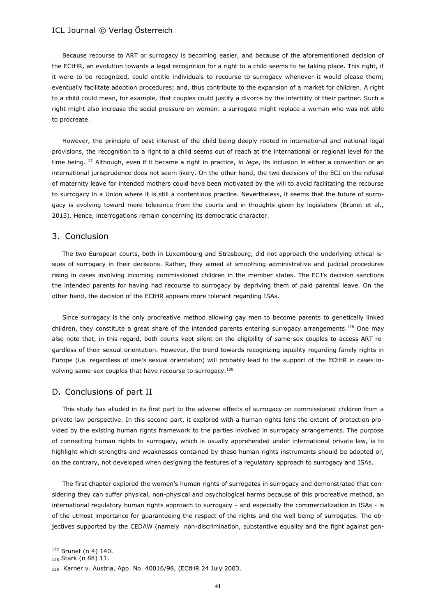Because recourse to ART or surrogacy is becoming easier, and because of the aforementioned decision of the ECtHR, an evolution towards a legal recognition for a right to a child seems to be taking place. This right, if it were to be recognized, could entitle individuals to recourse to surrogacy whenever it would please them; eventually facilitate adoption procedures; and, thus contribute to the expansion of a market for children. A right to a child could mean, for example, that couples could justify a divorce by the infertility of their partner. Such a right might also increase the social pressure on women: a surrogate might replace a woman who was not able to procreate.

However, the principle of best interest of the child being deeply rooted in international and national legal provisions, the recognition to a right to a child seems out of reach at the international or regional level for the time being.<sup>127</sup> Although, even if it became a right in practice, *in lege*, its inclusion in either a convention or an international jurisprudence does not seem likely. On the other hand, the two decisions of the ECJ on the refusal of maternity leave for intended mothers could have been motivated by the will to avoid facilitating the recourse to surrogacy in a Union where it is still a contentious practice. Nevertheless, it seems that the future of surrogacy is evolving toward more tolerance from the courts and in thoughts given by legislators (Brunet et al., 2013). Hence, interrogations remain concerning its democratic character.

## 3. Conclusion

The two European courts, both in Luxembourg and Strasbourg, did not approach the underlying ethical issues of surrogacy in their decisions. Rather, they aimed at smoothing administrative and judicial procedures rising in cases involving incoming commissioned children in the member states. The ECJ's decision sanctions the intended parents for having had recourse to surrogacy by depriving them of paid parental leave. On the other hand, the decision of the ECtHR appears more tolerant regarding ISAs.

Since surrogacy is the only procreative method allowing gay men to become parents to genetically linked children, they constitute a great share of the intended parents entering surrogacy arrangements.<sup>128</sup> One may also note that, in this regard, both courts kept silent on the eligibility of same-sex couples to access ART regardless of their sexual orientation. However, the trend towards recognizing equality regarding family rights in Europe (i.e. regardless of one's sexual orientation) will probably lead to the support of the ECtHR in cases involving same-sex couples that have recourse to surrogacy.<sup>129</sup>

## D. Conclusions of part II

This study has alluded in its first part to the adverse effects of surrogacy on commissioned children from a private law perspective. In this second part, it explored with a human rights lens the extent of protection provided by the existing human rights framework to the parties involved in surrogacy arrangements. The purpose of connecting human rights to surrogacy, which is usually apprehended under international private law, is to highlight which strengths and weaknesses contained by these human rights instruments should be adopted or, on the contrary, not developed when designing the features of a regulatory approach to surrogacy and ISAs.

The first chapter explored the women's human rights of surrogates in surrogacy and demonstrated that considering they can suffer physical, non-physical and psychological harms because of this procreative method, an international regulatory human rights approach to surrogacy - and especially the commercialization in ISAs - is of the utmost importance for guaranteeing the respect of the rights and the well being of surrogates. The objectives supported by the CEDAW (namely non-discrimination, substantive equality and the fight against gen-

 $\overline{a}$ 

<sup>127</sup> Brunet (n 4) 140.

<sup>128</sup> Stark (n 88) 11.

<sup>129</sup> Karner v. Austria, App. No. 40016/98, (ECtHR 24 July 2003.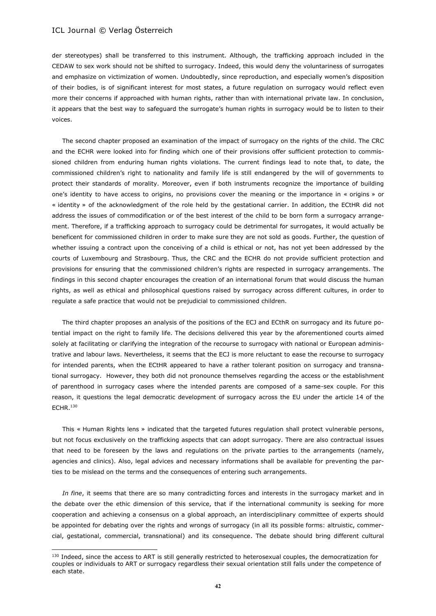l

der stereotypes) shall be transferred to this instrument. Although, the trafficking approach included in the CEDAW to sex work should not be shifted to surrogacy. Indeed, this would deny the voluntariness of surrogates and emphasize on victimization of women. Undoubtedly, since reproduction, and especially women's disposition of their bodies, is of significant interest for most states, a future regulation on surrogacy would reflect even more their concerns if approached with human rights, rather than with international private law. In conclusion, it appears that the best way to safeguard the surrogate's human rights in surrogacy would be to listen to their voices.

The second chapter proposed an examination of the impact of surrogacy on the rights of the child. The CRC and the ECHR were looked into for finding which one of their provisions offer sufficient protection to commissioned children from enduring human rights violations. The current findings lead to note that, to date, the commissioned children's right to nationality and family life is still endangered by the will of governments to protect their standards of morality. Moreover, even if both instruments recognize the importance of building one's identity to have access to origins, no provisions cover the meaning or the importance in « origins » or « identity » of the acknowledgment of the role held by the gestational carrier. In addition, the ECtHR did not address the issues of commodification or of the best interest of the child to be born form a surrogacy arrangement. Therefore, if a trafficking approach to surrogacy could be detrimental for surrogates, it would actually be beneficent for commissioned children in order to make sure they are not sold as goods. Further, the question of whether issuing a contract upon the conceiving of a child is ethical or not, has not yet been addressed by the courts of Luxembourg and Strasbourg. Thus, the CRC and the ECHR do not provide sufficient protection and provisions for ensuring that the commissioned children's rights are respected in surrogacy arrangements. The findings in this second chapter encourages the creation of an international forum that would discuss the human rights, as well as ethical and philosophical questions raised by surrogacy across different cultures, in order to regulate a safe practice that would not be prejudicial to commissioned children.

The third chapter proposes an analysis of the positions of the ECJ and ECthR on surrogacy and its future potential impact on the right to family life. The decisions delivered this year by the aforementioned courts aimed solely at facilitating or clarifying the integration of the recourse to surrogacy with national or European administrative and labour laws. Nevertheless, it seems that the ECJ is more reluctant to ease the recourse to surrogacy for intended parents, when the ECtHR appeared to have a rather tolerant position on surrogacy and transnational surrogacy. However, they both did not pronounce themselves regarding the access or the establishment of parenthood in surrogacy cases where the intended parents are composed of a same-sex couple. For this reason, it questions the legal democratic development of surrogacy across the EU under the article 14 of the ECHR.<sup>130</sup>

This « Human Rights lens » indicated that the targeted futures regulation shall protect vulnerable persons, but not focus exclusively on the trafficking aspects that can adopt surrogacy. There are also contractual issues that need to be foreseen by the laws and regulations on the private parties to the arrangements (namely, agencies and clinics). Also, legal advices and necessary informations shall be available for preventing the parties to be mislead on the terms and the consequences of entering such arrangements.

*In fine*, it seems that there are so many contradicting forces and interests in the surrogacy market and in the debate over the ethic dimension of this service, that if the international community is seeking for more cooperation and achieving a consensus on a global approach, an interdisciplinary committee of experts should be appointed for debating over the rights and wrongs of surrogacy (in all its possible forms: altruistic, commercial, gestational, commercial, transnational) and its consequence. The debate should bring different cultural

<sup>&</sup>lt;sup>130</sup> Indeed, since the access to ART is still generally restricted to heterosexual couples, the democratization for couples or individuals to ART or surrogacy regardless their sexual orientation still falls under the competence of each state.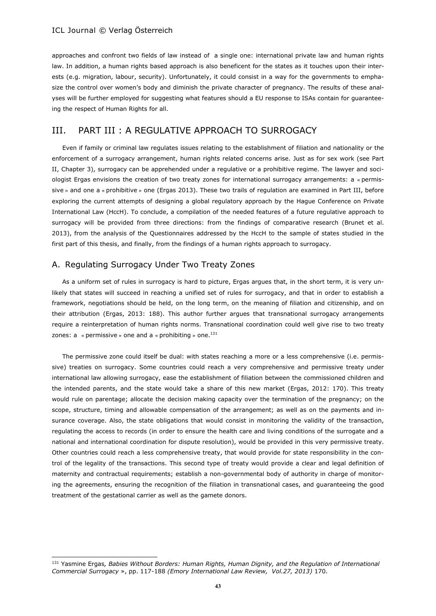approaches and confront two fields of law instead of a single one: international private law and human rights law. In addition, a human rights based approach is also beneficent for the states as it touches upon their interests (e.g. migration, labour, security). Unfortunately, it could consist in a way for the governments to emphasize the control over women's body and diminish the private character of pregnancy. The results of these analyses will be further employed for suggesting what features should a EU response to ISAs contain for guaranteeing the respect of Human Rights for all.

## III. PART III : A REGULATIVE APPROACH TO SURROGACY

Even if family or criminal law regulates issues relating to the establishment of filiation and nationality or the enforcement of a surrogacy arrangement, human rights related concerns arise. Just as for sex work (see Part II, Chapter 3), surrogacy can be apprehended under a regulative or a prohibitive regime. The lawyer and sociologist Ergas envisions the creation of two treaty zones for international surrogacy arrangements: a « permissive » and one a « prohibitive » one (Ergas 2013). These two trails of regulation are examined in Part III, before exploring the current attempts of designing a global regulatory approach by the Hague Conference on Private International Law (HccH). To conclude, a compilation of the needed features of a future regulative approach to surrogacy will be provided from three directions: from the findings of comparative research (Brunet et al. 2013), from the analysis of the Questionnaires addressed by the HccH to the sample of states studied in the first part of this thesis, and finally, from the findings of a human rights approach to surrogacy.

## A. Regulating Surrogacy Under Two Treaty Zones

 $\overline{a}$ 

As a uniform set of rules in surrogacy is hard to picture, Ergas argues that, in the short term, it is very unlikely that states will succeed in reaching a unified set of rules for surrogacy, and that in order to establish a framework, negotiations should be held, on the long term, on the meaning of filiation and citizenship, and on their attribution (Ergas, 2013: 188). This author further argues that transnational surrogacy arrangements require a reinterpretation of human rights norms. Transnational coordination could well give rise to two treaty zones:  $a \times permissive \times one$  and  $a \times prohibiting \times one.<sup>131</sup>$ 

The permissive zone could itself be dual: with states reaching a more or a less comprehensive (i.e. permissive) treaties on surrogacy. Some countries could reach a very comprehensive and permissive treaty under international law allowing surrogacy, ease the establishment of filiation between the commissioned children and the intended parents, and the state would take a share of this new market (Ergas, 2012: 170). This treaty would rule on parentage; allocate the decision making capacity over the termination of the pregnancy; on the scope, structure, timing and allowable compensation of the arrangement; as well as on the payments and insurance coverage. Also, the state obligations that would consist in monitoring the validity of the transaction, regulating the access to records (in order to ensure the health care and living conditions of the surrogate and a national and international coordination for dispute resolution), would be provided in this very permissive treaty. Other countries could reach a less comprehensive treaty, that would provide for state responsibility in the control of the legality of the transactions. This second type of treaty would provide a clear and legal definition of maternity and contractual requirements; establish a non-governmental body of authority in charge of monitoring the agreements, ensuring the recognition of the filiation in transnational cases, and guaranteeing the good treatment of the gestational carrier as well as the gamete donors.

<sup>131</sup> Yasmine Ergas*, Babies Without Borders: Human Rights, Human Dignity, and the Regulation of International Commercial Surrogacy* », pp. 117-188 *(Emory International Law Review, Vol.27, 2013)* 170.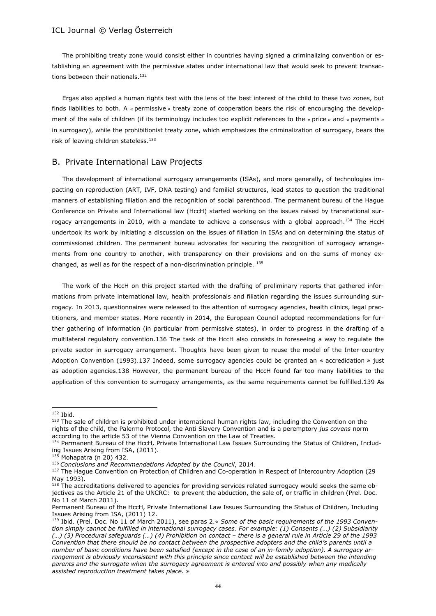The prohibiting treaty zone would consist either in countries having signed a criminalizing convention or establishing an agreement with the permissive states under international law that would seek to prevent transactions between their nationals.<sup>132</sup>

Ergas also applied a human rights test with the lens of the best interest of the child to these two zones, but finds liabilities to both. A « permissive » treaty zone of cooperation bears the risk of encouraging the development of the sale of children (if its terminology includes too explicit references to the « price » and « payments » in surrogacy), while the prohibitionist treaty zone, which emphasizes the criminalization of surrogacy, bears the risk of leaving children stateless.<sup>133</sup>

## B. Private International Law Projects

The development of international surrogacy arrangements (ISAs), and more generally, of technologies impacting on reproduction (ART, IVF, DNA testing) and familial structures, lead states to question the traditional manners of establishing filiation and the recognition of social parenthood. The permanent bureau of the Hague Conference on Private and International law (HccH) started working on the issues raised by transnational surrogacy arrangements in 2010, with a mandate to achieve a consensus with a global approach.<sup>134</sup> The HccH undertook its work by initiating a discussion on the issues of filiation in ISAs and on determining the status of commissioned children. The permanent bureau advocates for securing the recognition of surrogacy arrangements from one country to another, with transparency on their provisions and on the sums of money exchanged, as well as for the respect of a non-discrimination principle. <sup>135</sup>

The work of the HccH on this project started with the drafting of preliminary reports that gathered informations from private international law, health professionals and filiation regarding the issues surrounding surrogacy. In 2013, questionnaires were released to the attention of surrogacy agencies, health clinics, legal practitioners, and member states. More recently in 2014, the European Council adopted recommendations for further gathering of information (in particular from permissive states), in order to progress in the drafting of a multilateral regulatory convention.136 The task of the HccH also consists in foreseeing a way to regulate the private sector in surrogacy arrangement. Thoughts have been given to reuse the model of the Inter-country Adoption Convention (1993).137 Indeed, some surrogacy agencies could be granted an « accredidation » just as adoption agencies.138 However, the permanent bureau of the HccH found far too many liabilities to the application of this convention to surrogacy arrangements, as the same requirements cannot be fulfilled.139 As

 $\overline{\phantom{a}}$ 

<sup>132</sup> Ibid.

<sup>133</sup> The sale of children is prohibited under international human rights law, including the Convention on the rights of the child, the Palermo Protocol, the Anti Slavery Convention and is a peremptory *jus covens* norm according to the article 53 of the Vienna Convention on the Law of Treaties.

<sup>134</sup> Permanent Bureau of the HccH, Private International Law Issues Surrounding the Status of Children, Including Issues Arising from ISA, (2011).

<sup>135</sup> Mohapatra (n 20) 432.

<sup>136</sup> *Conclusions and Recommendations Adopted by the Council*, 2014.

<sup>137</sup> The Haque Convention on Protection of Children and Co-operation in Respect of Intercountry Adoption (29 May 1993).

<sup>&</sup>lt;sup>138</sup> The accreditations delivered to agencies for providing services related surrogacy would seeks the same objectives as the Article 21 of the UNCRC: to prevent the abduction, the sale of, or traffic in children (Prel. Doc. No 11 of March 2011).

Permanent Bureau of the HccH, Private International Law Issues Surrounding the Status of Children, Including Issues Arising from ISA, (2011) 12.

<sup>139</sup> Ibid. (Prel. Doc. No 11 of March 2011), see paras 2.« *Some of the basic requirements of the 1993 Convention simply cannot be fulfilled in international surrogacy cases. For example: (1) Consents (…) (2) Subsidiarity (…) (3) Procedural safeguards (…) (4) Prohibition on contact – there is a general rule in Article 29 of the 1993 Convention that there should be no contact between the prospective adopters and the child's parents until a number of basic conditions have been satisfied (except in the case of an in-family adoption). A surrogacy arrangement is obviously inconsistent with this principle since contact will be established between the intending parents and the surrogate when the surrogacy agreement is entered into and possibly when any medically assisted reproduction treatment takes place.* »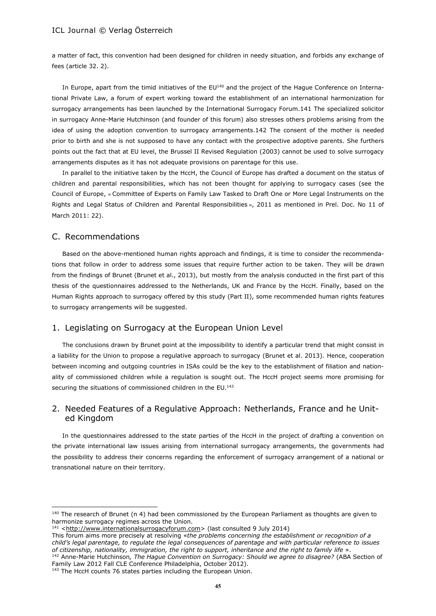a matter of fact, this convention had been designed for children in needy situation, and forbids any exchange of fees (article 32. 2).

In Europe, apart from the timid initiatives of the  $EU^{40}$  and the project of the Hague Conference on International Private Law, a forum of expert working toward the establishment of an international harmonization for surrogacy arrangements has been launched by the International Surrogacy Forum.141 The specialized solicitor in surrogacy Anne-Marie Hutchinson (and founder of this forum) also stresses others problems arising from the idea of using the adoption convention to surrogacy arrangements.142 The consent of the mother is needed prior to birth and she is not supposed to have any contact with the prospective adoptive parents. She furthers points out the fact that at EU level, the Brussel II Revised Regulation (2003) cannot be used to solve surrogacy arrangements disputes as it has not adequate provisions on parentage for this use.

In parallel to the initiative taken by the HccH, the Council of Europe has drafted a document on the status of children and parental responsibilities, which has not been thought for applying to surrogacy cases (see the Council of Europe, « Committee of Experts on Family Law Tasked to Draft One or More Legal Instruments on the Rights and Legal Status of Children and Parental Responsibilities », 2011 as mentioned in Prel. Doc. No 11 of March 2011: 22).

## C. Recommendations

 $\overline{\phantom{a}}$ 

Based on the above-mentioned human rights approach and findings, it is time to consider the recommendations that follow in order to address some issues that require further action to be taken. They will be drawn from the findings of Brunet (Brunet et al., 2013), but mostly from the analysis conducted in the first part of this thesis of the questionnaires addressed to the Netherlands, UK and France by the HccH. Finally, based on the Human Rights approach to surrogacy offered by this study (Part II), some recommended human rights features to surrogacy arrangements will be suggested.

## 1. Legislating on Surrogacy at the European Union Level

The conclusions drawn by Brunet point at the impossibility to identify a particular trend that might consist in a liability for the Union to propose a regulative approach to surrogacy (Brunet et al. 2013). Hence, cooperation between incoming and outgoing countries in ISAs could be the key to the establishment of filiation and nationality of commissioned children while a regulation is sought out. The HccH project seems more promising for securing the situations of commissioned children in the EU.<sup>143</sup>

## 2. Needed Features of a Regulative Approach: Netherlands, France and he United Kingdom

In the questionnaires addressed to the state parties of the HccH in the project of drafting a convention on the private international law issues arising from international surrogacy arrangements, the governments had the possibility to address their concerns regarding the enforcement of surrogacy arrangement of a national or transnational nature on their territory.

 $140$  The research of Brunet (n 4) had been commissioned by the European Parliament as thoughts are given to harmonize surrogacy regimes across the Union.

<sup>141</sup> [<http://www.internationalsurrogacyforum.com>](http://www.internationalsurrogacyforum.com/) (last consulted 9 July 2014)

This forum aims more precisely at resolving «*the problems concerning the establishment or recognition of a child's legal parentage, to regulate the legal consequences of parentage and with particular reference to issues of citizenship, nationality, immigration, the right to support, inheritance and the right to family life* ». <sup>142</sup> Anne-Marie Hutchinson*, The Hague Convention on Surrogacy: Should we agree to disagree?* (ABA Section of

Family Law 2012 Fall CLE Conference Philadelphia, October 2012).

<sup>&</sup>lt;sup>143</sup> The HccH counts 76 states parties including the European Union.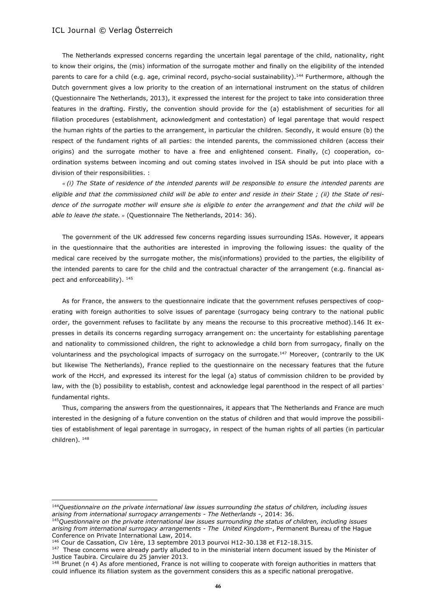The Netherlands expressed concerns regarding the uncertain legal parentage of the child, nationality, right to know their origins, the (mis) information of the surrogate mother and finally on the eligibility of the intended parents to care for a child (e.g. age, criminal record, psycho-social sustainability).<sup>144</sup> Furthermore, although the Dutch government gives a low priority to the creation of an international instrument on the status of children (Questionnaire The Netherlands, 2013), it expressed the interest for the project to take into consideration three features in the drafting. Firstly, the convention should provide for the (a) establishment of securities for all filiation procedures (establishment, acknowledgment and contestation) of legal parentage that would respect the human rights of the parties to the arrangement, in particular the children. Secondly, it would ensure (b) the respect of the fundament rights of all parties: the intended parents, the commissioned children (access their origins) and the surrogate mother to have a free and enlightened consent. Finally, (c) cooperation, coordination systems between incoming and out coming states involved in ISA should be put into place with a division of their responsibilities. :

*« (i) The State of residence of the intended parents will be responsible to ensure the intended parents are eligible and that the commissioned child will be able to enter and reside in their State ; (ii) the State of residence of the surrogate mother will ensure she is eligible to enter the arrangement and that the child will be able to leave the state. »* (Questionnaire The Netherlands, 2014: 36).

The government of the UK addressed few concerns regarding issues surrounding ISAs. However, it appears in the questionnaire that the authorities are interested in improving the following issues: the quality of the medical care received by the surrogate mother, the mis(informations) provided to the parties, the eligibility of the intended parents to care for the child and the contractual character of the arrangement (e.g. financial aspect and enforceability).  $145$ 

As for France, the answers to the questionnaire indicate that the government refuses perspectives of cooperating with foreign authorities to solve issues of parentage (surrogacy being contrary to the national public order, the government refuses to facilitate by any means the recourse to this procreative method).146 It expresses in details its concerns regarding surrogacy arrangement on: the uncertainty for establishing parentage and nationality to commissioned children, the right to acknowledge a child born from surrogacy, finally on the voluntariness and the psychological impacts of surrogacy on the surrogate.<sup>147</sup> Moreover, (contrarily to the UK but likewise The Netherlands), France replied to the questionnaire on the necessary features that the future work of the HccH, and expressed its interest for the legal (a) status of commission children to be provided by law, with the (b) possibility to establish, contest and acknowledge legal parenthood in the respect of all parties' fundamental rights.

Thus, comparing the answers from the questionnaires, it appears that The Netherlands and France are much interested in the designing of a future convention on the status of children and that would improve the possibilities of establishment of legal parentage in surrogacy, in respect of the human rights of all parties (in particular children). <sup>148</sup>

 $\overline{\phantom{a}}$ 

<sup>144</sup>*Questionnaire on the private international law issues surrounding the status of children, including issues arising from international surrogacy arrangements - The Netherlands -*, 2014: 36.

<sup>145</sup>*Questionnaire on the private international law issues surrounding the status of children, including issues arising from international surrogacy arrangements - The United Kingdom-*, Permanent Bureau of the Hague Conference on Private International Law, 2014.

Cour de Cassation, Civ 1ère, 13 septembre 2013 pourvoi H12-30.138 et F12-18.315.

<sup>&</sup>lt;sup>147</sup> These concerns were already partly alluded to in the ministerial intern document issued by the Minister of Justice Taubira. Circulaire du 25 janvier 2013.

<sup>&</sup>lt;sup>148</sup> Brunet (n 4) As afore mentioned, France is not willing to cooperate with foreign authorities in matters that could influence its filiation system as the government considers this as a specific national prerogative.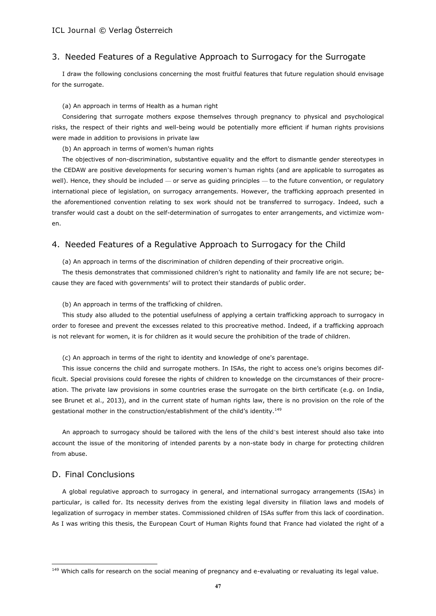## 3. Needed Features of a Regulative Approach to Surrogacy for the Surrogate

I draw the following conclusions concerning the most fruitful features that future regulation should envisage for the surrogate.

#### (a) An approach in terms of Health as a human right

Considering that surrogate mothers expose themselves through pregnancy to physical and psychological risks, the respect of their rights and well-being would be potentially more efficient if human rights provisions were made in addition to provisions in private law

(b) An approach in terms of women's human rights

The objectives of non-discrimination, substantive equality and the effort to dismantle gender stereotypes in the CEDAW are positive developments for securing women's human rights (and are applicable to surrogates as well). Hence, they should be included — or serve as guiding principles — to the future convention, or regulatory international piece of legislation, on surrogacy arrangements. However, the trafficking approach presented in the aforementioned convention relating to sex work should not be transferred to surrogacy. Indeed, such a transfer would cast a doubt on the self-determination of surrogates to enter arrangements, and victimize women.

## 4. Needed Features of a Regulative Approach to Surrogacy for the Child

(a) An approach in terms of the discrimination of children depending of their procreative origin.

The thesis demonstrates that commissioned children's right to nationality and family life are not secure; because they are faced with governments' will to protect their standards of public order.

(b) An approach in terms of the trafficking of children.

This study also alluded to the potential usefulness of applying a certain trafficking approach to surrogacy in order to foresee and prevent the excesses related to this procreative method. Indeed, if a trafficking approach is not relevant for women, it is for children as it would secure the prohibition of the trade of children.

(c) An approach in terms of the right to identity and knowledge of one's parentage.

This issue concerns the child and surrogate mothers. In ISAs, the right to access one's origins becomes difficult. Special provisions could foresee the rights of children to knowledge on the circumstances of their procreation. The private law provisions in some countries erase the surrogate on the birth certificate (e.g. on India, see Brunet et al., 2013), and in the current state of human rights law, there is no provision on the role of the gestational mother in the construction/establishment of the child's identity.<sup>149</sup>

An approach to surrogacy should be tailored with the lens of the child's best interest should also take into account the issue of the monitoring of intended parents by a non-state body in charge for protecting children from abuse.

## D. Final Conclusions

 $\overline{a}$ 

A global regulative approach to surrogacy in general, and international surrogacy arrangements (ISAs) in particular, is called for. Its necessity derives from the existing legal diversity in filiation laws and models of legalization of surrogacy in member states. Commissioned children of ISAs suffer from this lack of coordination. As I was writing this thesis, the European Court of Human Rights found that France had violated the right of a

<sup>&</sup>lt;sup>149</sup> Which calls for research on the social meaning of pregnancy and e-evaluating or revaluating its legal value.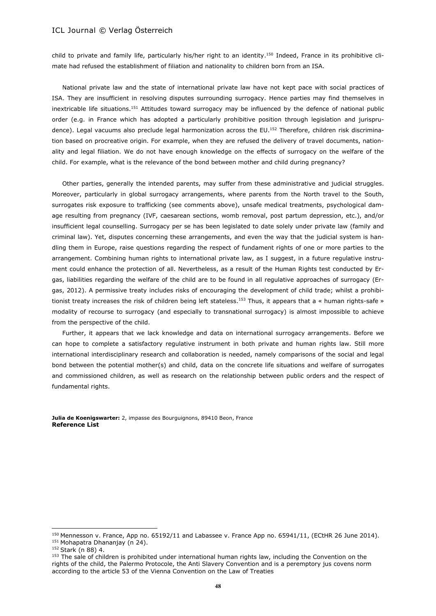child to private and family life, particularly his/her right to an identity. <sup>150</sup> Indeed, France in its prohibitive climate had refused the establishment of filiation and nationality to children born from an ISA.

National private law and the state of international private law have not kept pace with social practices of ISA. They are insufficient in resolving disputes surrounding surrogacy. Hence parties may find themselves in inextricable life situations.<sup>151</sup> Attitudes toward surrogacy may be influenced by the defence of national public order (e.g. in France which has adopted a particularly prohibitive position through legislation and jurisprudence). Legal vacuums also preclude legal harmonization across the EU.<sup>152</sup> Therefore, children risk discrimination based on procreative origin. For example, when they are refused the delivery of travel documents, nationality and legal filiation. We do not have enough knowledge on the effects of surrogacy on the welfare of the child. For example, what is the relevance of the bond between mother and child during pregnancy?

Other parties, generally the intended parents, may suffer from these administrative and judicial struggles. Moreover, particularly in global surrogacy arrangements, where parents from the North travel to the South, surrogates risk exposure to trafficking (see comments above), unsafe medical treatments, psychological damage resulting from pregnancy (IVF, caesarean sections, womb removal, post partum depression, etc.), and/or insufficient legal counselling. Surrogacy per se has been legislated to date solely under private law (family and criminal law). Yet, disputes concerning these arrangements, and even the way that the judicial system is handling them in Europe, raise questions regarding the respect of fundament rights of one or more parties to the arrangement. Combining human rights to international private law, as I suggest, in a future regulative instrument could enhance the protection of all. Nevertheless, as a result of the Human Rights test conducted by Ergas, liabilities regarding the welfare of the child are to be found in all regulative approaches of surrogacy (Ergas, 2012). A permissive treaty includes risks of encouraging the development of child trade; whilst a prohibitionist treaty increases the risk of children being left stateless.<sup>153</sup> Thus, it appears that a « human rights-safe » modality of recourse to surrogacy (and especially to transnational surrogacy) is almost impossible to achieve from the perspective of the child.

Further, it appears that we lack knowledge and data on international surrogacy arrangements. Before we can hope to complete a satisfactory regulative instrument in both private and human rights law. Still more international interdisciplinary research and collaboration is needed, namely comparisons of the social and legal bond between the potential mother(s) and child, data on the concrete life situations and welfare of surrogates and commissioned children, as well as research on the relationship between public orders and the respect of fundamental rights.

**Julia de Koenigswarter:** 2, impasse des Bourguignons, 89410 Beon, France **Reference List**

 $\overline{\phantom{a}}$ 

<sup>150</sup> Mennesson v. France, App no. 65192/11 and Labassee v. France App no. 65941/11, (ECtHR 26 June 2014). 151 Mohapatra Dhananjay (n 24).

<sup>152</sup> Stark (n 88) 4.

<sup>&</sup>lt;sup>153</sup> The sale of children is prohibited under international human rights law, including the Convention on the rights of the child, the Palermo Protocole, the Anti Slavery Convention and is a peremptory jus covens norm according to the article 53 of the Vienna Convention on the Law of Treaties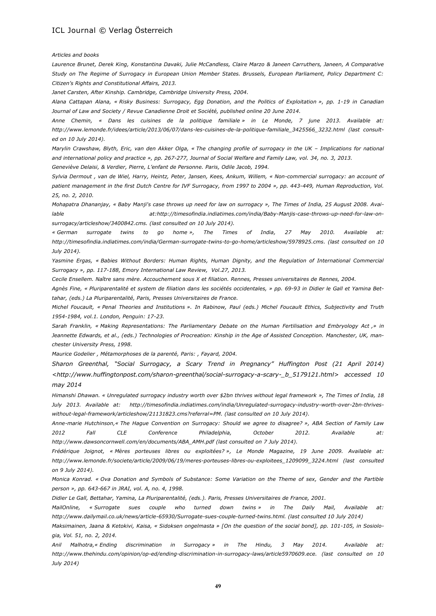*Articles and books*

*Laurence Brunet, Derek King, Konstantina Davaki, Julie McCandless, Claire Marzo & Janeen Carruthers, Janeen, A Comparative Study on The Regime of Surrogacy in European Union Member States. Brussels, European Parliament, Policy Department C: Citizen's Rights and Constitutional Affairs, 2013.*

*Janet Carsten, After Kinship. Cambridge, Cambridge University Press, 2004.*

*Alana Cattapan Alana, « Risky Business: Surrogacy, Egg Donation, and the Politics of Exploitation », pp. 1-19 in Canadian Journal of Law and Society / Revue Canadienne Droit et Société, published online 20 June 2014.* 

*Anne Chemin, « Dans les cuisines de la politique familiale » in Le Monde, 7 june 2013. Available at: [http://www.lemonde.fr/idees/article/2013/06/07/dans-les-cuisines-de-la-politique-familiale\\_3425566\\_3232.html](http://www.lemonde.fr/idees/article/2013/06/07/dans-les-cuisines-de-la-politique-familiale_3425566_3232.html) (last consulted on 10 July 2014).*

*Marylin Crawshaw, Blyth, Eric, van den Akker Olga, « The changing profile of surrogacy in the UK – Implications for national and international policy and practice », pp. 267-277, Journal of Social Welfare and Family Law, vol. 34, no. 3, 2013.*

*Geneviève Delaisi, & Verdier, Pierre, L'enfant de Personne. Paris, Odile Jacob, 1994.*

*Sylvia Dermout , van de Wiel, Harry, Heintz, Peter, Jansen, Kees, Ankum, Willem, « Non-commercial surrogacy: an account of patient management in the first Dutch Centre for IVF Surrogacy, from 1997 to 2004 », pp. 443-449, Human Reproduction, Vol. 25, no. 2, 2010.*

*Mohapatra Dhananjay, « Baby Manji's case throws up need for law on surrogacy », The Times of India, 25 August 2008. Available at[:http://timesofindia.indiatimes.com/india/Baby-Manjis-case-throws-up-need-for-law-on](http://timesofindia.indiatimes.com/india/baby-manjis-case-throws-up-need-for-law-on-surrogacy/articleshow/3400842.cms)[surrogacy/articleshow/3400842.cms.](http://timesofindia.indiatimes.com/india/baby-manjis-case-throws-up-need-for-law-on-surrogacy/articleshow/3400842.cms) (last consulted on 10 July 2014).* 

*« German surrogate twins to go home », The Times of India, 27 May 2010. Available at: [http://timesofindia.indiatimes.com/india/German-surrogate-twins-to-go-home/articleshow/5978925.cms.](http://timesofindia.indiatimes.com/india/german-surrogate-twins-to-go-home/articleshow/5978925.cms) (last consulted on 10 July 2014).*

*Yasmine Ergas, « Babies Without Borders: Human Rights, Human Dignity, and the Regulation of International Commercial Surrogacy », pp. 117-188, Emory International Law Review, Vol.27, 2013.*

*Cecile Ensellem. Naître sans mère. Accouchement sous X et filiation. Rennes, Presses universitaires de Rennes, 2004.*

*Agnès Fine, « Pluriparentalité et system de filiation dans les sociétés occidentales, » pp. 69-93 in Didier le Gall et Yamina Bettahar, (eds.) La Pluriparentalité, Paris, Presses Universitaires de France.*

*Michel Foucault, « Penal Theories and Institutions ». In Rabinow, Paul (eds.) Michel Foucault Ethics, Subjectivity and Truth 1954-1984, vol.1. London, Penguin: 17-23.*

*Sarah Franklin, « Making Representations: The Parliamentary Debate on the Human Fertilisation and Embryology Act ,» in Jeannette Edwards, et al., (eds.) Technologies of Procreation: Kinship in the Age of Assisted Conception. Manchester, UK, manchester University Press, 1998.*

*Maurice Godelier , Métamorphoses de la parenté, Paris: , Fayard, 2004.*

*Sharon Greenthal, "Social Surrogacy, a Scary Trend in Pregnancy" Huffington Post (21 April 2014) [<http://www.huffingtonpost.com/sharon-greenthal/social-surrogacy-a-scary-\\_b\\_5179121.html>](http://www.huffingtonpost.com/sharon-greenthal/social-surrogacy-a-scary-_b_5179121.html) accessed 10 may 2014*

*Himanshi Dhawan. « Unregulated surrogacy industry worth over \$2bn thrives without legal framework », The Times of India, 18 July 2013. Available at: [http://timesofindia.indiatimes.com/india/Unregulated-surrogacy-industry-worth-over-2bn-thrives](http://timesofindia.indiatimes.com/india/unregulated-surrogacy-industry-worth-over-2bn-thrives-without-legal-framework/articleshow/21131823.cms?referral=pm)[without-legal-framework/articleshow/21131823.cms?referral=PM.](http://timesofindia.indiatimes.com/india/unregulated-surrogacy-industry-worth-over-2bn-thrives-without-legal-framework/articleshow/21131823.cms?referral=pm) (last consulted on 10 July 2014).*

*Anne-marie Hutchinson,« The Hague Convention on Surrogacy: Should we agree to disagree? », ABA Section of Family Law 2012 Fall CLE Conference Philadelphia, October 2012. Available at: [http://www.dawsoncornwell.com/en/documents/ABA\\_AMH.pdf](http://www.dawsoncornwell.com/en/documents/aba_amh.pdf) (last consulted on 7 July 2014).*

*Frédérique Joignot, « Mères porteuses libres ou exploitées? », Le Monde Magazine, 19 June 2009. Available at: [http://www.lemonde.fr/societe/article/2009/06/19/meres-porteuses-libres-ou-exploitees\\_1209099\\_3224.html](http://www.lemonde.fr/societe/article/2009/06/19/meres-porteuses-libres-ou-exploitees_1209099_3224.html) (last consulted on 9 July 2014).* 

*Monica Konrad. « Ova Donation and Symbols of Substance: Some Variation on the Theme of sex, Gender and the Partible person », pp. 643-667 in JRAI, vol. A, no. 4, 1998.*

*Didier Le Gall, Bettahar, Yamina, La Pluriparentalité, (eds.). Paris, Presses Universitaires de France, 2001.*

*MailOnline, « Surrogate sues couple who turned down twins » in The Daily Mail, Available at: [http://www.dailymail.co.uk/news/article-65930/Surrogate-sues-couple-turned-twins.html.](http://www.dailymail.co.uk/news/article-65930/surrogate-sues-couple-turned-twins.html) (last consulted 10 July 2014)* 

*Maksimainen, Jaana & Ketokivi, Kaisa, « Sidoksen ongelmasta » [On the question of the social bond], pp. 101-105, in Sosiologia, Vol. 51, no. 2, 2014.*

*Anil Malhotra,« Ending discrimination in Surrogacy » in The Hindu, 3 May 2014. Available at: [http://www.thehindu.com/opinion/op-ed/ending-discrimination-in-surrogacy-laws/article5970609.ece.](http://www.thehindu.com/opinion/op-ed/ending-discrimination-in-surrogacy-laws/article5970609.ece) (last consulted on 10 July 2014)*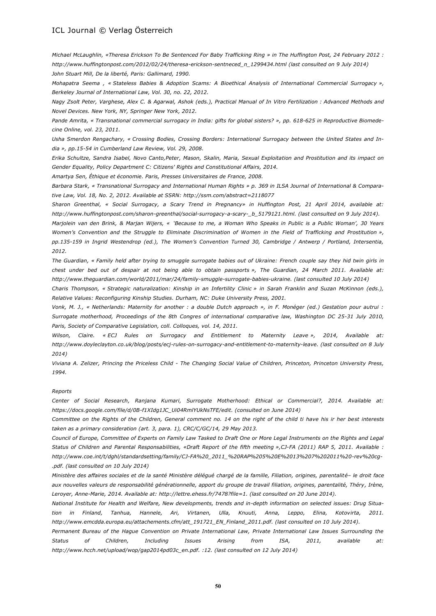*Michael McLaughlin, «Theresa Erickson To Be Sentenced For Baby Trafficking Ring » in The Huffington Post, 24 February 2012 : [http://www.huffingtonpost.com/2012/02/24/theresa-erickson-sentneced\\_n\\_1299434.html](http://www.huffingtonpost.com/2012/02/24/theresa-erickson-sentneced_n_1299434.html) (last consulted on 9 July 2014) John Stuart Mill, De la liberté, Paris: Gallimard, 1990.*

*Mohapatra Seema , « Stateless Babies & Adoption Scams: A Bioethical Analysis of International Commercial Surrogacy », Berkeley Journal of International Law, Vol. 30, no. 22, 2012.*

*Nagy Zsolt Peter, Varghese, Alex C. & Agarwal, Ashok (eds.), Practical Manual of In Vitro Fertilization : Advanced Methods and Novel Devices. New York, NY, Springer New York, 2012.*

*Pande Amrita, « Transnational commercial surrogacy in India: gifts for global sisters? », pp. 618-625 in Reproductive Biomedecine Online, vol. 23, 2011.*

*Usha Smerdon Rengachary, « Crossing Bodies, Crossing Borders: International Surrogacy between the United States and India », pp.15-54 in Cumberland Law Review, Vol. 29, 2008.*

*Erika Schultze, Sandra Isabel, Novo Canto,Peter, Mason, Skalin, Maria, Sexual Exploitation and Prostitution and its impact on Gender Equality, Policy Department C: Citizens' Rights and Constitutional Affairs, 2014.*

*Amartya Sen, Éthique et économie. Paris, Presses Universitaires de France, 2008.*

*Barbara Stark, « Transnational Surrogacy and International Human Rights » p. 369 in ILSA Journal of International & Comparative Law, Vol. 18, No. 2, 2012. Available at SSRN[: http://ssm.com/abstract=2118077](http://ssm.com/abstract=2118077)*

*Sharon Greenthal, « Social Surrogacy, a Scary Trend in Pregnancy» in Huffington Post, 21 April 2014, available at: [http://www.huffingtonpost.com/sharon-greenthal/social-surrogacy-a-scary-\\_b\\_5179121.html.](http://www.huffingtonpost.com/sharon-greenthal/social-surrogacy-a-scary-_b_5179121.html) (last consulted on 9 July 2014).*

*Marjolein van den Brink, & Marjan Wijers, « 'Because to me, a Woman Who Speaks in Public is a Public Woman', 30 Years Women's Convention and the Struggle to Eliminate Discrimination of Women in the Field of Trafficking and Prostitution », pp.135-159 in Ingrid Westendrop (ed.), The Women's Convention Turned 30, Cambridge / Antwerp / Portland, Intersentia, 2012.* 

*The Guardian, « Family held after trying to smuggle surrogate babies out of Ukraine: French couple say they hid twin girls in chest under bed out of despair at not being able to obtain passports », The Guardian, 24 March 2011. Available at: [http://www.theguardian.com/world/2011/mar/24/family-smuggle-surrogate-babies-ukraine.](http://www.theguardian.com/world/2011/mar/24/family-smuggle-surrogate-babies-ukraine) (last consulted 10 July 2014)*

*Charis Thompson, « Strategic naturalization: Kinship in an Infertility Clinic » in Sarah Franklin and Suzan McKinnon (eds.), Relative Values: Reconfiguring Kinship Studies. Durham, NC: Duke University Press, 2001.*

*Vonk, M. J., « Netherlands: Maternity for another : a double Dutch approach », in F. Monéger (ed.) Gestation pour autrui : Surrogate motherhood, Proceedings of the 8th Congres of international comparative law, Washington DC 25-31 July 2010, Paris, Society of Comparative Legislation, coll. Colloques, vol. 14, 2011.*

*Wilson, Claire. « ECJ Rules on Surrogacy and Entitlement to Maternity Leave », 2014, Available at: [http://www.doyleclayton.co.uk/blog/posts/ecj-rules-on-surrogacy-and-entitlement-to-maternity-leave.](http://www.doyleclayton.co.uk/blog/posts/ecj-rules-on-surrogacy-and-entitlement-to-maternity-leave) (last consulted on 8 July 2014)*

*Viviana A. Zelizer, Princing the Priceless Child - The Changing Social Value of Children, Princeton, Princeton University Press, 1994.*

#### *Reports*

*Center of Social Research, Ranjana Kumari, Surrogate Motherhood: Ethical or Commercial?, 2014. Available at: [https://docs.google.com/file/d/0B-f1XIdg1JC\\_Ui04RmlYUkNsTFE/edit.](https://docs.google.com/file/d/0b-f1xidg1jc_ui04rmlyuknstfe/edit) (consulted on June 2014)*

*Committee on the Rights of the Children, General comment no. 14 on the right of the child ti have his ir her best interests taken as a primary consideration (art. 3, para. 1), CRC/C/GC/14, 29 May 2013.* 

*Council of Europe, Committee of Experts on Family Law Tasked to Draft One or More Legal Instruments on the Rights and Legal Status of Children and Parental Responsabilities, «Draft Report of the fifth meeting »,CJ-FA (2011) RAP 5, 2011. Available : http:/[/www.coe.int/t/dghl/standardsetting/family/CJ-FA%20\\_2011\\_%20RAP%205%20E%2013%207%202011%20-rev%20cg-](http://www.coe.int/t/dghl/standardsetting/family/cj-fa%2520_2011_%2520rap%25205%2520e%252013%25207%25202011%2520-rev%2520cg-.pdf) [.pdf.](http://www.coe.int/t/dghl/standardsetting/family/cj-fa%2520_2011_%2520rap%25205%2520e%252013%25207%25202011%2520-rev%2520cg-.pdf) (last consulted on 10 July 2014)*

*Ministère des affaires sociales et de la santé Ministère délégué chargé de la famille, Filiation, origines, parentalité– le droit face aux nouvelles valeurs de responsabilité générationnelle, apport du groupe de travail filiation, origines, parentalité, Théry, Irène, Leroyer, Anne-Marie, 2014. Available at: [http://lettre.ehess.fr/7478?file=1.](http://lettre.ehess.fr/7478?file=1) (last consulted on 20 June 2014).*

*National Institute for Health and Welfare, New developments, trends and in-depth information on selected issues: Drug Situation in Finland, Tanhua, Hannele, Ari, Virtanen, Ulla, Knuuti, Anna, Leppo, Elina, Kotovirta, 2011. [http://www.emcdda.europa.eu/attachements.cfm/att\\_191721\\_EN\\_Finland\\_2011.pdf.](http://www.emcdda.europa.eu/attachements.cfm/att_191721_en_finland_2011.pdf) (last consulted on 10 July 2014).*

*Permanent Bureau of the Hague Convention on Private International Law, Private International Law Issues Surrounding the Status of Children, Including Issues Arising from ISA, 2011, available at: [http://www.hcch.net/upload/wop/gap2014pd03c\\_en.pdf.](http://www.hcch.net/upload/wop/gap2014pd03c_en.pdf) :12. (last consulted on 12 July 2014)*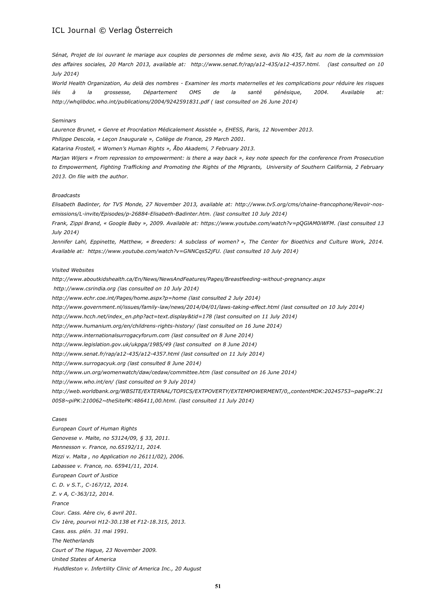*Sénat, Projet de loi ouvrant le mariage aux couples de personnes de même sexe, avis No 435, fait au nom de la commission des affaires sociales, 20 March 2013, available at: [http://www.senat.fr/rap/a12-435/a12-4357.html.](http://www.senat.fr/rap/a12-435/a12-4357.html) (last consulted on 10 July 2014)*

*World Health Organization, Au delà des nombres - Examiner les morts maternelles et les complications pour réduire les risques liés à la grossesse, Département OMS de la santé génésique, 2004. Available at: http://whqlibdoc.who.int/publications/2004/9242591831.pdf ( last consulted on 26 June 2014)*

#### *Seminars*

*Laurence Brunet, « Genre et Procréation Médicalement Assistée », EHESS, Paris, 12 November 2013.*

*Philippe Descola, « Leçon Inaugurale », Collège de France, 29 March 2001.*

*Katarina Frostell, « Women's Human Rights », Åbo Akademi, 7 February 2013.*

*Marjan Wijers « From repression to empowerment: is there a way back », key note speech for the conference From Prosecution to Empowerment, Fighting Trafficking and Promoting the Rights of the Migrants, University of Southern California, 2 February 2013. On file with the author.*

#### *Broadcasts*

*Elisabeth Badinter, for TV5 Monde, 27 November 2013, available at: [http://www.tv5.org/cms/chaine-francophone/Revoir-nos](http://www.tv5.org/cms/chaine-francophone/revoir-nos-emissions/l-invite/episodes/p-26884-elisabeth-badinter.htm)[emissions/L-invite/Episodes/p-26884-Elisabeth-Badinter.htm.](http://www.tv5.org/cms/chaine-francophone/revoir-nos-emissions/l-invite/episodes/p-26884-elisabeth-badinter.htm) (last consultet 10 July 2014)*

*Frank, Zippi Brand, « Google Baby », 2009. Available at: [https://www.youtube.com/watch?v=pQGlAM0iWFM.](https://www.youtube.com/watch?v=pQGlAM0iWFM) (last consulted 13 July 2014)*

*Jennifer Lahl, Eppinette, Matthew, « Breeders: A subclass of women? », The Center for Bioethics and Culture Work, 2014. Available at: [https://www.youtube.com/watch?v=GNNCqs52jFU.](https://www.youtube.com/watch?v=gnncqs52jfu) (last consulted 10 July 2014)*

#### *Visited Websites*

*[http://www.aboutkidshealth.ca/En/News/NewsAndFeatures/Pages/Breastfeeding-without-pregnancy.aspx](http://www.aboutkidshealth.ca/en/news/newsandfeatures/pages/breastfeeding-without-pregnancy.aspx) [http://www.csrindia.org](http://www.csrindia.org/) (las consulted on 10 July 2014) [http://www.echr.coe.int/Pages/home.aspx?p=home](http://www.echr.coe.int/pages/home.aspx?p=home) (last consulted 2 July 2014) <http://www.government.nl/issues/family-law/news/2014/04/01/laws-taking-effect.html> (last consulted on 10 July 2014) [http://www.hcch.net/index\\_en.php?act=text.display&tid=178](http://www.hcch.net/index_en.php?act=text.display&tid=178) (last consulted on 11 July 2014) <http://www.humanium.org/en/childrens-rights-history/> (last consulted on 16 June 2014) [http://www.internationalsurrogacyforum.com](http://www.internationalsurrogacyforum.com/) (last consulted on 8 June 2014) <http://www.legislation.gov.uk/ukpga/1985/49> (last consulted on 8 June 2014) <http://www.senat.fr/rap/a12-435/a12-4357.html> (last consulted on 11 July 2014) [http://www.surrogacyuk.org](http://www.surrogacyuk.org/) (last consulted 8 June 2014) <http://www.un.org/womenwatch/daw/cedaw/committee.htm> (last consulted on 16 June 2014) <http://www.who.int/en/> (last consulted on 9 July 2014) [http://web.worldbank.org/WBSITE/EXTERNAL/TOPICS/EXTPOVERTY/EXTEMPOWERMENT/0,,contentMDK:20245753~pagePK:21](http://web.worldbank.org/WBSITE/EXTERNAL/TOPICS/EXTPOVERTY/EXTEMPOWERMENT/0,,contentMDK:20245753~pagePK:210058~piPK:210062~theSitePK:486411,00.html) [0058~piPK:210062~theSitePK:486411,00.html.](http://web.worldbank.org/WBSITE/EXTERNAL/TOPICS/EXTPOVERTY/EXTEMPOWERMENT/0,,contentMDK:20245753~pagePK:210058~piPK:210062~theSitePK:486411,00.html) (last consulted 11 July 2014)*

#### *Cases*

*European Court of Human Rights Genovese v. Malte, no 53124/09, § 33, 2011. Mennesson v. France, no.65192/11, 2014. Mizzi v. Malta , no Application no 26111/02), 2006. Labassee v. France, no. 65941/11, 2014. European Court of Justice C. D. v S.T., C-167/12, 2014. Z. v A, C-363/12, 2014. France Cour. Cass. Aère civ, 6 avril 201. Civ 1ère, pourvoi H12-30.138 et F12-18.315, 2013. Cass. ass. plén. 31 mai 1991. The Netherlands Court of The Hague, 23 November 2009. United States of America Huddleston v. Infertility Clinic of America Inc., 20 August*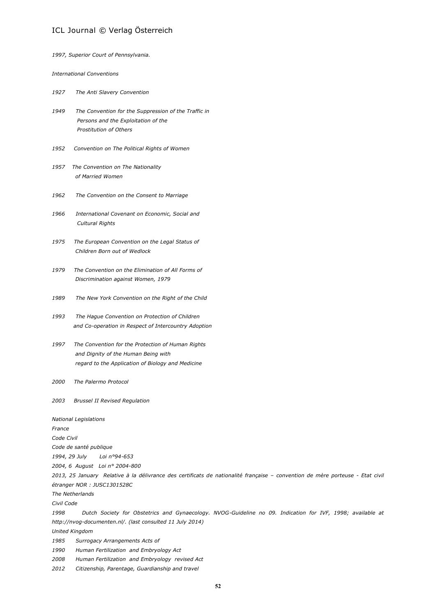| 1997, Superior Court of Pennsylvania.                                                                                                                 |
|-------------------------------------------------------------------------------------------------------------------------------------------------------|
| <b>International Conventions</b>                                                                                                                      |
| 1927<br>The Anti Slavery Convention                                                                                                                   |
| 1949<br>The Convention for the Suppression of the Traffic in<br>Persons and the Exploitation of the<br>Prostitution of Others                         |
| 1952<br>Convention on The Political Rights of Women                                                                                                   |
| 1957<br>The Convention on The Nationality<br>of Married Women                                                                                         |
| 1962<br>The Convention on the Consent to Marriage                                                                                                     |
| 1966<br>International Covenant on Economic, Social and<br>Cultural Rights                                                                             |
| 1975<br>The European Convention on the Legal Status of<br>Children Born out of Wedlock                                                                |
| The Convention on the Elimination of All Forms of<br>1979<br>Discrimination against Women, 1979                                                       |
| 1989<br>The New York Convention on the Right of the Child                                                                                             |
| 1993<br>The Hague Convention on Protection of Children<br>and Co-operation in Respect of Intercountry Adoption                                        |
| 1997<br>The Convention for the Protection of Human Rights<br>and Dignity of the Human Being with<br>regard to the Application of Biology and Medicine |
| The Palermo Protocol<br>2000                                                                                                                          |
| 2003<br><b>Brussel II Revised Regulation</b>                                                                                                          |
| <b>National Legislations</b><br>France                                                                                                                |
| Code Civil                                                                                                                                            |
| Code de santé publique                                                                                                                                |
| 1994, 29 July<br>Loi nº94-653                                                                                                                         |
| 2004, 6 August Loi nº 2004-800                                                                                                                        |
| 2013, 25 January Relative à la délivrance des certificats de nationalité française - convention de mère porteuse - Etat civil                         |
| étranger NOR : JUSC1301528C                                                                                                                           |
| The Netherlands                                                                                                                                       |
| Civil Code                                                                                                                                            |
| 1998<br>Dutch Society for Obstetrics and Gynaecology. NVOG-Guideline no 09. Indication for IVF, 1998; available at                                    |
| http://nvog-documenten.nl/. (last consulted 11 July 2014)                                                                                             |
| <b>United Kingdom</b>                                                                                                                                 |
| 1985<br>Surrogacy Arrangements Acts of                                                                                                                |
| 1990<br>Human Fertilization and Embryology Act<br>2008<br>Human Fertilization and Embryology revised Act                                              |
|                                                                                                                                                       |

*2012 Citizenship, Parentage, Guardianship and travel*